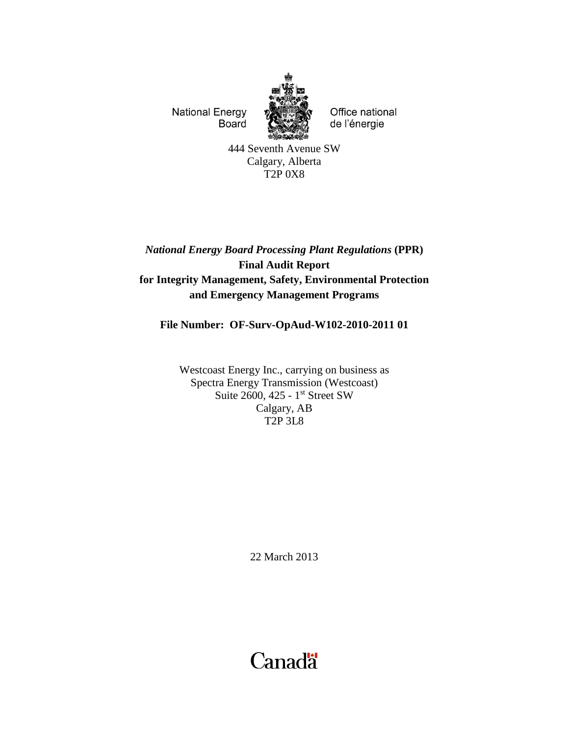**National Energy** Board



Office national de l'énergie

444 Seventh Avenue SW Calgary, Alberta T2P 0X8

# *National Energy Board Processing Plant Regulations* **(PPR) Final Audit Report for Integrity Management, Safety, Environmental Protection and Emergency Management Programs**

# **File Number: OF-Surv-OpAud-W102-2010-2011 01**

Westcoast Energy Inc., carrying on business as Spectra Energy Transmission (Westcoast) Suite 2600, 425 - 1<sup>st</sup> Street SW Calgary, AB T2P 3L8

22 March 2013

# **Canadä**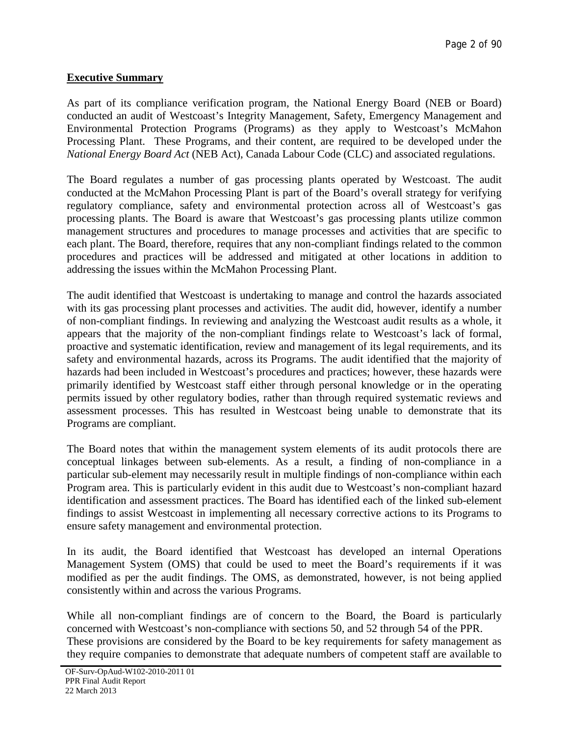# **Executive Summary**

As part of its compliance verification program, the National Energy Board (NEB or Board) conducted an audit of Westcoast's Integrity Management, Safety, Emergency Management and Environmental Protection Programs (Programs) as they apply to Westcoast's McMahon Processing Plant. These Programs, and their content, are required to be developed under the *National Energy Board Act* (NEB Act), Canada Labour Code (CLC) and associated regulations.

The Board regulates a number of gas processing plants operated by Westcoast. The audit conducted at the McMahon Processing Plant is part of the Board's overall strategy for verifying regulatory compliance, safety and environmental protection across all of Westcoast's gas processing plants. The Board is aware that Westcoast's gas processing plants utilize common management structures and procedures to manage processes and activities that are specific to each plant. The Board, therefore, requires that any non-compliant findings related to the common procedures and practices will be addressed and mitigated at other locations in addition to addressing the issues within the McMahon Processing Plant.

The audit identified that Westcoast is undertaking to manage and control the hazards associated with its gas processing plant processes and activities. The audit did, however, identify a number of non-compliant findings. In reviewing and analyzing the Westcoast audit results as a whole, it appears that the majority of the non-compliant findings relate to Westcoast's lack of formal, proactive and systematic identification, review and management of its legal requirements, and its safety and environmental hazards, across its Programs. The audit identified that the majority of hazards had been included in Westcoast's procedures and practices; however, these hazards were primarily identified by Westcoast staff either through personal knowledge or in the operating permits issued by other regulatory bodies, rather than through required systematic reviews and assessment processes. This has resulted in Westcoast being unable to demonstrate that its Programs are compliant.

The Board notes that within the management system elements of its audit protocols there are conceptual linkages between sub-elements. As a result, a finding of non-compliance in a particular sub-element may necessarily result in multiple findings of non-compliance within each Program area. This is particularly evident in this audit due to Westcoast's non-compliant hazard identification and assessment practices. The Board has identified each of the linked sub-element findings to assist Westcoast in implementing all necessary corrective actions to its Programs to ensure safety management and environmental protection.

In its audit, the Board identified that Westcoast has developed an internal Operations Management System (OMS) that could be used to meet the Board's requirements if it was modified as per the audit findings. The OMS, as demonstrated, however, is not being applied consistently within and across the various Programs.

While all non-compliant findings are of concern to the Board, the Board is particularly concerned with Westcoast's non-compliance with sections 50, and 52 through 54 of the PPR. These provisions are considered by the Board to be key requirements for safety management as they require companies to demonstrate that adequate numbers of competent staff are available to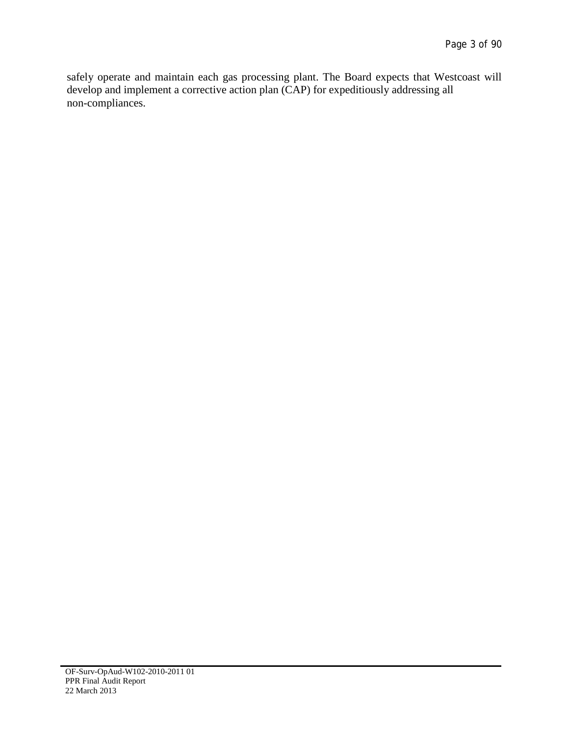safely operate and maintain each gas processing plant. The Board expects that Westcoast will develop and implement a corrective action plan (CAP) for expeditiously addressing all non-compliances.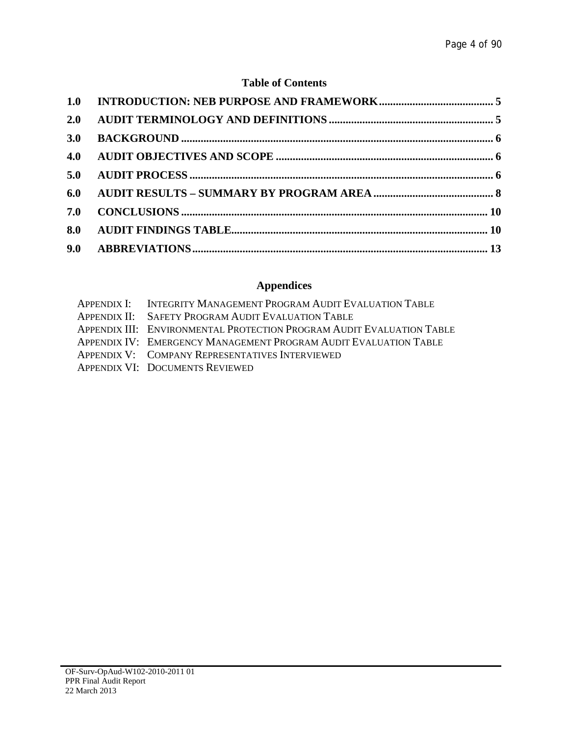# **Table of Contents**

| 2.0 |  |
|-----|--|
| 3.0 |  |
| 4.0 |  |
| 5.0 |  |
| 6.0 |  |
| 7.0 |  |
| 8.0 |  |
|     |  |

# **Appendices**

| APPENDIX I: INTEGRITY MANAGEMENT PROGRAM AUDIT EVALUATION TABLE       |
|-----------------------------------------------------------------------|
| APPENDIX II: SAFETY PROGRAM AUDIT EVALUATION TABLE                    |
| APPENDIX III: ENVIRONMENTAL PROTECTION PROGRAM AUDIT EVALUATION TABLE |
| APPENDIX IV: EMERGENCY MANAGEMENT PROGRAM AUDIT EVALUATION TABLE      |
| APPENDIX V: COMPANY REPRESENTATIVES INTERVIEWED                       |
| APPENDIX VI: DOCUMENTS REVIEWED                                       |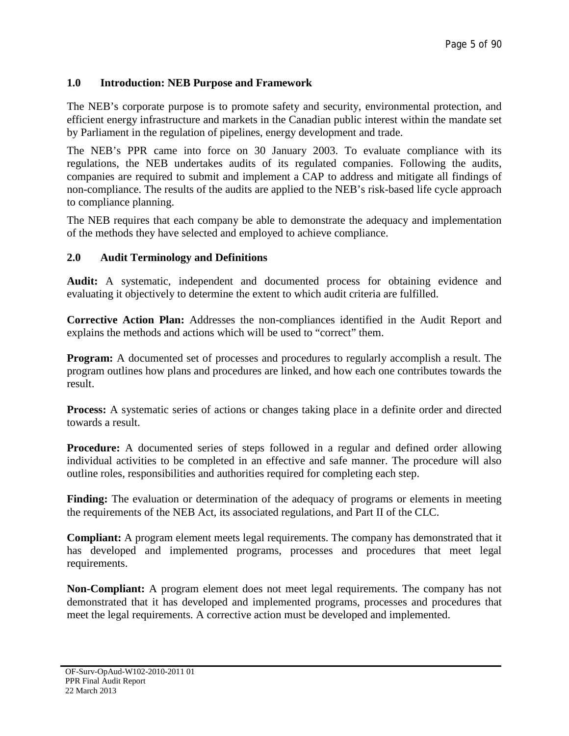# <span id="page-4-0"></span>**1.0 Introduction: NEB Purpose and Framework**

The NEB's corporate purpose is to promote safety and security, environmental protection, and efficient energy infrastructure and markets in the Canadian public interest within the mandate set by Parliament in the regulation of pipelines, energy development and trade.

The NEB's PPR came into force on 30 January 2003. To evaluate compliance with its regulations, the NEB undertakes audits of its regulated companies. Following the audits, companies are required to submit and implement a CAP to address and mitigate all findings of non-compliance. The results of the audits are applied to the NEB's risk-based life cycle approach to compliance planning.

The NEB requires that each company be able to demonstrate the adequacy and implementation of the methods they have selected and employed to achieve compliance.

### <span id="page-4-1"></span>**2.0 Audit Terminology and Definitions**

**Audit:** A systematic, independent and documented process for obtaining evidence and evaluating it objectively to determine the extent to which audit criteria are fulfilled.

**Corrective Action Plan:** Addresses the non-compliances identified in the Audit Report and explains the methods and actions which will be used to "correct" them.

**Program:** A documented set of processes and procedures to regularly accomplish a result. The program outlines how plans and procedures are linked, and how each one contributes towards the result.

**Process:** A systematic series of actions or changes taking place in a definite order and directed towards a result.

**Procedure:** A documented series of steps followed in a regular and defined order allowing individual activities to be completed in an effective and safe manner. The procedure will also outline roles, responsibilities and authorities required for completing each step.

**Finding:** The evaluation or determination of the adequacy of programs or elements in meeting the requirements of the NEB Act, its associated regulations, and Part II of the CLC.

**Compliant:** A program element meets legal requirements. The company has demonstrated that it has developed and implemented programs, processes and procedures that meet legal requirements.

**Non-Compliant:** A program element does not meet legal requirements. The company has not demonstrated that it has developed and implemented programs, processes and procedures that meet the legal requirements. A corrective action must be developed and implemented.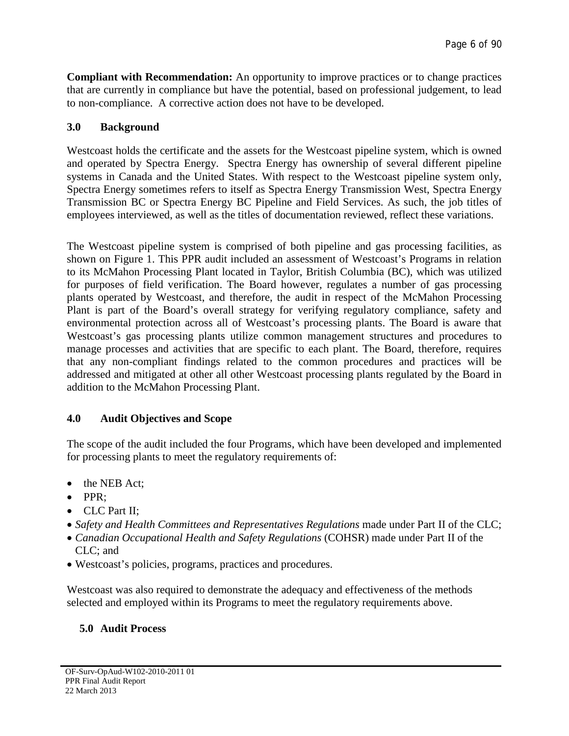**Compliant with Recommendation:** An opportunity to improve practices or to change practices that are currently in compliance but have the potential, based on professional judgement, to lead to non-compliance. A corrective action does not have to be developed.

# <span id="page-5-0"></span>**3.0 Background**

Westcoast holds the certificate and the assets for the Westcoast pipeline system, which is owned and operated by Spectra Energy. Spectra Energy has ownership of several different pipeline systems in Canada and the United States. With respect to the Westcoast pipeline system only, Spectra Energy sometimes refers to itself as Spectra Energy Transmission West, Spectra Energy Transmission BC or Spectra Energy BC Pipeline and Field Services. As such, the job titles of employees interviewed, as well as the titles of documentation reviewed, reflect these variations.

The Westcoast pipeline system is comprised of both pipeline and gas processing facilities, as shown on Figure 1. This PPR audit included an assessment of Westcoast's Programs in relation to its McMahon Processing Plant located in Taylor, British Columbia (BC), which was utilized for purposes of field verification. The Board however, regulates a number of gas processing plants operated by Westcoast, and therefore, the audit in respect of the McMahon Processing Plant is part of the Board's overall strategy for verifying regulatory compliance, safety and environmental protection across all of Westcoast's processing plants. The Board is aware that Westcoast's gas processing plants utilize common management structures and procedures to manage processes and activities that are specific to each plant. The Board, therefore, requires that any non-compliant findings related to the common procedures and practices will be addressed and mitigated at other all other Westcoast processing plants regulated by the Board in addition to the McMahon Processing Plant.

# <span id="page-5-1"></span>**4.0 Audit Objectives and Scope**

The scope of the audit included the four Programs, which have been developed and implemented for processing plants to meet the regulatory requirements of:

- the NEB Act;
- PPR;
- CLC Part II;
- *Safety and Health Committees and Representatives Regulations* made under Part II of the CLC;
- *Canadian Occupational Health and Safety Regulations* (COHSR) made under Part II of the CLC; and
- Westcoast's policies, programs, practices and procedures.

Westcoast was also required to demonstrate the adequacy and effectiveness of the methods selected and employed within its Programs to meet the regulatory requirements above.

# <span id="page-5-2"></span>**5.0 Audit Process**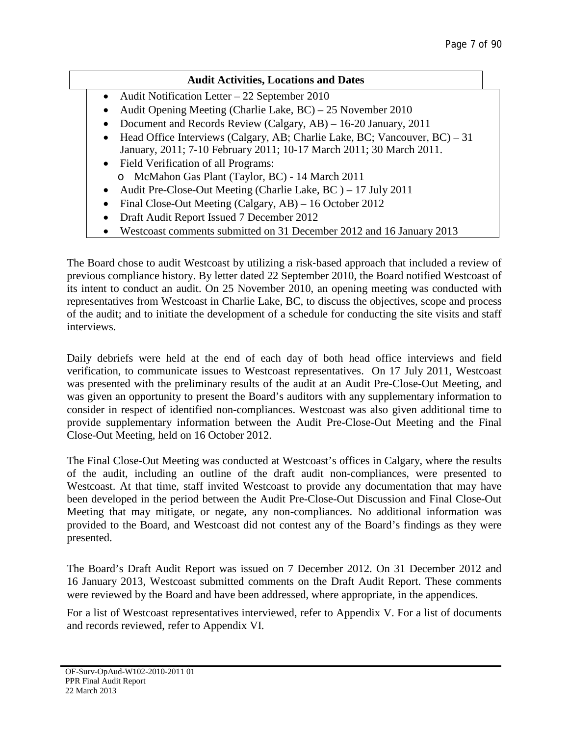# **Audit Activities, Locations and Dates**

- Audit Notification Letter 22 September 2010
- Audit Opening Meeting (Charlie Lake, BC) 25 November 2010
- Document and Records Review (Calgary, AB) 16-20 January, 2011
- Head Office Interviews (Calgary, AB; Charlie Lake, BC; Vancouver, BC) 31 January, 2011; 7-10 February 2011; 10-17 March 2011; 30 March 2011.
- Field Verification of all Programs: o McMahon Gas Plant (Taylor, BC) - 14 March 2011
- 
- Audit Pre-Close-Out Meeting (Charlie Lake, BC) 17 July 2011
- Final Close-Out Meeting (Calgary, AB) 16 October 2012
- Draft Audit Report Issued 7 December 2012
- Westcoast comments submitted on 31 December 2012 and 16 January 2013

The Board chose to audit Westcoast by utilizing a risk‐based approach that included a review of previous compliance history. By letter dated 22 September 2010, the Board notified Westcoast of its intent to conduct an audit. On 25 November 2010, an opening meeting was conducted with representatives from Westcoast in Charlie Lake, BC, to discuss the objectives, scope and process of the audit; and to initiate the development of a schedule for conducting the site visits and staff interviews.

Daily debriefs were held at the end of each day of both head office interviews and field verification, to communicate issues to Westcoast representatives. On 17 July 2011, Westcoast was presented with the preliminary results of the audit at an Audit Pre-Close-Out Meeting, and was given an opportunity to present the Board's auditors with any supplementary information to consider in respect of identified non-compliances. Westcoast was also given additional time to provide supplementary information between the Audit Pre-Close-Out Meeting and the Final Close-Out Meeting, held on 16 October 2012.

The Final Close-Out Meeting was conducted at Westcoast's offices in Calgary, where the results of the audit, including an outline of the draft audit non-compliances, were presented to Westcoast. At that time, staff invited Westcoast to provide any documentation that may have been developed in the period between the Audit Pre-Close-Out Discussion and Final Close-Out Meeting that may mitigate, or negate, any non-compliances. No additional information was provided to the Board, and Westcoast did not contest any of the Board's findings as they were presented.

The Board's Draft Audit Report was issued on 7 December 2012. On 31 December 2012 and 16 January 2013, Westcoast submitted comments on the Draft Audit Report. These comments were reviewed by the Board and have been addressed, where appropriate, in the appendices.

For a list of Westcoast representatives interviewed, refer to Appendix V. For a list of documents and records reviewed, refer to Appendix VI.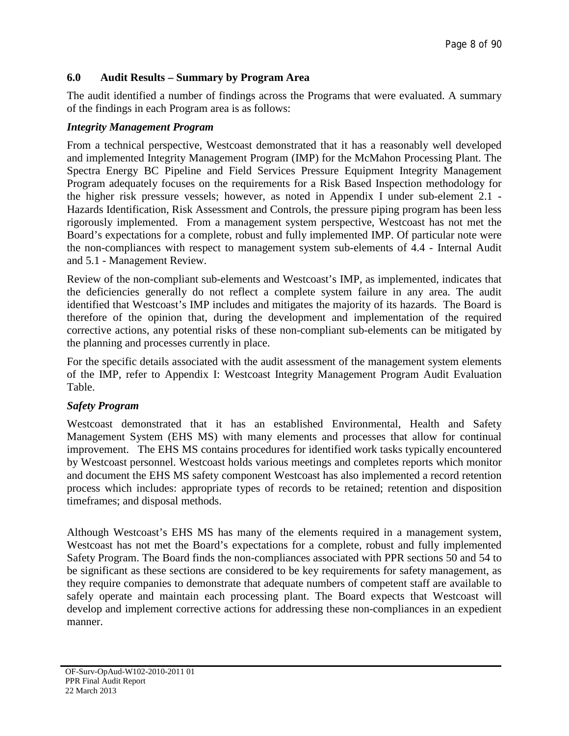# <span id="page-7-0"></span>**6.0 Audit Results – Summary by Program Area**

The audit identified a number of findings across the Programs that were evaluated. A summary of the findings in each Program area is as follows:

# *Integrity Management Program*

From a technical perspective, Westcoast demonstrated that it has a reasonably well developed and implemented Integrity Management Program (IMP) for the McMahon Processing Plant. The Spectra Energy BC Pipeline and Field Services Pressure Equipment Integrity Management Program adequately focuses on the requirements for a Risk Based Inspection methodology for the higher risk pressure vessels; however, as noted in Appendix I under sub-element 2.1 - Hazards Identification, Risk Assessment and Controls, the pressure piping program has been less rigorously implemented. From a management system perspective, Westcoast has not met the Board's expectations for a complete, robust and fully implemented IMP. Of particular note were the non-compliances with respect to management system sub-elements of 4.4 - Internal Audit and 5.1 - Management Review.

Review of the non-compliant sub-elements and Westcoast's IMP, as implemented, indicates that the deficiencies generally do not reflect a complete system failure in any area. The audit identified that Westcoast's IMP includes and mitigates the majority of its hazards. The Board is therefore of the opinion that, during the development and implementation of the required corrective actions, any potential risks of these non-compliant sub-elements can be mitigated by the planning and processes currently in place.

For the specific details associated with the audit assessment of the management system elements of the IMP, refer to Appendix I: Westcoast Integrity Management Program Audit Evaluation Table.

# *Safety Program*

Westcoast demonstrated that it has an established Environmental, Health and Safety Management System (EHS MS) with many elements and processes that allow for continual improvement. The EHS MS contains procedures for identified work tasks typically encountered by Westcoast personnel. Westcoast holds various meetings and completes reports which monitor and document the EHS MS safety component Westcoast has also implemented a record retention process which includes: appropriate types of records to be retained; retention and disposition timeframes; and disposal methods.

Although Westcoast's EHS MS has many of the elements required in a management system, Westcoast has not met the Board's expectations for a complete, robust and fully implemented Safety Program. The Board finds the non-compliances associated with PPR sections 50 and 54 to be significant as these sections are considered to be key requirements for safety management, as they require companies to demonstrate that adequate numbers of competent staff are available to safely operate and maintain each processing plant. The Board expects that Westcoast will develop and implement corrective actions for addressing these non-compliances in an expedient manner.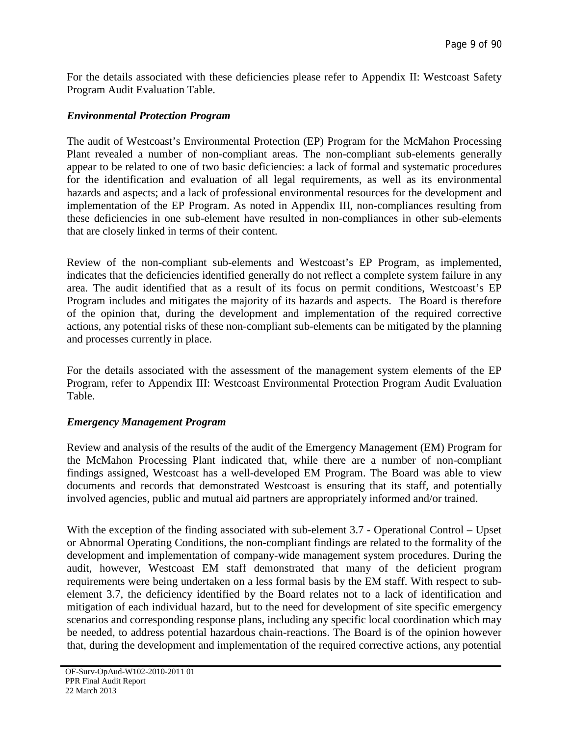For the details associated with these deficiencies please refer to Appendix II: Westcoast Safety Program Audit Evaluation Table.

### *Environmental Protection Program*

The audit of Westcoast's Environmental Protection (EP) Program for the McMahon Processing Plant revealed a number of non-compliant areas. The non-compliant sub-elements generally appear to be related to one of two basic deficiencies: a lack of formal and systematic procedures for the identification and evaluation of all legal requirements, as well as its environmental hazards and aspects; and a lack of professional environmental resources for the development and implementation of the EP Program. As noted in Appendix III, non-compliances resulting from these deficiencies in one sub-element have resulted in non-compliances in other sub-elements that are closely linked in terms of their content.

Review of the non-compliant sub-elements and Westcoast's EP Program, as implemented, indicates that the deficiencies identified generally do not reflect a complete system failure in any area. The audit identified that as a result of its focus on permit conditions, Westcoast's EP Program includes and mitigates the majority of its hazards and aspects. The Board is therefore of the opinion that, during the development and implementation of the required corrective actions, any potential risks of these non-compliant sub-elements can be mitigated by the planning and processes currently in place.

For the details associated with the assessment of the management system elements of the EP Program, refer to Appendix III: Westcoast Environmental Protection Program Audit Evaluation Table.

# *Emergency Management Program*

Review and analysis of the results of the audit of the Emergency Management (EM) Program for the McMahon Processing Plant indicated that, while there are a number of non-compliant findings assigned, Westcoast has a well-developed EM Program. The Board was able to view documents and records that demonstrated Westcoast is ensuring that its staff, and potentially involved agencies, public and mutual aid partners are appropriately informed and/or trained.

With the exception of the finding associated with sub-element 3.7 - Operational Control – Upset or Abnormal Operating Conditions, the non-compliant findings are related to the formality of the development and implementation of company-wide management system procedures. During the audit, however, Westcoast EM staff demonstrated that many of the deficient program requirements were being undertaken on a less formal basis by the EM staff. With respect to subelement 3.7, the deficiency identified by the Board relates not to a lack of identification and mitigation of each individual hazard, but to the need for development of site specific emergency scenarios and corresponding response plans, including any specific local coordination which may be needed, to address potential hazardous chain-reactions. The Board is of the opinion however that, during the development and implementation of the required corrective actions, any potential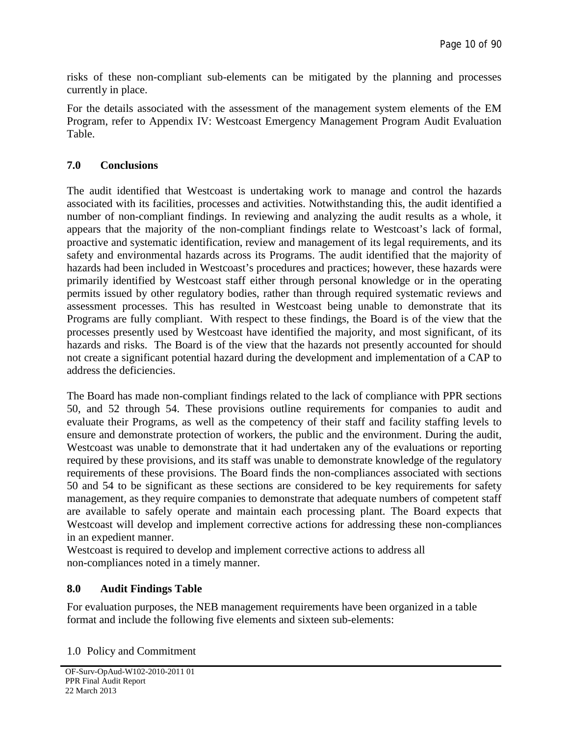risks of these non-compliant sub-elements can be mitigated by the planning and processes currently in place.

For the details associated with the assessment of the management system elements of the EM Program, refer to Appendix IV: Westcoast Emergency Management Program Audit Evaluation Table.

# <span id="page-9-0"></span>**7.0 Conclusions**

The audit identified that Westcoast is undertaking work to manage and control the hazards associated with its facilities, processes and activities. Notwithstanding this, the audit identified a number of non-compliant findings. In reviewing and analyzing the audit results as a whole, it appears that the majority of the non-compliant findings relate to Westcoast's lack of formal, proactive and systematic identification, review and management of its legal requirements, and its safety and environmental hazards across its Programs. The audit identified that the majority of hazards had been included in Westcoast's procedures and practices; however, these hazards were primarily identified by Westcoast staff either through personal knowledge or in the operating permits issued by other regulatory bodies, rather than through required systematic reviews and assessment processes. This has resulted in Westcoast being unable to demonstrate that its Programs are fully compliant. With respect to these findings, the Board is of the view that the processes presently used by Westcoast have identified the majority, and most significant, of its hazards and risks. The Board is of the view that the hazards not presently accounted for should not create a significant potential hazard during the development and implementation of a CAP to address the deficiencies.

The Board has made non-compliant findings related to the lack of compliance with PPR sections 50, and 52 through 54. These provisions outline requirements for companies to audit and evaluate their Programs, as well as the competency of their staff and facility staffing levels to ensure and demonstrate protection of workers, the public and the environment. During the audit, Westcoast was unable to demonstrate that it had undertaken any of the evaluations or reporting required by these provisions, and its staff was unable to demonstrate knowledge of the regulatory requirements of these provisions. The Board finds the non-compliances associated with sections 50 and 54 to be significant as these sections are considered to be key requirements for safety management, as they require companies to demonstrate that adequate numbers of competent staff are available to safely operate and maintain each processing plant. The Board expects that Westcoast will develop and implement corrective actions for addressing these non-compliances in an expedient manner.

Westcoast is required to develop and implement corrective actions to address all non-compliances noted in a timely manner.

# <span id="page-9-1"></span>**8.0 Audit Findings Table**

For evaluation purposes, the NEB management requirements have been organized in a table format and include the following five elements and sixteen sub-elements:

1.0 Policy and Commitment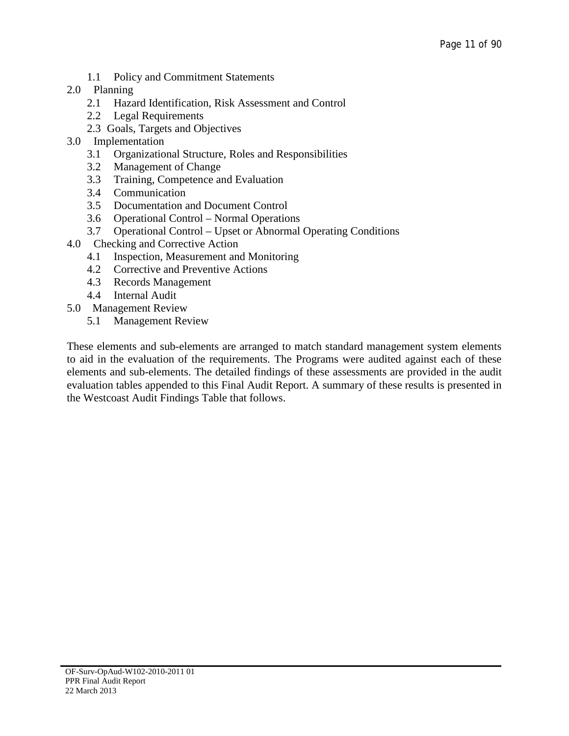- 1.1 Policy and Commitment Statements
- 2.0 Planning
	- 2.1 Hazard Identification, Risk Assessment and Control
	- 2.2 Legal Requirements
	- 2.3 Goals, Targets and Objectives
- 3.0 Implementation
	- 3.1 Organizational Structure, Roles and Responsibilities
	- 3.2 Management of Change
	- 3.3 Training, Competence and Evaluation
	- 3.4 Communication
	- 3.5 Documentation and Document Control
	- 3.6 Operational Control Normal Operations
	- 3.7 Operational Control Upset or Abnormal Operating Conditions
- 4.0 Checking and Corrective Action
	- 4.1 Inspection, Measurement and Monitoring
	- 4.2 Corrective and Preventive Actions
	- 4.3 Records Management
	- 4.4 Internal Audit
- 5.0 Management Review
	- 5.1 Management Review

These elements and sub-elements are arranged to match standard management system elements to aid in the evaluation of the requirements. The Programs were audited against each of these elements and sub-elements. The detailed findings of these assessments are provided in the audit evaluation tables appended to this Final Audit Report. A summary of these results is presented in the Westcoast Audit Findings Table that follows.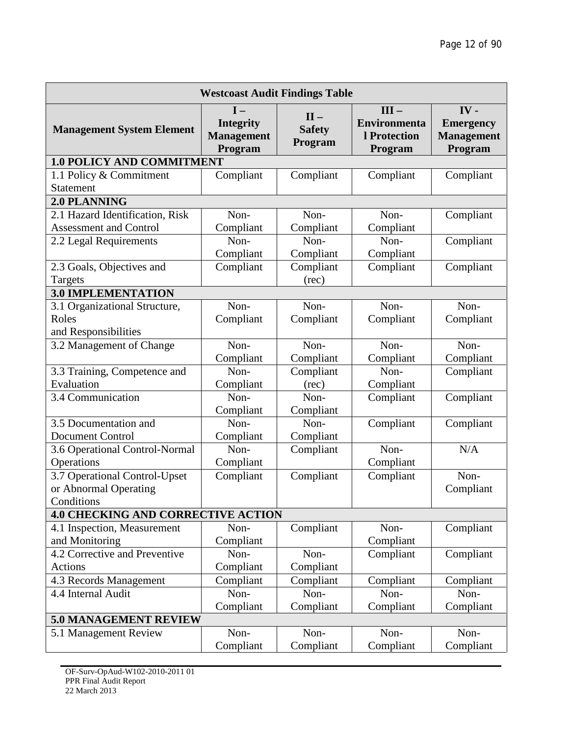| <b>Westcoast Audit Findings Table</b>                  |                                                           |                                    |                                                           |                                                            |  |  |  |  |
|--------------------------------------------------------|-----------------------------------------------------------|------------------------------------|-----------------------------------------------------------|------------------------------------------------------------|--|--|--|--|
| <b>Management System Element</b>                       | $I -$<br><b>Integrity</b><br><b>Management</b><br>Program | $II -$<br><b>Safety</b><br>Program | $III -$<br><b>Environmenta</b><br>l Protection<br>Program | $IV -$<br><b>Emergency</b><br><b>Management</b><br>Program |  |  |  |  |
| <b>1.0 POLICY AND COMMITMENT</b>                       |                                                           |                                    |                                                           |                                                            |  |  |  |  |
| 1.1 Policy & Commitment<br>Statement                   | Compliant                                                 | Compliant                          | Compliant                                                 | Compliant                                                  |  |  |  |  |
| 2.0 PLANNING                                           |                                                           |                                    |                                                           |                                                            |  |  |  |  |
| 2.1 Hazard Identification, Risk                        | Non-                                                      | Non-                               | Non-                                                      | Compliant                                                  |  |  |  |  |
| <b>Assessment and Control</b>                          | Compliant                                                 | Compliant                          | Compliant                                                 |                                                            |  |  |  |  |
| 2.2 Legal Requirements                                 | Non-                                                      | Non-                               | Non-                                                      | Compliant                                                  |  |  |  |  |
|                                                        | Compliant                                                 | Compliant                          | Compliant                                                 |                                                            |  |  |  |  |
| 2.3 Goals, Objectives and                              | Compliant                                                 | Compliant                          | Compliant                                                 | Compliant                                                  |  |  |  |  |
| Targets                                                |                                                           | (rec)                              |                                                           |                                                            |  |  |  |  |
| <b>3.0 IMPLEMENTATION</b>                              |                                                           |                                    |                                                           |                                                            |  |  |  |  |
| 3.1 Organizational Structure,                          | Non-                                                      | Non-                               | Non-                                                      | Non-                                                       |  |  |  |  |
| Roles                                                  | Compliant                                                 | Compliant                          | Compliant                                                 | Compliant                                                  |  |  |  |  |
| and Responsibilities                                   |                                                           |                                    |                                                           |                                                            |  |  |  |  |
| 3.2 Management of Change                               | Non-                                                      | Non-                               | Non-                                                      | Non-                                                       |  |  |  |  |
|                                                        | Compliant                                                 | Compliant                          | Compliant                                                 | Compliant                                                  |  |  |  |  |
| 3.3 Training, Competence and                           | Non-                                                      | Compliant                          | Non-                                                      | Compliant                                                  |  |  |  |  |
| Evaluation                                             | Compliant                                                 | (rec)                              | Compliant                                                 |                                                            |  |  |  |  |
| 3.4 Communication                                      | Non-                                                      | Non-                               | Compliant                                                 | Compliant                                                  |  |  |  |  |
|                                                        | Compliant                                                 | Compliant                          |                                                           |                                                            |  |  |  |  |
| 3.5 Documentation and                                  | Non-                                                      | Non-                               | Compliant                                                 | Compliant                                                  |  |  |  |  |
| <b>Document Control</b>                                | Compliant                                                 | Compliant                          |                                                           |                                                            |  |  |  |  |
| 3.6 Operational Control-Normal                         | Non-                                                      | Compliant                          | Non-                                                      | N/A                                                        |  |  |  |  |
| Operations                                             | Compliant                                                 |                                    | Compliant                                                 |                                                            |  |  |  |  |
| 3.7 Operational Control-Upset<br>or Abnormal Operating | Compliant                                                 | Compliant                          | Compliant                                                 | Non-                                                       |  |  |  |  |
| Conditions                                             |                                                           |                                    |                                                           | Compliant                                                  |  |  |  |  |
| <b>4.0 CHECKING AND CORRECTIVE ACTION</b>              |                                                           |                                    |                                                           |                                                            |  |  |  |  |
| 4.1 Inspection, Measurement                            | Non-                                                      | Compliant                          | Non-                                                      | Compliant                                                  |  |  |  |  |
| and Monitoring                                         | Compliant                                                 |                                    | Compliant                                                 |                                                            |  |  |  |  |
| 4.2 Corrective and Preventive                          | Non-                                                      | Non-                               | Compliant                                                 | Compliant                                                  |  |  |  |  |
| Actions                                                | Compliant                                                 | Compliant                          |                                                           |                                                            |  |  |  |  |
| 4.3 Records Management                                 | Compliant                                                 | Compliant                          | Compliant                                                 | Compliant                                                  |  |  |  |  |
| 4.4 Internal Audit                                     | Non-                                                      | Non-                               | Non-                                                      | Non-                                                       |  |  |  |  |
|                                                        | Compliant                                                 | Compliant                          | Compliant                                                 | Compliant                                                  |  |  |  |  |
| <b>5.0 MANAGEMENT REVIEW</b>                           |                                                           |                                    |                                                           |                                                            |  |  |  |  |
| 5.1 Management Review                                  | Non-                                                      | Non-                               | Non-                                                      | Non-                                                       |  |  |  |  |
|                                                        | Compliant                                                 | Compliant                          | Compliant                                                 | Compliant                                                  |  |  |  |  |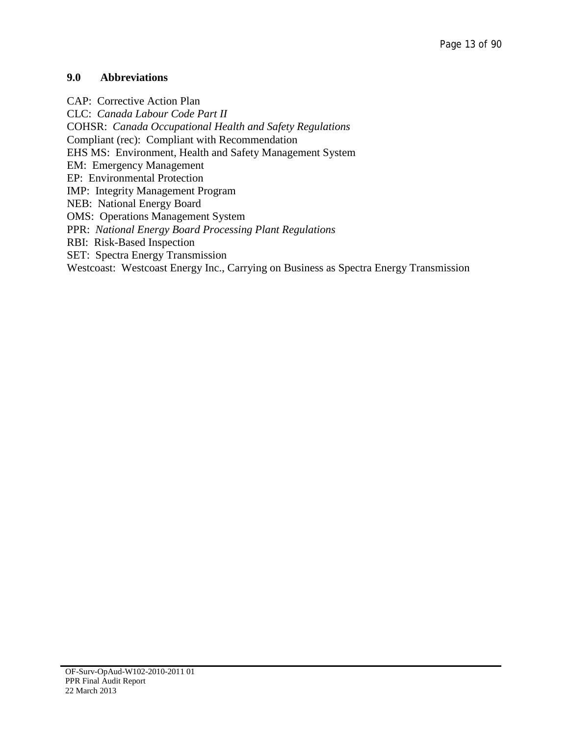# <span id="page-12-0"></span>**9.0 Abbreviations**

CAP: Corrective Action Plan CLC: *Canada Labour Code Part II* COHSR: *Canada Occupational Health and Safety Regulations* Compliant (rec): Compliant with Recommendation EHS MS: Environment, Health and Safety Management System EM: Emergency Management EP: Environmental Protection IMP: Integrity Management Program NEB: National Energy Board OMS: Operations Management System PPR: *National Energy Board Processing Plant Regulations* RBI: Risk-Based Inspection SET: Spectra Energy Transmission Westcoast: Westcoast Energy Inc., Carrying on Business as Spectra Energy Transmission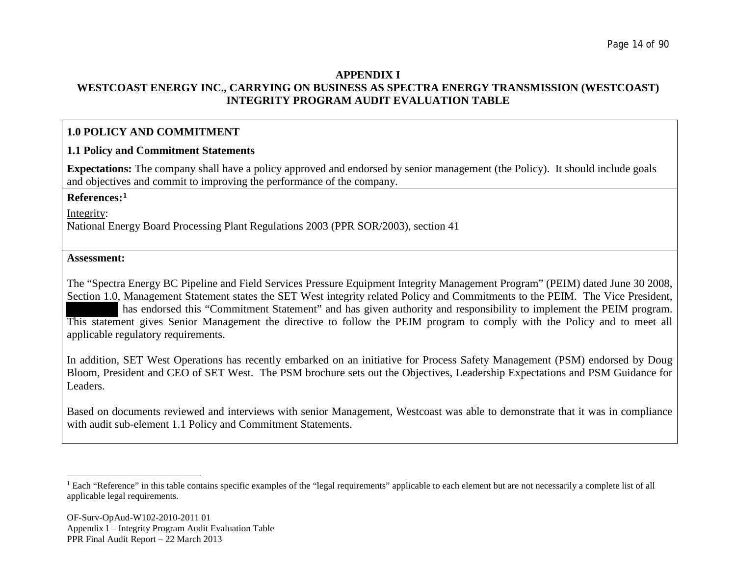### <span id="page-13-0"></span>**APPENDIX I WESTCOAST ENERGY INC., CARRYING ON BUSINESS AS SPECTRA ENERGY TRANSMISSION (WESTCOAST) INTEGRITY PROGRAM AUDIT EVALUATION TABLE**

# **1.0 POLICY AND COMMITMENT**

# **1.1 Policy and Commitment Statements**

**Expectations:** The company shall have a policy approved and endorsed by senior management (the Policy). It should include goals and objectives and commit to improving the performance of the company.

#### **References:[1](#page-13-0)**

Integrity:

National Energy Board Processing Plant Regulations 2003 (PPR SOR/2003), section 41

#### **Assessment:**

The "Spectra Energy BC Pipeline and Field Services Pressure Equipment Integrity Management Program" (PEIM) dated June 30 2008, Section 1.0, Management Statement states the SET West integrity related Policy and Commitments to the PEIM. The Vice President, has endorsed this "Commitment Statement" and has given authority and responsibility to implement the PEIM program. This statement gives Senior Management the directive to follow the PEIM program to comply with the Policy and to meet all applicable regulatory requirements.

In addition, SET West Operations has recently embarked on an initiative for Process Safety Management (PSM) endorsed by Doug Bloom, President and CEO of SET West. The PSM brochure sets out the Objectives, Leadership Expectations and PSM Guidance for Leaders.

Based on documents reviewed and interviews with senior Management, Westcoast was able to demonstrate that it was in compliance with audit sub-element 1.1 Policy and Commitment Statements.

<sup>&</sup>lt;sup>1</sup> Each "Reference" in this table contains specific examples of the "legal requirements" applicable to each element but are not necessarily a complete list of all applicable legal requirements.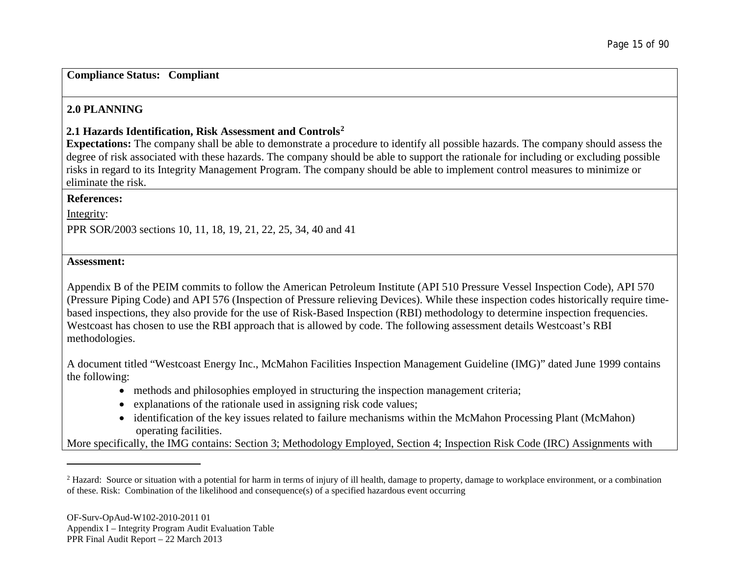### <span id="page-14-0"></span>**Compliance Status: Compliant**

# **2.0 PLANNING**

# **2.1 Hazards Identification, Risk Assessment and Controls[2](#page-14-0)**

**Expectations:** The company shall be able to demonstrate a procedure to identify all possible hazards. The company should assess the degree of risk associated with these hazards. The company should be able to support the rationale for including or excluding possible risks in regard to its Integrity Management Program. The company should be able to implement control measures to minimize or eliminate the risk.

# **References:**

Integrity:

PPR SOR/2003 sections 10, 11, 18, 19, 21, 22, 25, 34, 40 and 41

### **Assessment:**

Appendix B of the PEIM commits to follow the American Petroleum Institute (API 510 Pressure Vessel Inspection Code), API 570 (Pressure Piping Code) and API 576 (Inspection of Pressure relieving Devices). While these inspection codes historically require timebased inspections, they also provide for the use of Risk-Based Inspection (RBI) methodology to determine inspection frequencies. Westcoast has chosen to use the RBI approach that is allowed by code. The following assessment details Westcoast's RBI methodologies.

A document titled "Westcoast Energy Inc., McMahon Facilities Inspection Management Guideline (IMG)" dated June 1999 contains the following:

- methods and philosophies employed in structuring the inspection management criteria;
- explanations of the rationale used in assigning risk code values;
- identification of the key issues related to failure mechanisms within the McMahon Processing Plant (McMahon) operating facilities.

More specifically, the IMG contains: Section 3; Methodology Employed, Section 4; Inspection Risk Code (IRC) Assignments with

<sup>&</sup>lt;sup>2</sup> Hazard: Source or situation with a potential for harm in terms of injury of ill health, damage to property, damage to workplace environment, or a combination of these. Risk: Combination of the likelihood and consequence(s) of a specified hazardous event occurring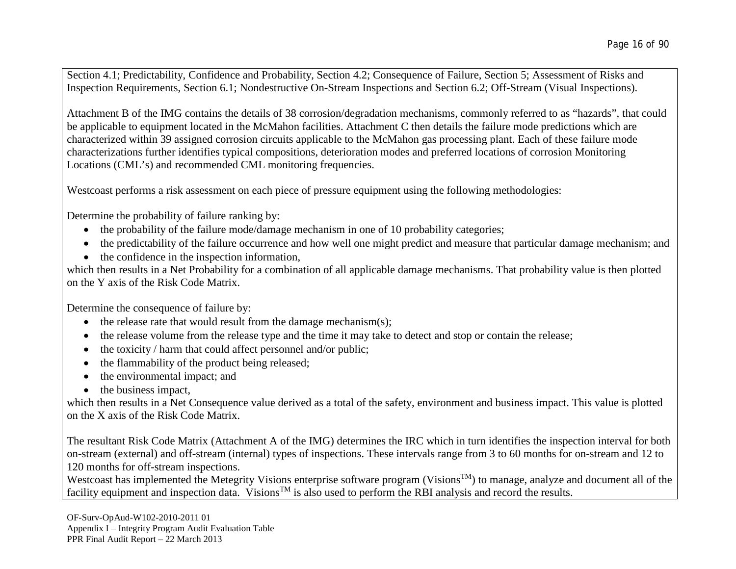Section 4.1; Predictability, Confidence and Probability, Section 4.2; Consequence of Failure, Section 5; Assessment of Risks and Inspection Requirements, Section 6.1; Nondestructive On-Stream Inspections and Section 6.2; Off-Stream (Visual Inspections).

Attachment B of the IMG contains the details of 38 corrosion/degradation mechanisms, commonly referred to as "hazards", that could be applicable to equipment located in the McMahon facilities. Attachment C then details the failure mode predictions which are characterized within 39 assigned corrosion circuits applicable to the McMahon gas processing plant. Each of these failure mode characterizations further identifies typical compositions, deterioration modes and preferred locations of corrosion Monitoring Locations (CML's) and recommended CML monitoring frequencies.

Westcoast performs a risk assessment on each piece of pressure equipment using the following methodologies:

Determine the probability of failure ranking by:

- the probability of the failure mode/damage mechanism in one of 10 probability categories;
- the predictability of the failure occurrence and how well one might predict and measure that particular damage mechanism; and
- the confidence in the inspection information,

which then results in a Net Probability for a combination of all applicable damage mechanisms. That probability value is then plotted on the Y axis of the Risk Code Matrix.

Determine the consequence of failure by:

- the release rate that would result from the damage mechanism $(s)$ ;
- the release volume from the release type and the time it may take to detect and stop or contain the release;
- the toxicity / harm that could affect personnel and/or public;
- the flammability of the product being released;
- the environmental impact; and
- the business impact,

which then results in a Net Consequence value derived as a total of the safety, environment and business impact. This value is plotted on the X axis of the Risk Code Matrix.

The resultant Risk Code Matrix (Attachment A of the IMG) determines the IRC which in turn identifies the inspection interval for both on-stream (external) and off-stream (internal) types of inspections. These intervals range from 3 to 60 months for on-stream and 12 to 120 months for off-stream inspections.

Westcoast has implemented the Metegrity Visions enterprise software program (Visions<sup>TM</sup>) to manage, analyze and document all of the facility equipment and inspection data. Visions<sup>TM</sup> is also used to perform the RBI analysis and record the results.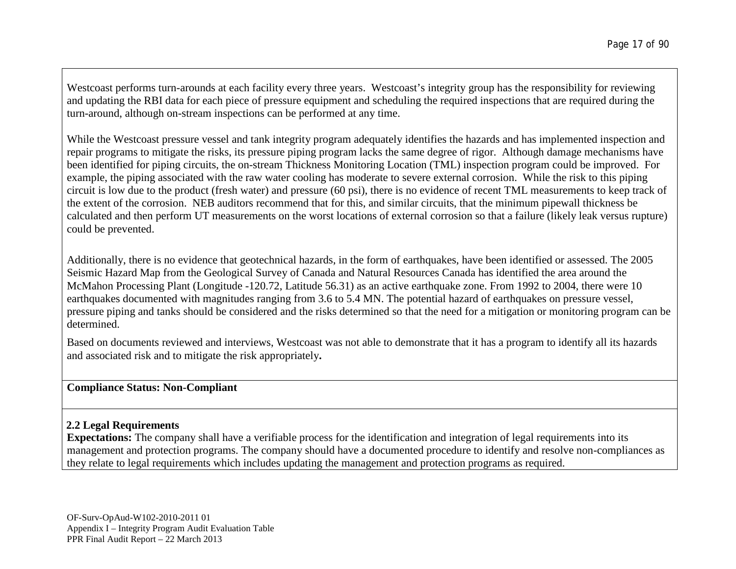Westcoast performs turn-arounds at each facility every three years. Westcoast's integrity group has the responsibility for reviewing and updating the RBI data for each piece of pressure equipment and scheduling the required inspections that are required during the turn-around, although on-stream inspections can be performed at any time.

While the Westcoast pressure vessel and tank integrity program adequately identifies the hazards and has implemented inspection and repair programs to mitigate the risks, its pressure piping program lacks the same degree of rigor. Although damage mechanisms have been identified for piping circuits, the on-stream Thickness Monitoring Location (TML) inspection program could be improved. For example, the piping associated with the raw water cooling has moderate to severe external corrosion. While the risk to this piping circuit is low due to the product (fresh water) and pressure (60 psi), there is no evidence of recent TML measurements to keep track of the extent of the corrosion. NEB auditors recommend that for this, and similar circuits, that the minimum pipewall thickness be calculated and then perform UT measurements on the worst locations of external corrosion so that a failure (likely leak versus rupture) could be prevented.

Additionally, there is no evidence that geotechnical hazards, in the form of earthquakes, have been identified or assessed. The 2005 Seismic Hazard Map from the Geological Survey of Canada and Natural Resources Canada has identified the area around the McMahon Processing Plant (Longitude -120.72, Latitude 56.31) as an active earthquake zone. From 1992 to 2004, there were 10 earthquakes documented with magnitudes ranging from 3.6 to 5.4 MN. The potential hazard of earthquakes on pressure vessel, pressure piping and tanks should be considered and the risks determined so that the need for a mitigation or monitoring program can be determined.

Based on documents reviewed and interviews, Westcoast was not able to demonstrate that it has a program to identify all its hazards and associated risk and to mitigate the risk appropriately**.**

### **Compliance Status: Non-Compliant**

# **2.2 Legal Requirements**

**Expectations:** The company shall have a verifiable process for the identification and integration of legal requirements into its management and protection programs. The company should have a documented procedure to identify and resolve non-compliances as they relate to legal requirements which includes updating the management and protection programs as required.

OF-Surv-OpAud-W102-2010-2011 01 Appendix I – Integrity Program Audit Evaluation Table PPR Final Audit Report – 22 March 2013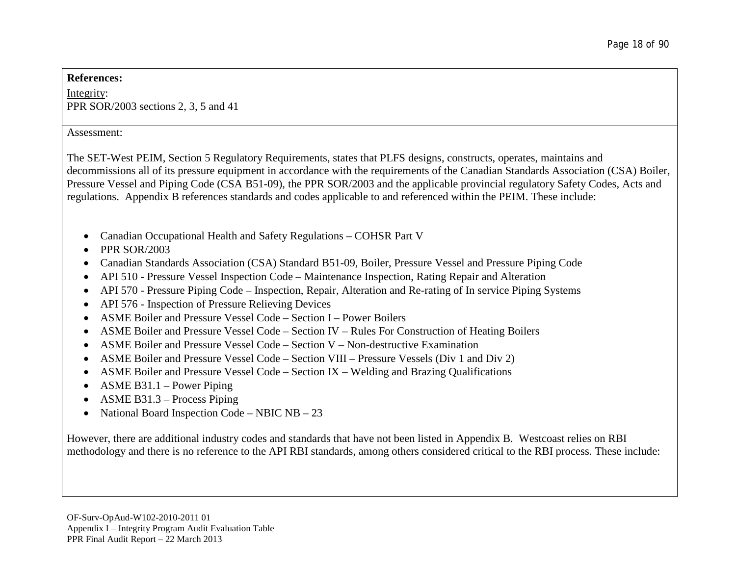#### **References:**

Integrity: PPR SOR/2003 sections 2, 3, 5 and 41

#### Assessment:

The SET-West PEIM, Section 5 Regulatory Requirements, states that PLFS designs, constructs, operates, maintains and decommissions all of its pressure equipment in accordance with the requirements of the Canadian Standards Association (CSA) Boiler, Pressure Vessel and Piping Code (CSA B51-09), the PPR SOR/2003 and the applicable provincial regulatory Safety Codes, Acts and regulations. Appendix B references standards and codes applicable to and referenced within the PEIM. These include:

- Canadian Occupational Health and Safety Regulations COHSR Part V
- $\bullet$  PPR SOR/2003
- Canadian Standards Association (CSA) Standard B51-09, Boiler, Pressure Vessel and Pressure Piping Code
- API 510 Pressure Vessel Inspection Code Maintenance Inspection, Rating Repair and Alteration
- API 570 Pressure Piping Code Inspection, Repair, Alteration and Re-rating of In service Piping Systems
- API 576 Inspection of Pressure Relieving Devices
- ASME Boiler and Pressure Vessel Code Section I Power Boilers
- ASME Boiler and Pressure Vessel Code Section IV Rules For Construction of Heating Boilers
- ASME Boiler and Pressure Vessel Code Section V Non-destructive Examination
- ASME Boiler and Pressure Vessel Code Section VIII Pressure Vessels (Div 1 and Div 2)
- ASME Boiler and Pressure Vessel Code Section IX Welding and Brazing Qualifications
- ASME B31.1 Power Piping
- ASME B31.3 Process Piping
- National Board Inspection Code NBIC NB 23

However, there are additional industry codes and standards that have not been listed in Appendix B. Westcoast relies on RBI methodology and there is no reference to the API RBI standards, among others considered critical to the RBI process. These include: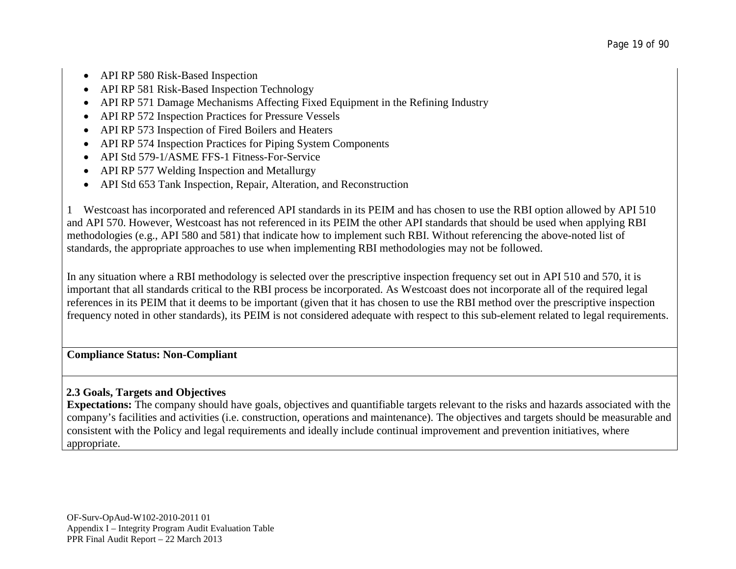- API RP 580 Risk-Based Inspection
- API RP 581 Risk-Based Inspection Technology
- API RP 571 Damage Mechanisms Affecting Fixed Equipment in the Refining Industry
- API RP 572 Inspection Practices for Pressure Vessels
- API RP 573 Inspection of Fired Boilers and Heaters
- API RP 574 Inspection Practices for Piping System Components
- API Std 579-1/ASME FFS-1 Fitness-For-Service
- API RP 577 Welding Inspection and Metallurgy
- API Std 653 Tank Inspection, Repair, Alteration, and Reconstruction

1 Westcoast has incorporated and referenced API standards in its PEIM and has chosen to use the RBI option allowed by API 510 and API 570. However, Westcoast has not referenced in its PEIM the other API standards that should be used when applying RBI methodologies (e.g., API 580 and 581) that indicate how to implement such RBI. Without referencing the above-noted list of standards, the appropriate approaches to use when implementing RBI methodologies may not be followed.

In any situation where a RBI methodology is selected over the prescriptive inspection frequency set out in API 510 and 570, it is important that all standards critical to the RBI process be incorporated. As Westcoast does not incorporate all of the required legal references in its PEIM that it deems to be important (given that it has chosen to use the RBI method over the prescriptive inspection frequency noted in other standards), its PEIM is not considered adequate with respect to this sub-element related to legal requirements.

# **Compliance Status: Non-Compliant**

# **2.3 Goals, Targets and Objectives**

**Expectations:** The company should have goals, objectives and quantifiable targets relevant to the risks and hazards associated with the company's facilities and activities (i.e. construction, operations and maintenance). The objectives and targets should be measurable and consistent with the Policy and legal requirements and ideally include continual improvement and prevention initiatives, where appropriate.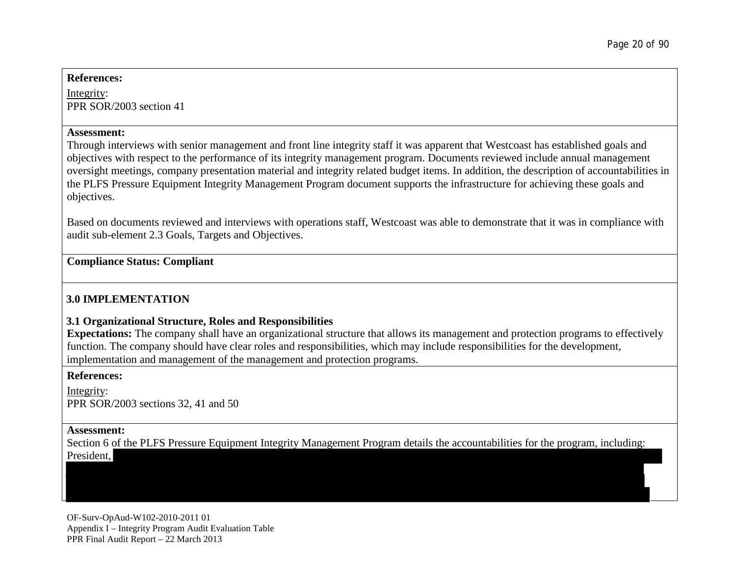#### **References:**

Integrity: PPR SOR/2003 section 41

#### **Assessment:**

Through interviews with senior management and front line integrity staff it was apparent that Westcoast has established goals and objectives with respect to the performance of its integrity management program. Documents reviewed include annual management oversight meetings, company presentation material and integrity related budget items. In addition, the description of accountabilities in the PLFS Pressure Equipment Integrity Management Program document supports the infrastructure for achieving these goals and objectives.

Based on documents reviewed and interviews with operations staff, Westcoast was able to demonstrate that it was in compliance with audit sub-element 2.3 Goals, Targets and Objectives.

# **Compliance Status: Compliant**

# **3.0 IMPLEMENTATION**

# **3.1 Organizational Structure, Roles and Responsibilities**

**Expectations:** The company shall have an organizational structure that allows its management and protection programs to effectively function. The company should have clear roles and responsibilities, which may include responsibilities for the development, implementation and management of the management and protection programs.

### **References:**

Integrity: PPR SOR/2003 sections 32, 41 and 50

#### **Assessment:**

Section 6 of the PLFS Pressure Equipment Integrity Management Program details the accountabilities for the program, including:

President,

OF-Surv-OpAud-W102-2010-2011 01 Appendix I – Integrity Program Audit Evaluation Table PPR Final Audit Report – 22 March 2013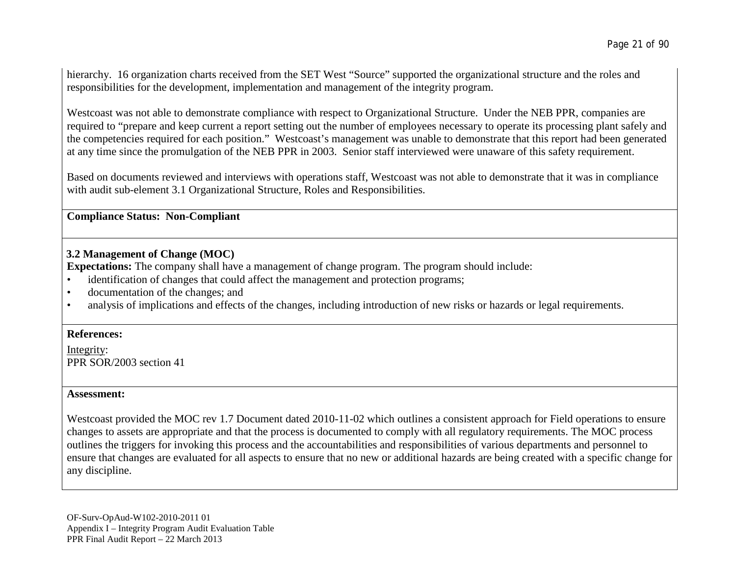hierarchy. 16 organization charts received from the SET West "Source" supported the organizational structure and the roles and responsibilities for the development, implementation and management of the integrity program.

Westcoast was not able to demonstrate compliance with respect to Organizational Structure. Under the NEB PPR, companies are required to "prepare and keep current a report setting out the number of employees necessary to operate its processing plant safely and the competencies required for each position." Westcoast's management was unable to demonstrate that this report had been generated at any time since the promulgation of the NEB PPR in 2003. Senior staff interviewed were unaware of this safety requirement.

Based on documents reviewed and interviews with operations staff, Westcoast was not able to demonstrate that it was in compliance with audit sub-element 3.1 Organizational Structure, Roles and Responsibilities.

### **Compliance Status: Non-Compliant**

# **3.2 Management of Change (MOC)**

**Expectations:** The company shall have a management of change program. The program should include:

- identification of changes that could affect the management and protection programs;
- documentation of the changes; and
- analysis of implications and effects of the changes, including introduction of new risks or hazards or legal requirements.

# **References:**

Integrity: PPR SOR/2003 section 41

### **Assessment:**

Westcoast provided the MOC rev 1.7 Document dated 2010-11-02 which outlines a consistent approach for Field operations to ensure changes to assets are appropriate and that the process is documented to comply with all regulatory requirements. The MOC process outlines the triggers for invoking this process and the accountabilities and responsibilities of various departments and personnel to ensure that changes are evaluated for all aspects to ensure that no new or additional hazards are being created with a specific change for any discipline.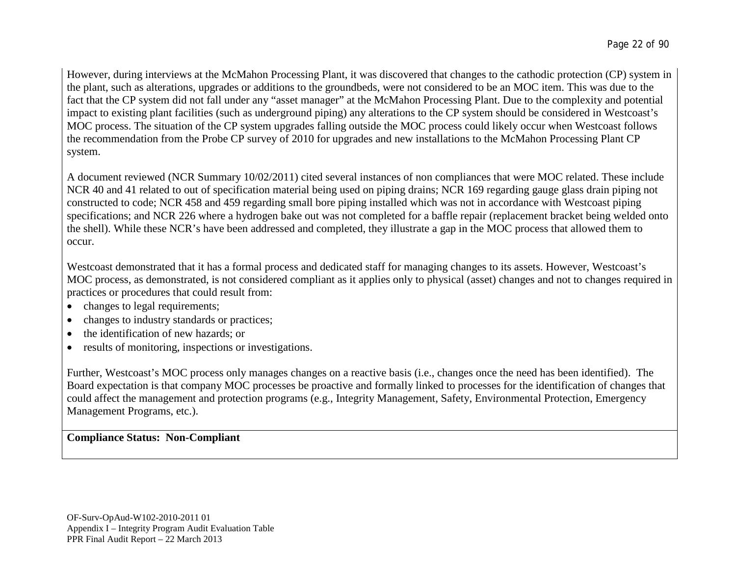However, during interviews at the McMahon Processing Plant, it was discovered that changes to the cathodic protection (CP) system in the plant, such as alterations, upgrades or additions to the groundbeds, were not considered to be an MOC item. This was due to the fact that the CP system did not fall under any "asset manager" at the McMahon Processing Plant. Due to the complexity and potential impact to existing plant facilities (such as underground piping) any alterations to the CP system should be considered in Westcoast's MOC process. The situation of the CP system upgrades falling outside the MOC process could likely occur when Westcoast follows the recommendation from the Probe CP survey of 2010 for upgrades and new installations to the McMahon Processing Plant CP system.

A document reviewed (NCR Summary 10/02/2011) cited several instances of non compliances that were MOC related. These include NCR 40 and 41 related to out of specification material being used on piping drains; NCR 169 regarding gauge glass drain piping not constructed to code; NCR 458 and 459 regarding small bore piping installed which was not in accordance with Westcoast piping specifications; and NCR 226 where a hydrogen bake out was not completed for a baffle repair (replacement bracket being welded onto the shell). While these NCR's have been addressed and completed, they illustrate a gap in the MOC process that allowed them to occur.

Westcoast demonstrated that it has a formal process and dedicated staff for managing changes to its assets. However, Westcoast's MOC process, as demonstrated, is not considered compliant as it applies only to physical (asset) changes and not to changes required in practices or procedures that could result from:

- changes to legal requirements;
- changes to industry standards or practices;
- the identification of new hazards; or
- results of monitoring, inspections or investigations.

Further, Westcoast's MOC process only manages changes on a reactive basis (i.e., changes once the need has been identified). The Board expectation is that company MOC processes be proactive and formally linked to processes for the identification of changes that could affect the management and protection programs (e.g., Integrity Management, Safety, Environmental Protection, Emergency Management Programs, etc.).

# **Compliance Status: Non-Compliant**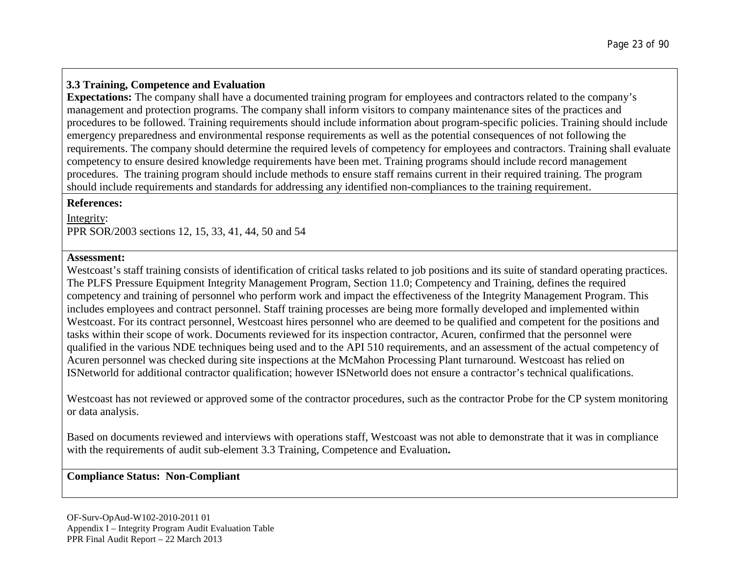# **3.3 Training, Competence and Evaluation**

**Expectations:** The company shall have a documented training program for employees and contractors related to the company's management and protection programs. The company shall inform visitors to company maintenance sites of the practices and procedures to be followed. Training requirements should include information about program-specific policies. Training should include emergency preparedness and environmental response requirements as well as the potential consequences of not following the requirements. The company should determine the required levels of competency for employees and contractors. Training shall evaluate competency to ensure desired knowledge requirements have been met. Training programs should include record management procedures. The training program should include methods to ensure staff remains current in their required training. The program should include requirements and standards for addressing any identified non-compliances to the training requirement.

### **References:**

Integrity: PPR SOR/2003 sections 12, 15, 33, 41, 44, 50 and 54

### **Assessment:**

Westcoast's staff training consists of identification of critical tasks related to job positions and its suite of standard operating practices. The PLFS Pressure Equipment Integrity Management Program, Section 11.0; Competency and Training, defines the required competency and training of personnel who perform work and impact the effectiveness of the Integrity Management Program. This includes employees and contract personnel. Staff training processes are being more formally developed and implemented within Westcoast. For its contract personnel, Westcoast hires personnel who are deemed to be qualified and competent for the positions and tasks within their scope of work. Documents reviewed for its inspection contractor, Acuren, confirmed that the personnel were qualified in the various NDE techniques being used and to the API 510 requirements, and an assessment of the actual competency of Acuren personnel was checked during site inspections at the McMahon Processing Plant turnaround. Westcoast has relied on ISNetworld for additional contractor qualification; however ISNetworld does not ensure a contractor's technical qualifications.

Westcoast has not reviewed or approved some of the contractor procedures, such as the contractor Probe for the CP system monitoring or data analysis.

Based on documents reviewed and interviews with operations staff, Westcoast was not able to demonstrate that it was in compliance with the requirements of audit sub-element 3.3 Training, Competence and Evaluation**.**

# **Compliance Status: Non-Compliant**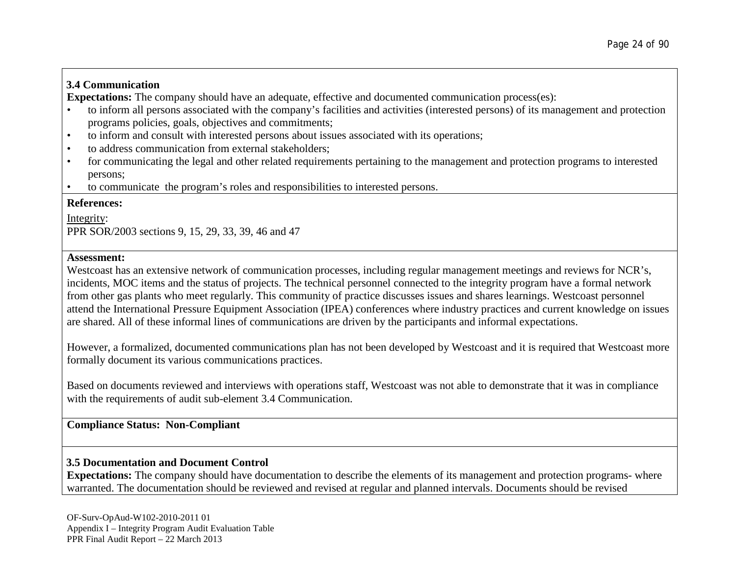# **3.4 Communication**

**Expectations:** The company should have an adequate, effective and documented communication process(es):

- to inform all persons associated with the company's facilities and activities (interested persons) of its management and protection programs policies, goals, objectives and commitments;
- to inform and consult with interested persons about issues associated with its operations;
- to address communication from external stakeholders:
- for communicating the legal and other related requirements pertaining to the management and protection programs to interested persons;
- to communicate the program's roles and responsibilities to interested persons.

# **References:**

Integrity: PPR SOR/2003 sections 9, 15, 29, 33, 39, 46 and 47

# **Assessment:**

Westcoast has an extensive network of communication processes, including regular management meetings and reviews for NCR's, incidents, MOC items and the status of projects. The technical personnel connected to the integrity program have a formal network from other gas plants who meet regularly. This community of practice discusses issues and shares learnings. Westcoast personnel attend the International Pressure Equipment Association (IPEA) conferences where industry practices and current knowledge on issues are shared. All of these informal lines of communications are driven by the participants and informal expectations.

However, a formalized, documented communications plan has not been developed by Westcoast and it is required that Westcoast more formally document its various communications practices.

Based on documents reviewed and interviews with operations staff, Westcoast was not able to demonstrate that it was in compliance with the requirements of audit sub-element 3.4 Communication.

# **Compliance Status: Non-Compliant**

# **3.5 Documentation and Document Control**

**Expectations:** The company should have documentation to describe the elements of its management and protection programs- where warranted. The documentation should be reviewed and revised at regular and planned intervals. Documents should be revised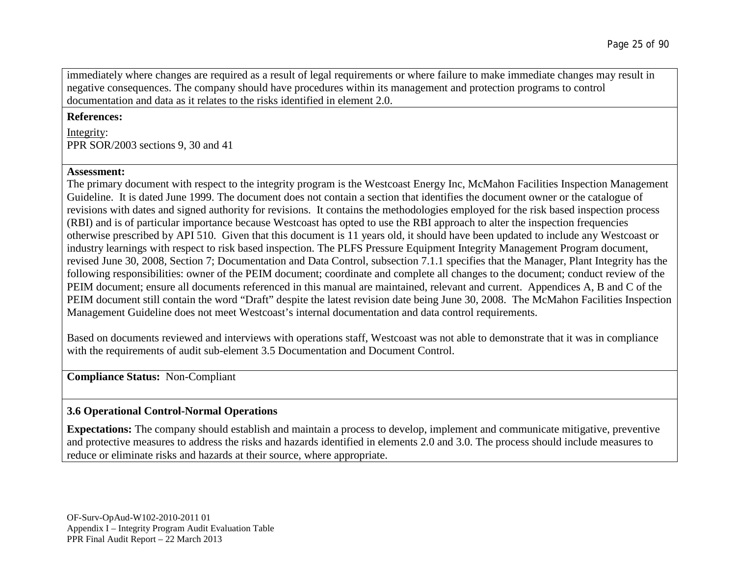immediately where changes are required as a result of legal requirements or where failure to make immediate changes may result in negative consequences. The company should have procedures within its management and protection programs to control documentation and data as it relates to the risks identified in element 2.0.

#### **References:**

Integrity: PPR SOR/2003 sections 9, 30 and 41

#### **Assessment:**

The primary document with respect to the integrity program is the Westcoast Energy Inc, McMahon Facilities Inspection Management Guideline. It is dated June 1999. The document does not contain a section that identifies the document owner or the catalogue of revisions with dates and signed authority for revisions. It contains the methodologies employed for the risk based inspection process (RBI) and is of particular importance because Westcoast has opted to use the RBI approach to alter the inspection frequencies otherwise prescribed by API 510. Given that this document is 11 years old, it should have been updated to include any Westcoast or industry learnings with respect to risk based inspection. The PLFS Pressure Equipment Integrity Management Program document, revised June 30, 2008, Section 7; Documentation and Data Control, subsection 7.1.1 specifies that the Manager, Plant Integrity has the following responsibilities: owner of the PEIM document; coordinate and complete all changes to the document; conduct review of the PEIM document; ensure all documents referenced in this manual are maintained, relevant and current. Appendices A, B and C of the PEIM document still contain the word "Draft" despite the latest revision date being June 30, 2008. The McMahon Facilities Inspection Management Guideline does not meet Westcoast's internal documentation and data control requirements.

Based on documents reviewed and interviews with operations staff, Westcoast was not able to demonstrate that it was in compliance with the requirements of audit sub-element 3.5 Documentation and Document Control.

**Compliance Status:** Non-Compliant

# **3.6 Operational Control-Normal Operations**

**Expectations:** The company should establish and maintain a process to develop, implement and communicate mitigative, preventive and protective measures to address the risks and hazards identified in elements 2.0 and 3.0. The process should include measures to reduce or eliminate risks and hazards at their source, where appropriate.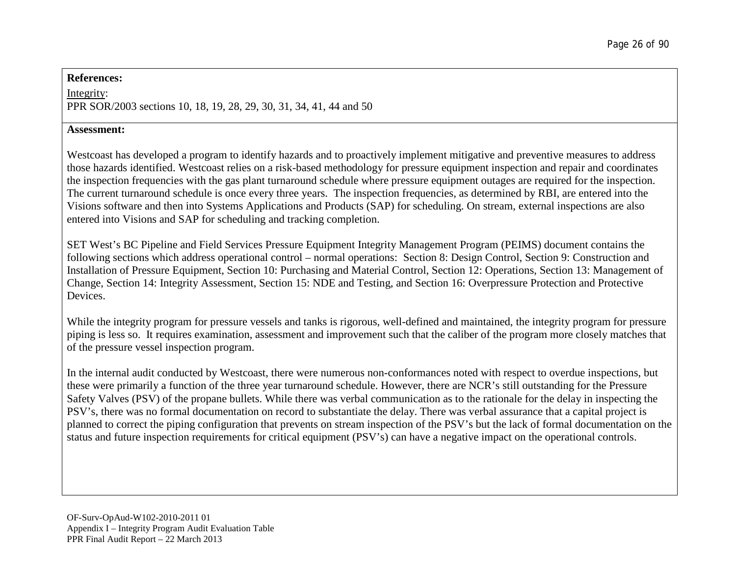#### **References:**

Integrity: PPR SOR/2003 sections 10, 18, 19, 28, 29, 30, 31, 34, 41, 44 and 50

#### **Assessment:**

Westcoast has developed a program to identify hazards and to proactively implement mitigative and preventive measures to address those hazards identified. Westcoast relies on a risk-based methodology for pressure equipment inspection and repair and coordinates the inspection frequencies with the gas plant turnaround schedule where pressure equipment outages are required for the inspection. The current turnaround schedule is once every three years. The inspection frequencies, as determined by RBI, are entered into the Visions software and then into Systems Applications and Products (SAP) for scheduling. On stream, external inspections are also entered into Visions and SAP for scheduling and tracking completion.

SET West's BC Pipeline and Field Services Pressure Equipment Integrity Management Program (PEIMS) document contains the following sections which address operational control – normal operations: Section 8: Design Control, Section 9: Construction and Installation of Pressure Equipment, Section 10: Purchasing and Material Control, Section 12: Operations, Section 13: Management of Change, Section 14: Integrity Assessment, Section 15: NDE and Testing, and Section 16: Overpressure Protection and Protective Devices.

While the integrity program for pressure vessels and tanks is rigorous, well-defined and maintained, the integrity program for pressure piping is less so. It requires examination, assessment and improvement such that the caliber of the program more closely matches that of the pressure vessel inspection program.

In the internal audit conducted by Westcoast, there were numerous non-conformances noted with respect to overdue inspections, but these were primarily a function of the three year turnaround schedule. However, there are NCR's still outstanding for the Pressure Safety Valves (PSV) of the propane bullets. While there was verbal communication as to the rationale for the delay in inspecting the PSV's, there was no formal documentation on record to substantiate the delay. There was verbal assurance that a capital project is planned to correct the piping configuration that prevents on stream inspection of the PSV's but the lack of formal documentation on the status and future inspection requirements for critical equipment (PSV's) can have a negative impact on the operational controls.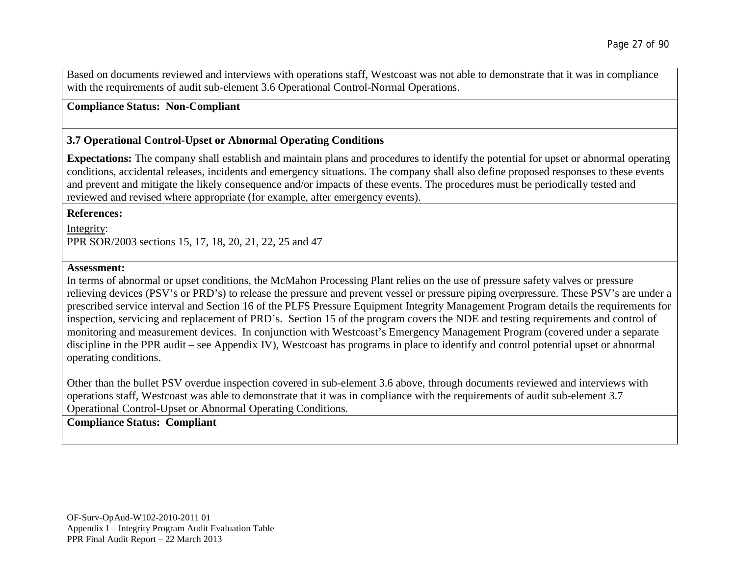Based on documents reviewed and interviews with operations staff, Westcoast was not able to demonstrate that it was in compliance with the requirements of audit sub-element 3.6 Operational Control-Normal Operations.

**Compliance Status: Non-Compliant**

# **3.7 Operational Control-Upset or Abnormal Operating Conditions**

**Expectations:** The company shall establish and maintain plans and procedures to identify the potential for upset or abnormal operating conditions, accidental releases, incidents and emergency situations. The company shall also define proposed responses to these events and prevent and mitigate the likely consequence and/or impacts of these events. The procedures must be periodically tested and reviewed and revised where appropriate (for example, after emergency events).

**References:**

Integrity: PPR SOR/2003 sections 15, 17, 18, 20, 21, 22, 25 and 47

#### **Assessment:**

In terms of abnormal or upset conditions, the McMahon Processing Plant relies on the use of pressure safety valves or pressure relieving devices (PSV's or PRD's) to release the pressure and prevent vessel or pressure piping overpressure. These PSV's are under a prescribed service interval and Section 16 of the PLFS Pressure Equipment Integrity Management Program details the requirements for inspection, servicing and replacement of PRD's. Section 15 of the program covers the NDE and testing requirements and control of monitoring and measurement devices. In conjunction with Westcoast's Emergency Management Program (covered under a separate discipline in the PPR audit – see Appendix IV), Westcoast has programs in place to identify and control potential upset or abnormal operating conditions.

Other than the bullet PSV overdue inspection covered in sub-element 3.6 above, through documents reviewed and interviews with operations staff, Westcoast was able to demonstrate that it was in compliance with the requirements of audit sub-element 3.7 Operational Control-Upset or Abnormal Operating Conditions.

# **Compliance Status: Compliant**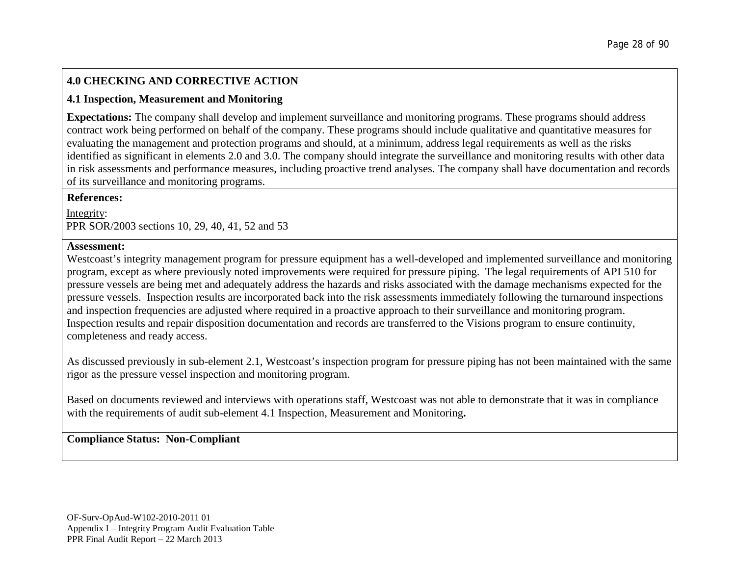# **4.0 CHECKING AND CORRECTIVE ACTION**

# **4.1 Inspection, Measurement and Monitoring**

**Expectations:** The company shall develop and implement surveillance and monitoring programs. These programs should address contract work being performed on behalf of the company. These programs should include qualitative and quantitative measures for evaluating the management and protection programs and should, at a minimum, address legal requirements as well as the risks identified as significant in elements 2.0 and 3.0. The company should integrate the surveillance and monitoring results with other data in risk assessments and performance measures, including proactive trend analyses. The company shall have documentation and records of its surveillance and monitoring programs.

### **References:**

Integrity: PPR SOR/2003 sections 10, 29, 40, 41, 52 and 53

### **Assessment:**

Westcoast's integrity management program for pressure equipment has a well-developed and implemented surveillance and monitoring program, except as where previously noted improvements were required for pressure piping. The legal requirements of API 510 for pressure vessels are being met and adequately address the hazards and risks associated with the damage mechanisms expected for the pressure vessels. Inspection results are incorporated back into the risk assessments immediately following the turnaround inspections and inspection frequencies are adjusted where required in a proactive approach to their surveillance and monitoring program. Inspection results and repair disposition documentation and records are transferred to the Visions program to ensure continuity, completeness and ready access.

As discussed previously in sub-element 2.1, Westcoast's inspection program for pressure piping has not been maintained with the same rigor as the pressure vessel inspection and monitoring program.

Based on documents reviewed and interviews with operations staff, Westcoast was not able to demonstrate that it was in compliance with the requirements of audit sub-element 4.1 Inspection, Measurement and Monitoring**.**

# **Compliance Status: Non-Compliant**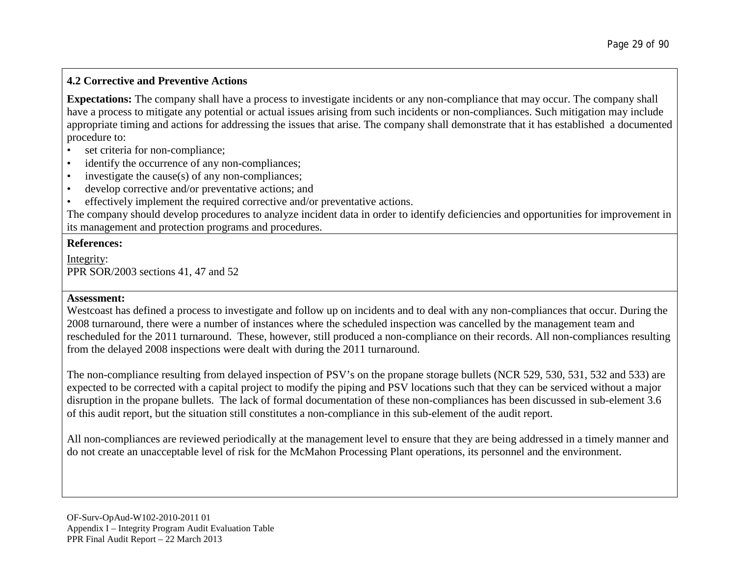# **4.2 Corrective and Preventive Actions**

**Expectations:** The company shall have a process to investigate incidents or any non-compliance that may occur. The company shall have a process to mitigate any potential or actual issues arising from such incidents or non-compliances. Such mitigation may include appropriate timing and actions for addressing the issues that arise. The company shall demonstrate that it has established a documented procedure to:

- set criteria for non-compliance;
- identify the occurrence of any non-compliances;
- investigate the cause(s) of any non-compliances;
- develop corrective and/or preventative actions; and
- effectively implement the required corrective and/or preventative actions.

The company should develop procedures to analyze incident data in order to identify deficiencies and opportunities for improvement in its management and protection programs and procedures.

# **References:**

Integrity: PPR SOR/2003 sections 41, 47 and 52

# **Assessment:**

Westcoast has defined a process to investigate and follow up on incidents and to deal with any non-compliances that occur. During the 2008 turnaround, there were a number of instances where the scheduled inspection was cancelled by the management team and rescheduled for the 2011 turnaround. These, however, still produced a non-compliance on their records. All non-compliances resulting from the delayed 2008 inspections were dealt with during the 2011 turnaround.

The non-compliance resulting from delayed inspection of PSV's on the propane storage bullets (NCR 529, 530, 531, 532 and 533) are expected to be corrected with a capital project to modify the piping and PSV locations such that they can be serviced without a major disruption in the propane bullets. The lack of formal documentation of these non-compliances has been discussed in sub-element 3.6 of this audit report, but the situation still constitutes a non-compliance in this sub-element of the audit report.

All non-compliances are reviewed periodically at the management level to ensure that they are being addressed in a timely manner and do not create an unacceptable level of risk for the McMahon Processing Plant operations, its personnel and the environment.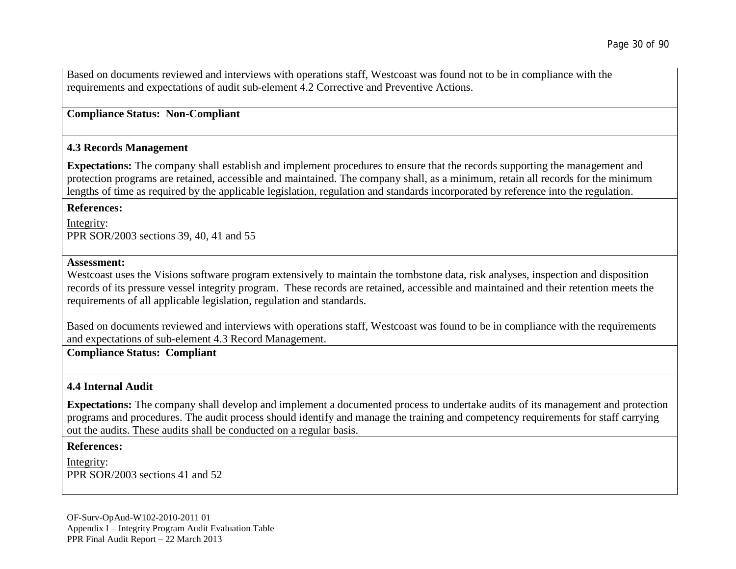Based on documents reviewed and interviews with operations staff, Westcoast was found not to be in compliance with the requirements and expectations of audit sub-element 4.2 Corrective and Preventive Actions.

### **Compliance Status: Non-Compliant**

#### **4.3 Records Management**

**Expectations:** The company shall establish and implement procedures to ensure that the records supporting the management and protection programs are retained, accessible and maintained. The company shall, as a minimum, retain all records for the minimum lengths of time as required by the applicable legislation, regulation and standards incorporated by reference into the regulation.

#### **References:**

Integrity: PPR SOR/2003 sections 39, 40, 41 and 55

#### **Assessment:**

Westcoast uses the Visions software program extensively to maintain the tombstone data, risk analyses, inspection and disposition records of its pressure vessel integrity program. These records are retained, accessible and maintained and their retention meets the requirements of all applicable legislation, regulation and standards.

Based on documents reviewed and interviews with operations staff, Westcoast was found to be in compliance with the requirements and expectations of sub-element 4.3 Record Management.

### **Compliance Status: Compliant**

### **4.4 Internal Audit**

**Expectations:** The company shall develop and implement a documented process to undertake audits of its management and protection programs and procedures. The audit process should identify and manage the training and competency requirements for staff carrying out the audits. These audits shall be conducted on a regular basis.

#### **References:**

Integrity: PPR SOR/2003 sections 41 and 52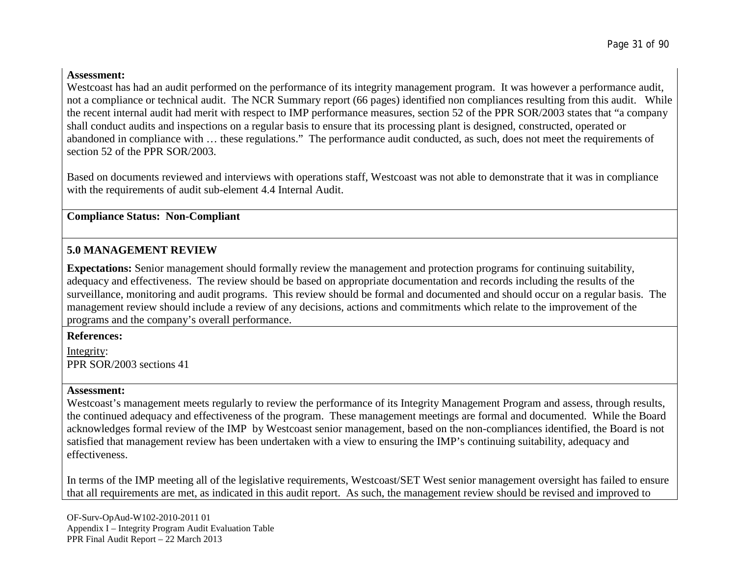# **Assessment:**

Westcoast has had an audit performed on the performance of its integrity management program. It was however a performance audit, not a compliance or technical audit. The NCR Summary report (66 pages) identified non compliances resulting from this audit. While the recent internal audit had merit with respect to IMP performance measures, section 52 of the PPR SOR/2003 states that "a company shall conduct audits and inspections on a regular basis to ensure that its processing plant is designed, constructed, operated or abandoned in compliance with … these regulations." The performance audit conducted, as such, does not meet the requirements of section 52 of the PPR SOR/2003.

Based on documents reviewed and interviews with operations staff, Westcoast was not able to demonstrate that it was in compliance with the requirements of audit sub-element 4.4 Internal Audit.

# **Compliance Status: Non-Compliant**

# **5.0 MANAGEMENT REVIEW**

**Expectations:** Senior management should formally review the management and protection programs for continuing suitability, adequacy and effectiveness. The review should be based on appropriate documentation and records including the results of the surveillance, monitoring and audit programs. This review should be formal and documented and should occur on a regular basis. The management review should include a review of any decisions, actions and commitments which relate to the improvement of the programs and the company's overall performance.

**References:**

Integrity: PPR SOR/2003 sections 41

# **Assessment:**

Westcoast's management meets regularly to review the performance of its Integrity Management Program and assess, through results, the continued adequacy and effectiveness of the program. These management meetings are formal and documented. While the Board acknowledges formal review of the IMP by Westcoast senior management, based on the non-compliances identified, the Board is not satisfied that management review has been undertaken with a view to ensuring the IMP's continuing suitability, adequacy and effectiveness.

In terms of the IMP meeting all of the legislative requirements, Westcoast/SET West senior management oversight has failed to ensure that all requirements are met, as indicated in this audit report. As such, the management review should be revised and improved to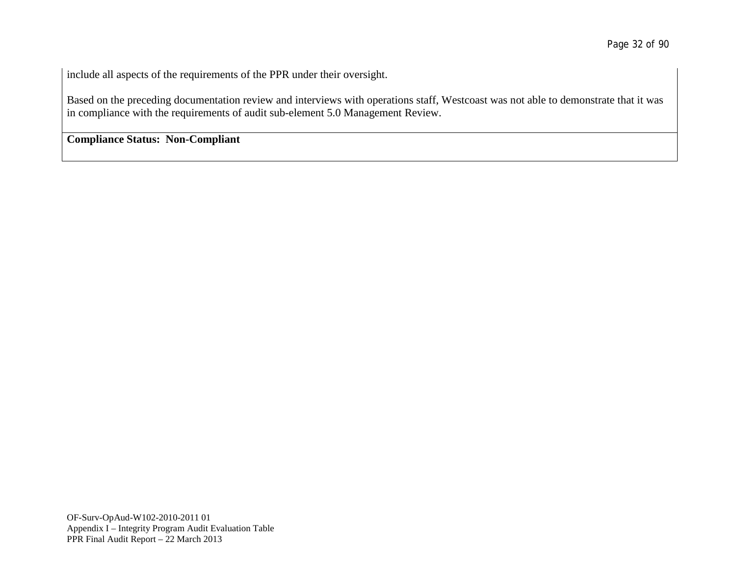include all aspects of the requirements of the PPR under their oversight.

Based on the preceding documentation review and interviews with operations staff, Westcoast was not able to demonstrate that it was in compliance with the requirements of audit sub-element 5.0 Management Review.

**Compliance Status: Non-Compliant**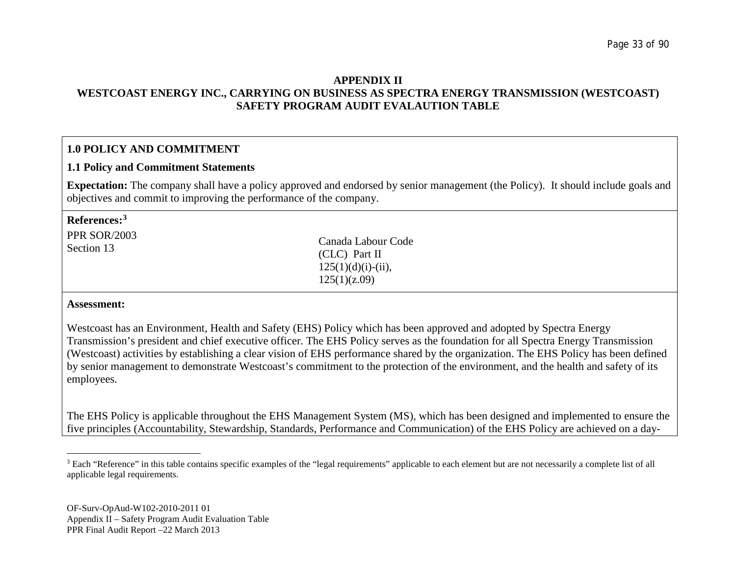### <span id="page-32-0"></span>**APPENDIX II WESTCOAST ENERGY INC., CARRYING ON BUSINESS AS SPECTRA ENERGY TRANSMISSION (WESTCOAST) SAFETY PROGRAM AUDIT EVALAUTION TABLE**

# **1.0 POLICY AND COMMITMENT**

#### **1.1 Policy and Commitment Statements**

**Expectation:** The company shall have a policy approved and endorsed by senior management (the Policy). It should include goals and objectives and commit to improving the performance of the company.

| References: $^3$<br><b>PPR SOR/2003</b><br>Section 13 | Canada Labour Code<br>$CLC)$ Part II<br>$125(1)(d)(i)-(ii)$ , |  |
|-------------------------------------------------------|---------------------------------------------------------------|--|
|                                                       | 125(1)(z.09)                                                  |  |
| Accocemont.                                           |                                                               |  |

#### **Assessment:**

Westcoast has an Environment, Health and Safety (EHS) Policy which has been approved and adopted by Spectra Energy Transmission's president and chief executive officer. The EHS Policy serves as the foundation for all Spectra Energy Transmission (Westcoast) activities by establishing a clear vision of EHS performance shared by the organization. The EHS Policy has been defined by senior management to demonstrate Westcoast's commitment to the protection of the environment, and the health and safety of its employees.

The EHS Policy is applicable throughout the EHS Management System (MS), which has been designed and implemented to ensure the five principles (Accountability, Stewardship, Standards, Performance and Communication) of the EHS Policy are achieved on a day-

<sup>&</sup>lt;sup>3</sup> Each "Reference" in this table contains specific examples of the "legal requirements" applicable to each element but are not necessarily a complete list of all applicable legal requirements.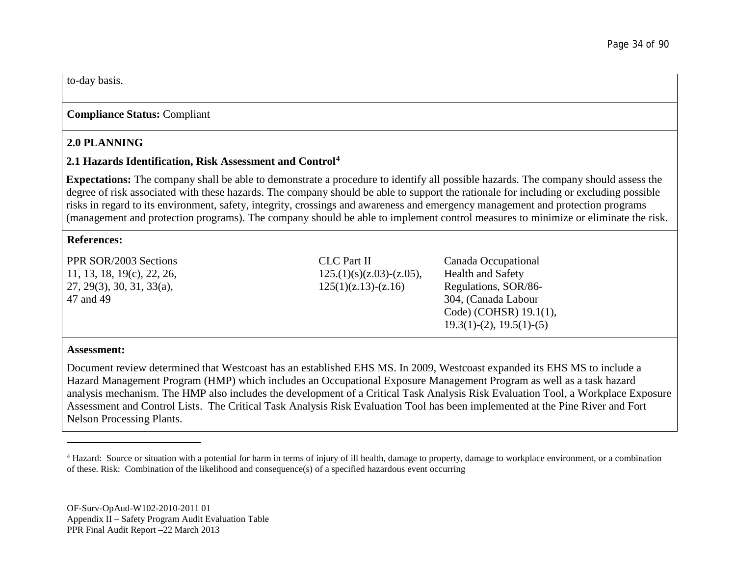to-day basis.

# **Compliance Status:** Compliant

# **2.0 PLANNING**

# **2.1 Hazards Identification, Risk Assessment and Control[4](#page-33-0)**

**Expectations:** The company shall be able to demonstrate a procedure to identify all possible hazards. The company should assess the degree of risk associated with these hazards. The company should be able to support the rationale for including or excluding possible risks in regard to its environment, safety, integrity, crossings and awareness and emergency management and protection programs (management and protection programs). The company should be able to implement control measures to minimize or eliminate the risk.

### **References:**

PPR SOR/2003 Sections 11, 13, 18, 19(c), 22, 26, 27, 29(3), 30, 31, 33(a), 47 and 49

CLC Part II  $125.(1)(s)(z.03)-(z.05)$ ,  $125(1)(z.13)-(z.16)$ 

<span id="page-33-0"></span>Canada Occupational Health and Safety Regulations, SOR/86- 304, (Canada Labour Code) (COHSR) 19.1(1), 19.3(1)-(2), 19.5(1)-(5)

### **Assessment:**

Document review determined that Westcoast has an established EHS MS. In 2009, Westcoast expanded its EHS MS to include a Hazard Management Program (HMP) which includes an Occupational Exposure Management Program as well as a task hazard analysis mechanism. The HMP also includes the development of a Critical Task Analysis Risk Evaluation Tool, a Workplace Exposure Assessment and Control Lists. The Critical Task Analysis Risk Evaluation Tool has been implemented at the Pine River and Fort Nelson Processing Plants.

<sup>4</sup> Hazard: Source or situation with a potential for harm in terms of injury of ill health, damage to property, damage to workplace environment, or a combination of these. Risk: Combination of the likelihood and consequence(s) of a specified hazardous event occurring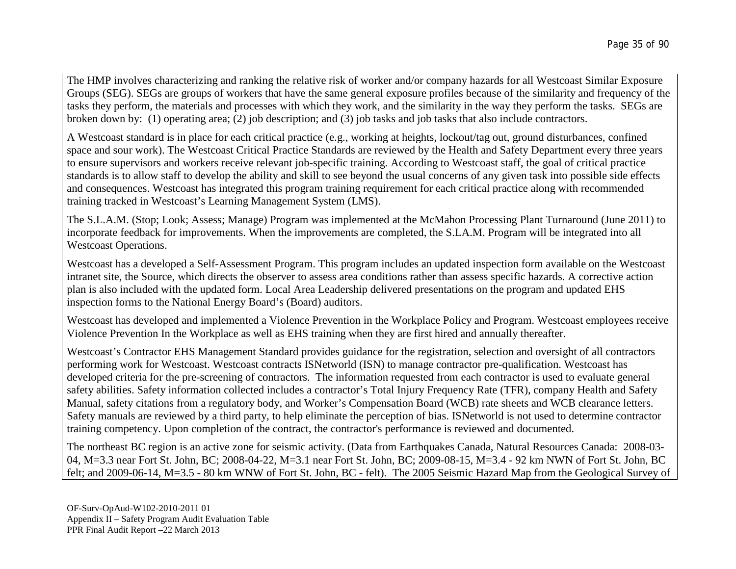The HMP involves characterizing and ranking the relative risk of worker and/or company hazards for all Westcoast Similar Exposure Groups (SEG). SEGs are groups of workers that have the same general exposure profiles because of the similarity and frequency of the tasks they perform, the materials and processes with which they work, and the similarity in the way they perform the tasks. SEGs are broken down by: (1) operating area; (2) job description; and (3) job tasks and job tasks that also include contractors.

A Westcoast standard is in place for each critical practice (e.g., working at heights, lockout/tag out, ground disturbances, confined space and sour work). The Westcoast Critical Practice Standards are reviewed by the Health and Safety Department every three years to ensure supervisors and workers receive relevant job-specific training. According to Westcoast staff, the goal of critical practice standards is to allow staff to develop the ability and skill to see beyond the usual concerns of any given task into possible side effects and consequences. Westcoast has integrated this program training requirement for each critical practice along with recommended training tracked in Westcoast's Learning Management System (LMS).

The S.L.A.M. (Stop; Look; Assess; Manage) Program was implemented at the McMahon Processing Plant Turnaround (June 2011) to incorporate feedback for improvements. When the improvements are completed, the S.LA.M. Program will be integrated into all Westcoast Operations.

Westcoast has a developed a Self-Assessment Program. This program includes an updated inspection form available on the Westcoast intranet site, the Source, which directs the observer to assess area conditions rather than assess specific hazards. A corrective action plan is also included with the updated form. Local Area Leadership delivered presentations on the program and updated EHS inspection forms to the National Energy Board's (Board) auditors.

Westcoast has developed and implemented a Violence Prevention in the Workplace Policy and Program. Westcoast employees receive Violence Prevention In the Workplace as well as EHS training when they are first hired and annually thereafter.

Westcoast's Contractor EHS Management Standard provides guidance for the registration, selection and oversight of all contractors performing work for Westcoast. Westcoast contracts ISNetworld (ISN) to manage contractor pre-qualification. Westcoast has developed criteria for the pre-screening of contractors. The information requested from each contractor is used to evaluate general safety abilities. Safety information collected includes a contractor's Total Injury Frequency Rate (TFR), company Health and Safety Manual, safety citations from a regulatory body, and Worker's Compensation Board (WCB) rate sheets and WCB clearance letters. Safety manuals are reviewed by a third party, to help eliminate the perception of bias. ISNetworld is not used to determine contractor training competency. Upon completion of the contract, the contractor's performance is reviewed and documented.

The northeast BC region is an active zone for seismic activity. (Data from Earthquakes Canada, Natural Resources Canada: 2008-03- 04, M=3.3 near Fort St. John, BC; 2008-04-22, M=3.1 near Fort St. John, BC; 2009-08-15, M=3.4 - 92 km NWN of Fort St. John, BC felt; and 2009-06-14, M=3.5 - 80 km WNW of Fort St. John, BC - felt). The 2005 Seismic Hazard Map from the Geological Survey of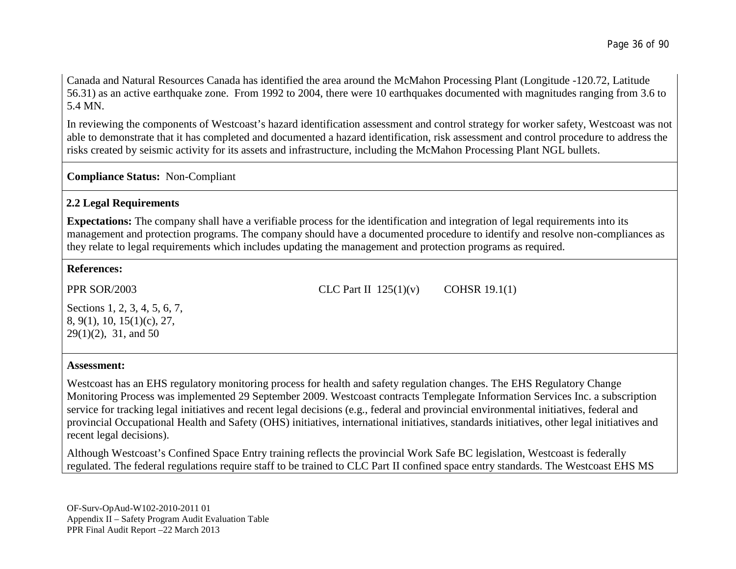Canada and Natural Resources Canada has identified the area around the McMahon Processing Plant (Longitude -120.72, Latitude 56.31) as an active earthquake zone. From 1992 to 2004, there were 10 earthquakes documented with magnitudes ranging from 3.6 to 5.4 MN.

In reviewing the components of Westcoast's hazard identification assessment and control strategy for worker safety, Westcoast was not able to demonstrate that it has completed and documented a hazard identification, risk assessment and control procedure to address the risks created by seismic activity for its assets and infrastructure, including the McMahon Processing Plant NGL bullets.

**Compliance Status:** Non-Compliant

# **2.2 Legal Requirements**

**Expectations:** The company shall have a verifiable process for the identification and integration of legal requirements into its management and protection programs. The company should have a documented procedure to identify and resolve non-compliances as they relate to legal requirements which includes updating the management and protection programs as required.

# **References:**

PPR SOR/2003

CLC Part II  $125(1)(v)$  COHSR 19.1(1)

Sections 1, 2, 3, 4, 5, 6, 7, 8, 9(1), 10, 15(1)(c), 27, 29(1)(2), 31, and 50

### **Assessment:**

Westcoast has an EHS regulatory monitoring process for health and safety regulation changes. The EHS Regulatory Change Monitoring Process was implemented 29 September 2009. Westcoast contracts Templegate Information Services Inc. a subscription service for tracking legal initiatives and recent legal decisions (e.g., federal and provincial environmental initiatives, federal and provincial Occupational Health and Safety (OHS) initiatives, international initiatives, standards initiatives, other legal initiatives and recent legal decisions).

Although Westcoast's Confined Space Entry training reflects the provincial Work Safe BC legislation, Westcoast is federally regulated. The federal regulations require staff to be trained to CLC Part II confined space entry standards. The Westcoast EHS MS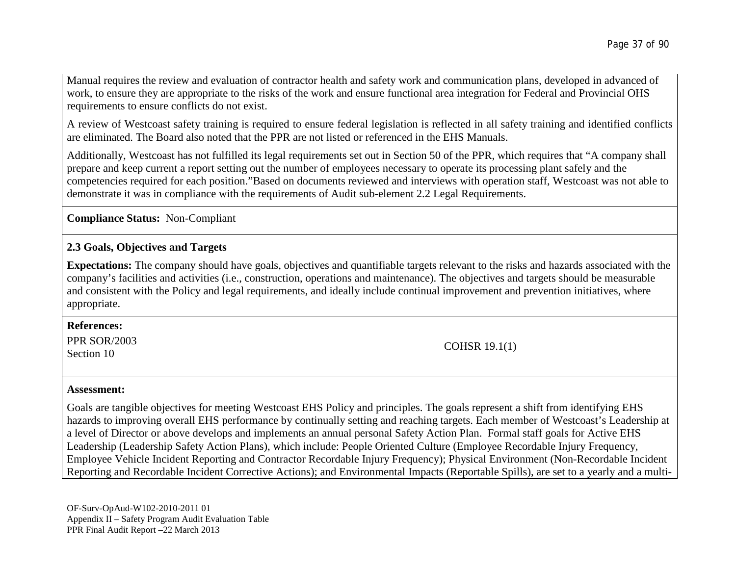Manual requires the review and evaluation of contractor health and safety work and communication plans, developed in advanced of work, to ensure they are appropriate to the risks of the work and ensure functional area integration for Federal and Provincial OHS requirements to ensure conflicts do not exist.

A review of Westcoast safety training is required to ensure federal legislation is reflected in all safety training and identified conflicts are eliminated. The Board also noted that the PPR are not listed or referenced in the EHS Manuals.

Additionally, Westcoast has not fulfilled its legal requirements set out in Section 50 of the PPR, which requires that "A company shall prepare and keep current a report setting out the number of employees necessary to operate its processing plant safely and the competencies required for each position."Based on documents reviewed and interviews with operation staff, Westcoast was not able to demonstrate it was in compliance with the requirements of Audit sub-element 2.2 Legal Requirements.

**Compliance Status:** Non-Compliant

### **2.3 Goals, Objectives and Targets**

**Expectations:** The company should have goals, objectives and quantifiable targets relevant to the risks and hazards associated with the company's facilities and activities (i.e., construction, operations and maintenance). The objectives and targets should be measurable and consistent with the Policy and legal requirements, and ideally include continual improvement and prevention initiatives, where appropriate.

#### **References:**

PPR SOR/2003  $\text{COHSR 19.1(1)}$ <br>Section 10

#### **Assessment:**

Goals are tangible objectives for meeting Westcoast EHS Policy and principles. The goals represent a shift from identifying EHS hazards to improving overall EHS performance by continually setting and reaching targets. Each member of Westcoast's Leadership at a level of Director or above develops and implements an annual personal Safety Action Plan. Formal staff goals for Active EHS Leadership (Leadership Safety Action Plans), which include: People Oriented Culture (Employee Recordable Injury Frequency, Employee Vehicle Incident Reporting and Contractor Recordable Injury Frequency); Physical Environment (Non-Recordable Incident Reporting and Recordable Incident Corrective Actions); and Environmental Impacts (Reportable Spills), are set to a yearly and a multi-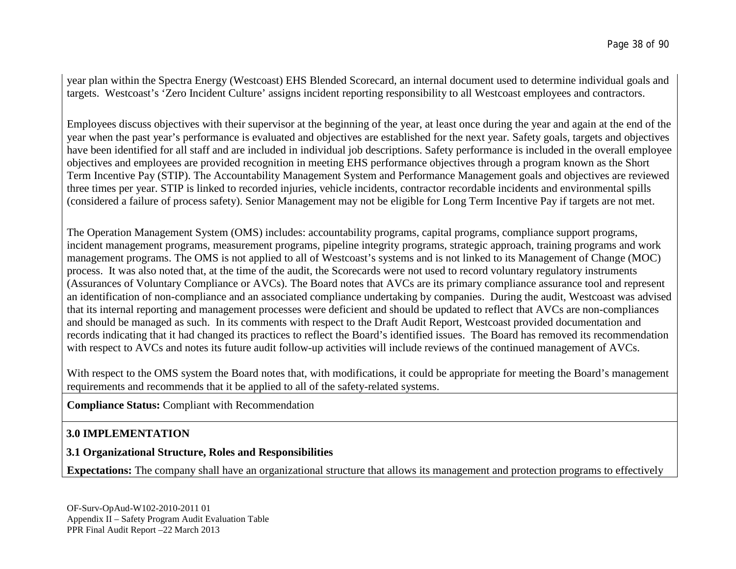year plan within the Spectra Energy (Westcoast) EHS Blended Scorecard, an internal document used to determine individual goals and targets. Westcoast's 'Zero Incident Culture' assigns incident reporting responsibility to all Westcoast employees and contractors.

Employees discuss objectives with their supervisor at the beginning of the year, at least once during the year and again at the end of the year when the past year's performance is evaluated and objectives are established for the next year. Safety goals, targets and objectives have been identified for all staff and are included in individual job descriptions. Safety performance is included in the overall employee objectives and employees are provided recognition in meeting EHS performance objectives through a program known as the Short Term Incentive Pay (STIP). The Accountability Management System and Performance Management goals and objectives are reviewed three times per year. STIP is linked to recorded injuries, vehicle incidents, contractor recordable incidents and environmental spills (considered a failure of process safety). Senior Management may not be eligible for Long Term Incentive Pay if targets are not met.

The Operation Management System (OMS) includes: accountability programs, capital programs, compliance support programs, incident management programs, measurement programs, pipeline integrity programs, strategic approach, training programs and work management programs. The OMS is not applied to all of Westcoast's systems and is not linked to its Management of Change (MOC) process. It was also noted that, at the time of the audit, the Scorecards were not used to record voluntary regulatory instruments (Assurances of Voluntary Compliance or AVCs). The Board notes that AVCs are its primary compliance assurance tool and represent an identification of non-compliance and an associated compliance undertaking by companies. During the audit, Westcoast was advised that its internal reporting and management processes were deficient and should be updated to reflect that AVCs are non-compliances and should be managed as such. In its comments with respect to the Draft Audit Report, Westcoast provided documentation and records indicating that it had changed its practices to reflect the Board's identified issues. The Board has removed its recommendation with respect to AVCs and notes its future audit follow-up activities will include reviews of the continued management of AVCs.

With respect to the OMS system the Board notes that, with modifications, it could be appropriate for meeting the Board's management requirements and recommends that it be applied to all of the safety-related systems.

**Compliance Status:** Compliant with Recommendation

## **3.0 IMPLEMENTATION**

### **3.1 Organizational Structure, Roles and Responsibilities**

**Expectations:** The company shall have an organizational structure that allows its management and protection programs to effectively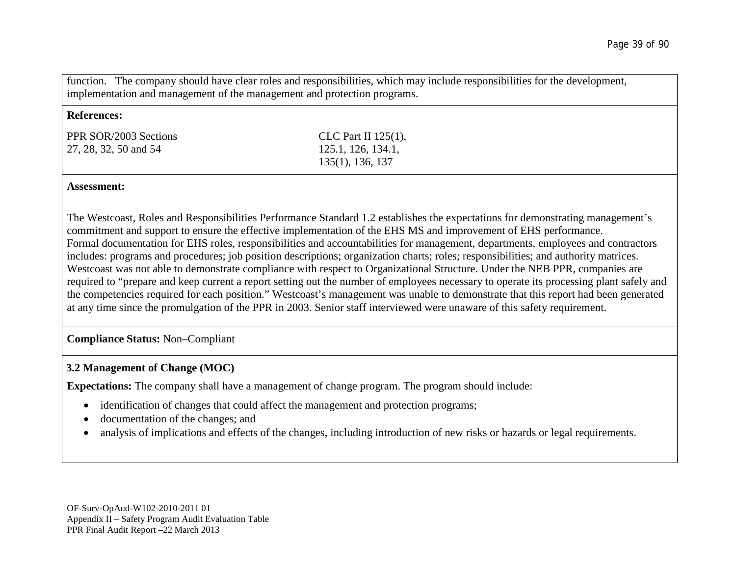function. The company should have clear roles and responsibilities, which may include responsibilities for the development, implementation and management of the management and protection programs.

#### **References:**

PPR SOR/2003 Sections 27, 28, 32, 50 and 54

CLC Part II 125(1), 125.1, 126, 134.1, 135(1), 136, 137

#### **Assessment:**

The Westcoast, Roles and Responsibilities Performance Standard 1.2 establishes the expectations for demonstrating management's commitment and support to ensure the effective implementation of the EHS MS and improvement of EHS performance. Formal documentation for EHS roles, responsibilities and accountabilities for management, departments, employees and contractors includes: programs and procedures; job position descriptions; organization charts; roles; responsibilities; and authority matrices. Westcoast was not able to demonstrate compliance with respect to Organizational Structure. Under the NEB PPR, companies are required to "prepare and keep current a report setting out the number of employees necessary to operate its processing plant safely and the competencies required for each position." Westcoast's management was unable to demonstrate that this report had been generated at any time since the promulgation of the PPR in 2003. Senior staff interviewed were unaware of this safety requirement.

### **Compliance Status:** Non–Compliant

### **3.2 Management of Change (MOC)**

**Expectations:** The company shall have a management of change program. The program should include:

- identification of changes that could affect the management and protection programs;
- documentation of the changes; and
- analysis of implications and effects of the changes, including introduction of new risks or hazards or legal requirements.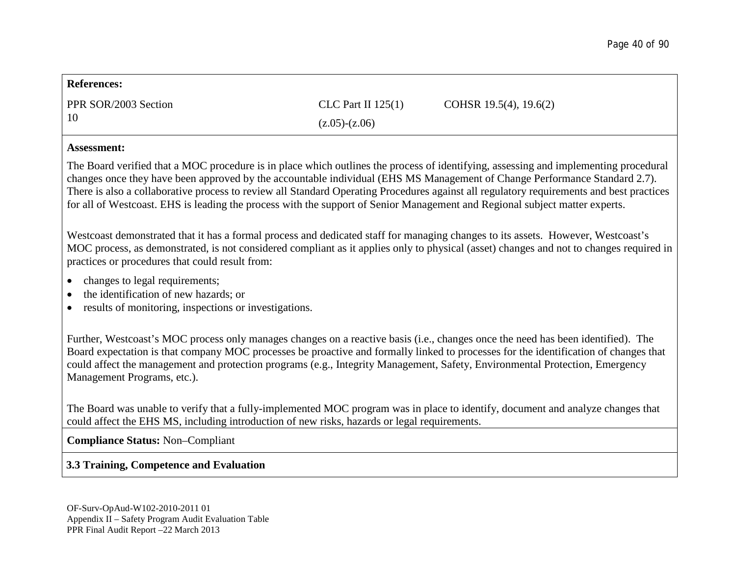| <b>References:</b>                                                                                                                                                                                                                                                                                                                                                                                                                      |                      |                                                                                                                                                                                                                                                                                                                                                                                                                |  |  |
|-----------------------------------------------------------------------------------------------------------------------------------------------------------------------------------------------------------------------------------------------------------------------------------------------------------------------------------------------------------------------------------------------------------------------------------------|----------------------|----------------------------------------------------------------------------------------------------------------------------------------------------------------------------------------------------------------------------------------------------------------------------------------------------------------------------------------------------------------------------------------------------------------|--|--|
| PPR SOR/2003 Section                                                                                                                                                                                                                                                                                                                                                                                                                    | CLC Part II $125(1)$ | COHSR 19.5(4), 19.6(2)                                                                                                                                                                                                                                                                                                                                                                                         |  |  |
| 10                                                                                                                                                                                                                                                                                                                                                                                                                                      | $(z.05)-(z.06)$      |                                                                                                                                                                                                                                                                                                                                                                                                                |  |  |
| <b>Assessment:</b>                                                                                                                                                                                                                                                                                                                                                                                                                      |                      |                                                                                                                                                                                                                                                                                                                                                                                                                |  |  |
| for all of Westcoast. EHS is leading the process with the support of Senior Management and Regional subject matter experts.                                                                                                                                                                                                                                                                                                             |                      | The Board verified that a MOC procedure is in place which outlines the process of identifying, assessing and implementing procedural<br>changes once they have been approved by the accountable individual (EHS MS Management of Change Performance Standard 2.7).<br>There is also a collaborative process to review all Standard Operating Procedures against all regulatory requirements and best practices |  |  |
| Westcoast demonstrated that it has a formal process and dedicated staff for managing changes to its assets. However, Westcoast's<br>MOC process, as demonstrated, is not considered compliant as it applies only to physical (asset) changes and not to changes required in<br>practices or procedures that could result from:                                                                                                          |                      |                                                                                                                                                                                                                                                                                                                                                                                                                |  |  |
| changes to legal requirements;<br>the identification of new hazards; or<br>results of monitoring, inspections or investigations.                                                                                                                                                                                                                                                                                                        |                      |                                                                                                                                                                                                                                                                                                                                                                                                                |  |  |
| Further, Westcoast's MOC process only manages changes on a reactive basis (i.e., changes once the need has been identified). The<br>Board expectation is that company MOC processes be proactive and formally linked to processes for the identification of changes that<br>could affect the management and protection programs (e.g., Integrity Management, Safety, Environmental Protection, Emergency<br>Management Programs, etc.). |                      |                                                                                                                                                                                                                                                                                                                                                                                                                |  |  |
| The Board was unable to verify that a fully-implemented MOC program was in place to identify, document and analyze changes that<br>could affect the EHS MS, including introduction of new risks, hazards or legal requirements.                                                                                                                                                                                                         |                      |                                                                                                                                                                                                                                                                                                                                                                                                                |  |  |
| <b>Compliance Status: Non-Compliant</b>                                                                                                                                                                                                                                                                                                                                                                                                 |                      |                                                                                                                                                                                                                                                                                                                                                                                                                |  |  |
| 3.3 Training, Competence and Evaluation                                                                                                                                                                                                                                                                                                                                                                                                 |                      |                                                                                                                                                                                                                                                                                                                                                                                                                |  |  |
|                                                                                                                                                                                                                                                                                                                                                                                                                                         |                      |                                                                                                                                                                                                                                                                                                                                                                                                                |  |  |
|                                                                                                                                                                                                                                                                                                                                                                                                                                         |                      |                                                                                                                                                                                                                                                                                                                                                                                                                |  |  |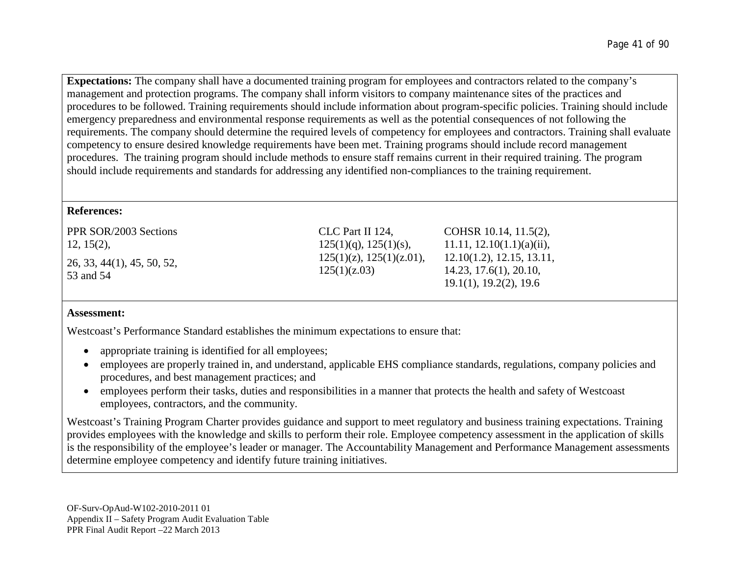**Expectations:** The company shall have a documented training program for employees and contractors related to the company's management and protection programs. The company shall inform visitors to company maintenance sites of the practices and procedures to be followed. Training requirements should include information about program-specific policies. Training should include emergency preparedness and environmental response requirements as well as the potential consequences of not following the requirements. The company should determine the required levels of competency for employees and contractors. Training shall evaluate competency to ensure desired knowledge requirements have been met. Training programs should include record management procedures. The training program should include methods to ensure staff remains current in their required training. The program should include requirements and standards for addressing any identified non-compliances to the training requirement.

### **References:**

| $125(1)(z)$ , $125(1)(z.01)$ ,<br>12.10(1.2), 12.15, 13.11,<br>125(1)(z.03)<br>14.23, 17.6(1), 20.10,<br>19.1(1), 19.2(2), 19.6 |  |
|---------------------------------------------------------------------------------------------------------------------------------|--|
|                                                                                                                                 |  |

### **Assessment:**

Westcoast's Performance Standard establishes the minimum expectations to ensure that:

- appropriate training is identified for all employees;
- employees are properly trained in, and understand, applicable EHS compliance standards, regulations, company policies and procedures, and best management practices; and
- employees perform their tasks, duties and responsibilities in a manner that protects the health and safety of Westcoast employees, contractors, and the community.

Westcoast's Training Program Charter provides guidance and support to meet regulatory and business training expectations. Training provides employees with the knowledge and skills to perform their role. Employee competency assessment in the application of skills is the responsibility of the employee's leader or manager. The Accountability Management and Performance Management assessments determine employee competency and identify future training initiatives.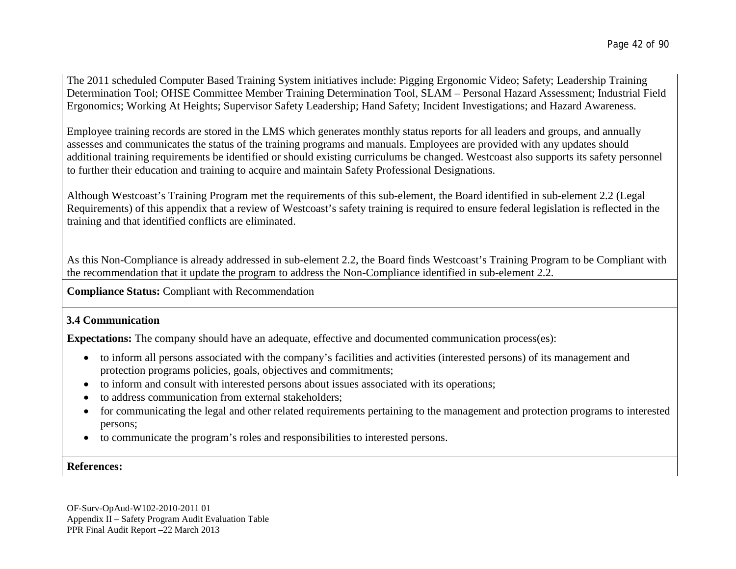The 2011 scheduled Computer Based Training System initiatives include: Pigging Ergonomic Video; Safety; Leadership Training Determination Tool; OHSE Committee Member Training Determination Tool, SLAM – Personal Hazard Assessment; Industrial Field Ergonomics; Working At Heights; Supervisor Safety Leadership; Hand Safety; Incident Investigations; and Hazard Awareness.

Employee training records are stored in the LMS which generates monthly status reports for all leaders and groups, and annually assesses and communicates the status of the training programs and manuals. Employees are provided with any updates should additional training requirements be identified or should existing curriculums be changed. Westcoast also supports its safety personnel to further their education and training to acquire and maintain Safety Professional Designations.

Although Westcoast's Training Program met the requirements of this sub-element, the Board identified in sub-element 2.2 (Legal Requirements) of this appendix that a review of Westcoast's safety training is required to ensure federal legislation is reflected in the training and that identified conflicts are eliminated.

As this Non-Compliance is already addressed in sub-element 2.2, the Board finds Westcoast's Training Program to be Compliant with the recommendation that it update the program to address the Non-Compliance identified in sub-element 2.2.

**Compliance Status:** Compliant with Recommendation

### **3.4 Communication**

**Expectations:** The company should have an adequate, effective and documented communication process(es):

- to inform all persons associated with the company's facilities and activities (interested persons) of its management and protection programs policies, goals, objectives and commitments;
- to inform and consult with interested persons about issues associated with its operations;
- to address communication from external stakeholders:
- for communicating the legal and other related requirements pertaining to the management and protection programs to interested persons;
- to communicate the program's roles and responsibilities to interested persons.

**References:**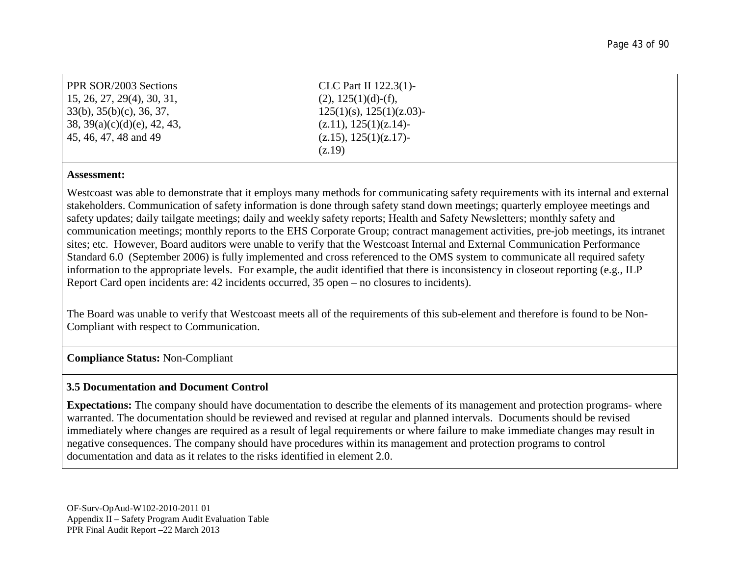| <b>PPR SOR/2003 Sections</b>         | CLC Part II $122.3(1)$ -       |
|--------------------------------------|--------------------------------|
| 15, 26, 27, 29(4), 30, 31,           | $(2), 125(1)(d)$ -(f),         |
| $33(b)$ , $35(b)(c)$ , $36$ , $37$ , | $125(1)(s)$ , $125(1)(z.03)$ - |
| 38, 39(a)(c)(d)(e), 42, 43,          | (z.11), 125(1)(z.14)           |
| 45, 46, 47, 48 and 49                | (z.15), 125(1)(z.17)           |
|                                      | (Z.19)                         |

#### **Assessment:**

Westcoast was able to demonstrate that it employs many methods for communicating safety requirements with its internal and external stakeholders. Communication of safety information is done through safety stand down meetings; quarterly employee meetings and safety updates; daily tailgate meetings; daily and weekly safety reports; Health and Safety Newsletters; monthly safety and communication meetings; monthly reports to the EHS Corporate Group; contract management activities, pre-job meetings, its intranet sites; etc. However, Board auditors were unable to verify that the Westcoast Internal and External Communication Performance Standard 6.0 (September 2006) is fully implemented and cross referenced to the OMS system to communicate all required safety information to the appropriate levels. For example, the audit identified that there is inconsistency in closeout reporting (e.g., ILP Report Card open incidents are: 42 incidents occurred, 35 open – no closures to incidents).

The Board was unable to verify that Westcoast meets all of the requirements of this sub-element and therefore is found to be Non-Compliant with respect to Communication.

#### **Compliance Status:** Non-Compliant

#### **3.5 Documentation and Document Control**

**Expectations:** The company should have documentation to describe the elements of its management and protection programs- where warranted. The documentation should be reviewed and revised at regular and planned intervals. Documents should be revised immediately where changes are required as a result of legal requirements or where failure to make immediate changes may result in negative consequences. The company should have procedures within its management and protection programs to control documentation and data as it relates to the risks identified in element 2.0.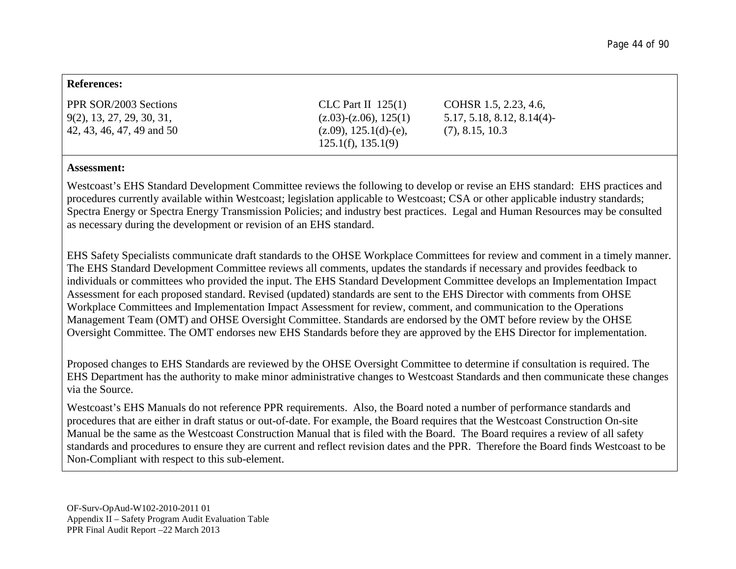#### **References:**

| <b>PPR SOR/2003 Sections</b> | CLC Part II $125(1)$         | COHSR 1.5, 2.23, 4.6,     |
|------------------------------|------------------------------|---------------------------|
| $9(2)$ , 13, 27, 29, 30, 31, | $(z.03)$ - $(z.06)$ , 125(1) | 5.17, 5.18, 8.12, 8.14(4) |
| 42, 43, 46, 47, 49 and 50    | $(z.09)$ , 125.1(d)-(e),     | (7), 8.15, 10.3           |
|                              | $125.1(f)$ , $135.1(9)$      |                           |

#### **Assessment:**

Westcoast's EHS Standard Development Committee reviews the following to develop or revise an EHS standard: EHS practices and procedures currently available within Westcoast; legislation applicable to Westcoast; CSA or other applicable industry standards; Spectra Energy or Spectra Energy Transmission Policies; and industry best practices. Legal and Human Resources may be consulted as necessary during the development or revision of an EHS standard.

EHS Safety Specialists communicate draft standards to the OHSE Workplace Committees for review and comment in a timely manner. The EHS Standard Development Committee reviews all comments, updates the standards if necessary and provides feedback to individuals or committees who provided the input. The EHS Standard Development Committee develops an Implementation Impact Assessment for each proposed standard. Revised (updated) standards are sent to the EHS Director with comments from OHSE Workplace Committees and Implementation Impact Assessment for review, comment, and communication to the Operations Management Team (OMT) and OHSE Oversight Committee. Standards are endorsed by the OMT before review by the OHSE Oversight Committee. The OMT endorses new EHS Standards before they are approved by the EHS Director for implementation.

Proposed changes to EHS Standards are reviewed by the OHSE Oversight Committee to determine if consultation is required. The EHS Department has the authority to make minor administrative changes to Westcoast Standards and then communicate these changes via the Source.

Westcoast's EHS Manuals do not reference PPR requirements. Also, the Board noted a number of performance standards and procedures that are either in draft status or out-of-date. For example, the Board requires that the Westcoast Construction On-site Manual be the same as the Westcoast Construction Manual that is filed with the Board. The Board requires a review of all safety standards and procedures to ensure they are current and reflect revision dates and the PPR. Therefore the Board finds Westcoast to be Non-Compliant with respect to this sub-element.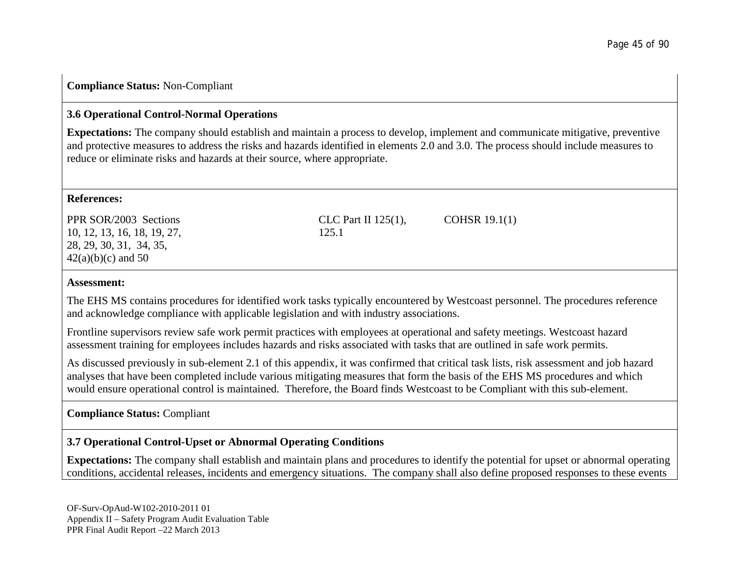### **Compliance Status:** Non-Compliant

### **3.6 Operational Control-Normal Operations**

**Expectations:** The company should establish and maintain a process to develop, implement and communicate mitigative, preventive and protective measures to address the risks and hazards identified in elements 2.0 and 3.0. The process should include measures to reduce or eliminate risks and hazards at their source, where appropriate.

### **References:**

PPR SOR/2003 Sections 10, 12, 13, 16, 18, 19, 27, 28, 29, 30, 31, 34, 35,  $42(a)(b)(c)$  and 50

CLC Part II 125(1), 125.1 COHSR 19.1(1)

#### **Assessment:**

The EHS MS contains procedures for identified work tasks typically encountered by Westcoast personnel. The procedures reference and acknowledge compliance with applicable legislation and with industry associations.

Frontline supervisors review safe work permit practices with employees at operational and safety meetings. Westcoast hazard assessment training for employees includes hazards and risks associated with tasks that are outlined in safe work permits.

As discussed previously in sub-element 2.1 of this appendix, it was confirmed that critical task lists, risk assessment and job hazard analyses that have been completed include various mitigating measures that form the basis of the EHS MS procedures and which would ensure operational control is maintained. Therefore, the Board finds Westcoast to be Compliant with this sub-element.

## **Compliance Status:** Compliant

## **3.7 Operational Control-Upset or Abnormal Operating Conditions**

**Expectations:** The company shall establish and maintain plans and procedures to identify the potential for upset or abnormal operating conditions, accidental releases, incidents and emergency situations. The company shall also define proposed responses to these events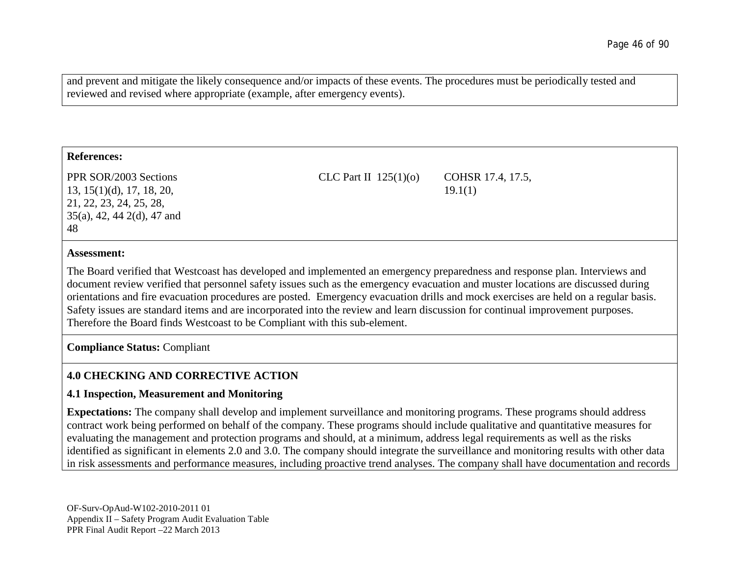and prevent and mitigate the likely consequence and/or impacts of these events. The procedures must be periodically tested and reviewed and revised where appropriate (example, after emergency events).

#### **References:**

PPR SOR/2003 Sections 13, 15(1)(d), 17, 18, 20, 21, 22, 23, 24, 25, 28, 35(a), 42, 44 2(d), 47 and 48

CLC Part II 125(1)(o) COHSR 17.4, 17.5,

19.1(1)

#### **Assessment:**

The Board verified that Westcoast has developed and implemented an emergency preparedness and response plan. Interviews and document review verified that personnel safety issues such as the emergency evacuation and muster locations are discussed during orientations and fire evacuation procedures are posted. Emergency evacuation drills and mock exercises are held on a regular basis. Safety issues are standard items and are incorporated into the review and learn discussion for continual improvement purposes. Therefore the Board finds Westcoast to be Compliant with this sub-element.

**Compliance Status:** Compliant

## **4.0 CHECKING AND CORRECTIVE ACTION**

### **4.1 Inspection, Measurement and Monitoring**

**Expectations:** The company shall develop and implement surveillance and monitoring programs. These programs should address contract work being performed on behalf of the company. These programs should include qualitative and quantitative measures for evaluating the management and protection programs and should, at a minimum, address legal requirements as well as the risks identified as significant in elements 2.0 and 3.0. The company should integrate the surveillance and monitoring results with other data in risk assessments and performance measures, including proactive trend analyses. The company shall have documentation and records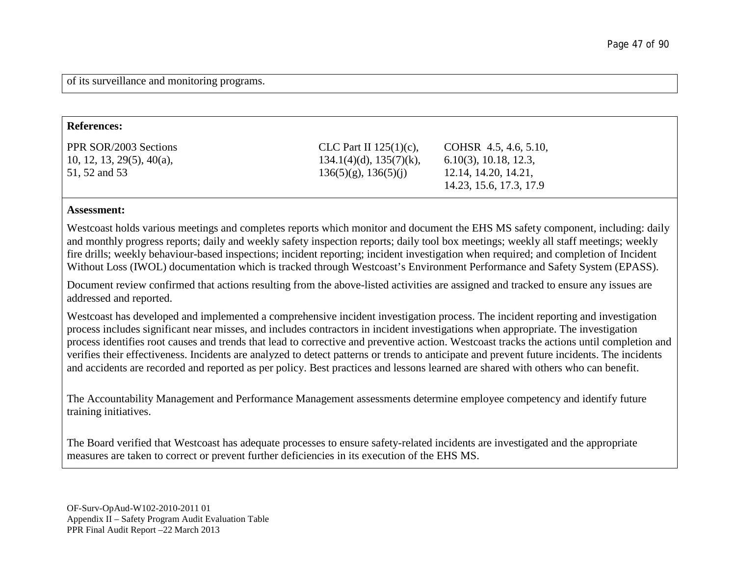of its surveillance and monitoring programs.

| <b>References:</b>                                                  |                                                                                         |                                                                                                      |
|---------------------------------------------------------------------|-----------------------------------------------------------------------------------------|------------------------------------------------------------------------------------------------------|
| PPR SOR/2003 Sections<br>10, 12, 13, 29(5), 40(a),<br>51, 52 and 53 | CLC Part II $125(1)(c)$ ,<br>$134.1(4)(d)$ , $135(7)(k)$ ,<br>$136(5)(g)$ , $136(5)(i)$ | COHSR 4.5, 4.6, 5.10,<br>$6.10(3)$ , 10.18, 12.3,<br>12.14, 14.20, 14.21,<br>14.23, 15.6, 17.3, 17.9 |

#### **Assessment:**

Westcoast holds various meetings and completes reports which monitor and document the EHS MS safety component, including: daily and monthly progress reports; daily and weekly safety inspection reports; daily tool box meetings; weekly all staff meetings; weekly fire drills; weekly behaviour-based inspections; incident reporting; incident investigation when required; and completion of Incident Without Loss (IWOL) documentation which is tracked through Westcoast's Environment Performance and Safety System (EPASS).

Document review confirmed that actions resulting from the above-listed activities are assigned and tracked to ensure any issues are addressed and reported.

Westcoast has developed and implemented a comprehensive incident investigation process. The incident reporting and investigation process includes significant near misses, and includes contractors in incident investigations when appropriate. The investigation process identifies root causes and trends that lead to corrective and preventive action. Westcoast tracks the actions until completion and verifies their effectiveness. Incidents are analyzed to detect patterns or trends to anticipate and prevent future incidents. The incidents and accidents are recorded and reported as per policy. Best practices and lessons learned are shared with others who can benefit.

The Accountability Management and Performance Management assessments determine employee competency and identify future training initiatives.

The Board verified that Westcoast has adequate processes to ensure safety-related incidents are investigated and the appropriate measures are taken to correct or prevent further deficiencies in its execution of the EHS MS.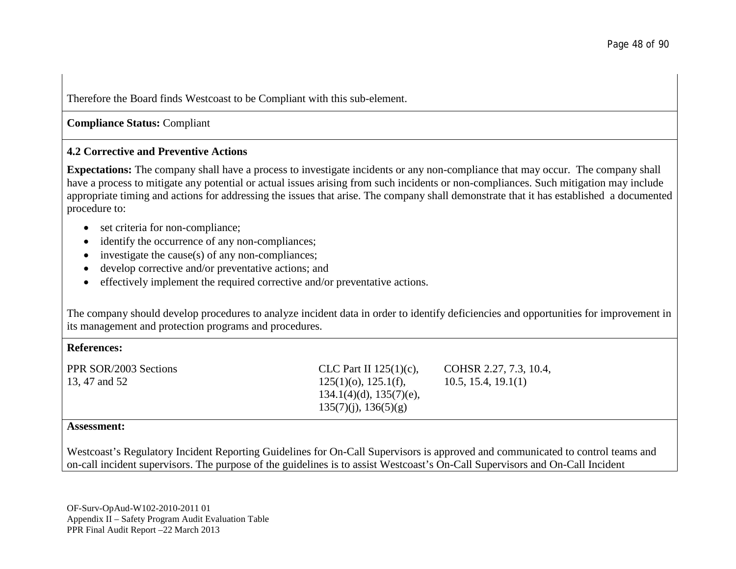Therefore the Board finds Westcoast to be Compliant with this sub-element.

**Compliance Status:** Compliant

### **4.2 Corrective and Preventive Actions**

**Expectations:** The company shall have a process to investigate incidents or any non-compliance that may occur. The company shall have a process to mitigate any potential or actual issues arising from such incidents or non-compliances. Such mitigation may include appropriate timing and actions for addressing the issues that arise. The company shall demonstrate that it has established a documented procedure to:

- set criteria for non-compliance;
- identify the occurrence of any non-compliances;
- investigate the cause(s) of any non-compliances;
- develop corrective and/or preventative actions; and
- effectively implement the required corrective and/or preventative actions.

The company should develop procedures to analyze incident data in order to identify deficiencies and opportunities for improvement in its management and protection programs and procedures.

#### **References:**

PPR SOR/2003 Sections 13, 47 and 52

CLC Part II 125(1)(c),  $125(1)(o)$ ,  $125.1(f)$ , 134.1(4)(d), 135(7)(e), 135(7)(j), 136(5)(g)

COHSR 2.27, 7.3, 10.4, 10.5, 15.4, 19.1(1)

#### **Assessment:**

Westcoast's Regulatory Incident Reporting Guidelines for On-Call Supervisors is approved and communicated to control teams and on-call incident supervisors. The purpose of the guidelines is to assist Westcoast's On-Call Supervisors and On-Call Incident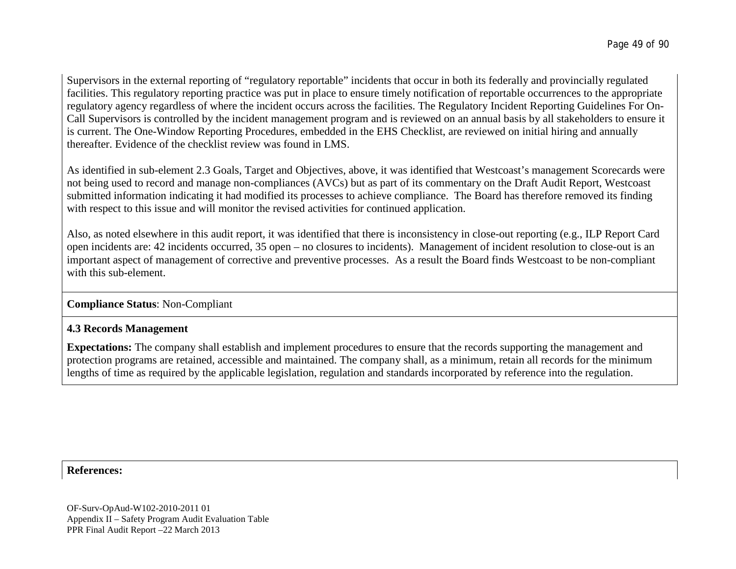Supervisors in the external reporting of "regulatory reportable" incidents that occur in both its federally and provincially regulated facilities. This regulatory reporting practice was put in place to ensure timely notification of reportable occurrences to the appropriate regulatory agency regardless of where the incident occurs across the facilities. The Regulatory Incident Reporting Guidelines For On-Call Supervisors is controlled by the incident management program and is reviewed on an annual basis by all stakeholders to ensure it is current. The One-Window Reporting Procedures, embedded in the EHS Checklist, are reviewed on initial hiring and annually thereafter. Evidence of the checklist review was found in LMS.

As identified in sub-element 2.3 Goals, Target and Objectives, above, it was identified that Westcoast's management Scorecards were not being used to record and manage non-compliances (AVCs) but as part of its commentary on the Draft Audit Report, Westcoast submitted information indicating it had modified its processes to achieve compliance. The Board has therefore removed its finding with respect to this issue and will monitor the revised activities for continued application.

Also, as noted elsewhere in this audit report, it was identified that there is inconsistency in close-out reporting (e.g., ILP Report Card open incidents are: 42 incidents occurred, 35 open – no closures to incidents). Management of incident resolution to close-out is an important aspect of management of corrective and preventive processes. As a result the Board finds Westcoast to be non-compliant with this sub-element.

### **Compliance Status**: Non-Compliant

### **4.3 Records Management**

**Expectations:** The company shall establish and implement procedures to ensure that the records supporting the management and protection programs are retained, accessible and maintained. The company shall, as a minimum, retain all records for the minimum lengths of time as required by the applicable legislation, regulation and standards incorporated by reference into the regulation.

**References:**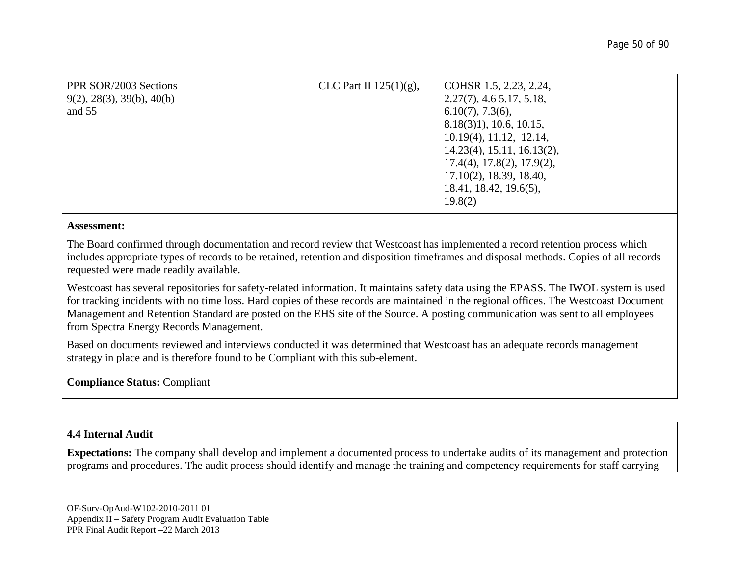| PPR SOR/2003 Sections<br>9(2), 28(3), 39(b), 40(b)<br>and 55 | CLC Part II $125(1)(g)$ , | COHSR 1.5, 2.23, 2.24,<br>$2.27(7)$ , 4.6 5.17, 5.18,<br>$6.10(7)$ , 7.3(6),<br>$8.18(3)1$ , 10.6, 10.15,<br>$10.19(4)$ , $11.12$ , $12.14$ ,<br>$14.23(4)$ , 15.11, 16.13(2),<br>$17.4(4)$ , $17.8(2)$ , $17.9(2)$ ,<br>$17.10(2)$ , 18.39, 18.40,<br>18.41, 18.42, 19.6(5),<br>19.8(2) |
|--------------------------------------------------------------|---------------------------|------------------------------------------------------------------------------------------------------------------------------------------------------------------------------------------------------------------------------------------------------------------------------------------|
|--------------------------------------------------------------|---------------------------|------------------------------------------------------------------------------------------------------------------------------------------------------------------------------------------------------------------------------------------------------------------------------------------|

#### **Assessment:**

The Board confirmed through documentation and record review that Westcoast has implemented a record retention process which includes appropriate types of records to be retained, retention and disposition timeframes and disposal methods. Copies of all records requested were made readily available.

Westcoast has several repositories for safety-related information. It maintains safety data using the EPASS. The IWOL system is used for tracking incidents with no time loss. Hard copies of these records are maintained in the regional offices. The Westcoast Document Management and Retention Standard are posted on the EHS site of the Source. A posting communication was sent to all employees from Spectra Energy Records Management.

Based on documents reviewed and interviews conducted it was determined that Westcoast has an adequate records management strategy in place and is therefore found to be Compliant with this sub-element.

### **Compliance Status:** Compliant

### **4.4 Internal Audit**

**Expectations:** The company shall develop and implement a documented process to undertake audits of its management and protection programs and procedures. The audit process should identify and manage the training and competency requirements for staff carrying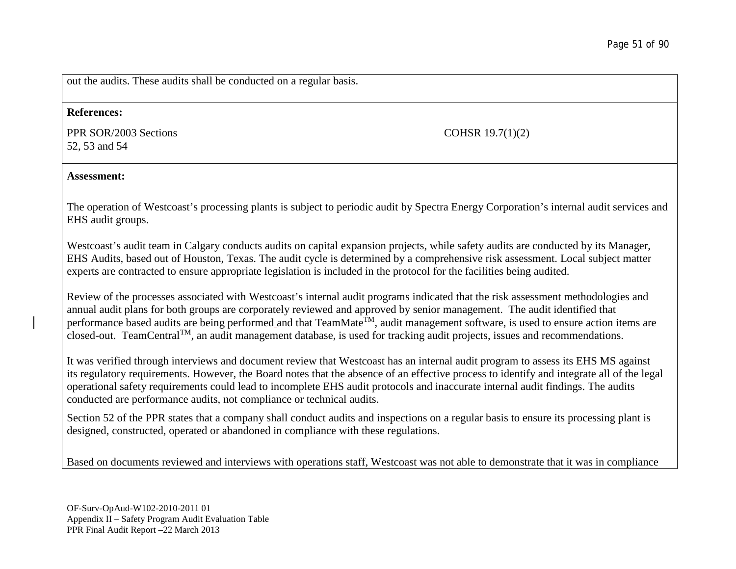out the audits. These audits shall be conducted on a regular basis.

#### **References:**

PPR SOR/2003 Sections 52, 53 and 54

COHSR 19.7(1)(2)

#### **Assessment:**

The operation of Westcoast's processing plants is subject to periodic audit by Spectra Energy Corporation's internal audit services and EHS audit groups.

Westcoast's audit team in Calgary conducts audits on capital expansion projects, while safety audits are conducted by its Manager, EHS Audits, based out of Houston, Texas. The audit cycle is determined by a comprehensive risk assessment. Local subject matter experts are contracted to ensure appropriate legislation is included in the protocol for the facilities being audited.

Review of the processes associated with Westcoast's internal audit programs indicated that the risk assessment methodologies and annual audit plans for both groups are corporately reviewed and approved by senior management. The audit identified that performance based audits are being performed and that TeamMate $^{\overline{TM}}$ , audit management software, is used to ensure action items are closed-out. TeamCentralTM, an audit management database, is used for tracking audit projects, issues and recommendations.

It was verified through interviews and document review that Westcoast has an internal audit program to assess its EHS MS against its regulatory requirements. However, the Board notes that the absence of an effective process to identify and integrate all of the legal operational safety requirements could lead to incomplete EHS audit protocols and inaccurate internal audit findings. The audits conducted are performance audits, not compliance or technical audits.

Section 52 of the PPR states that a company shall conduct audits and inspections on a regular basis to ensure its processing plant is designed, constructed, operated or abandoned in compliance with these regulations.

Based on documents reviewed and interviews with operations staff, Westcoast was not able to demonstrate that it was in compliance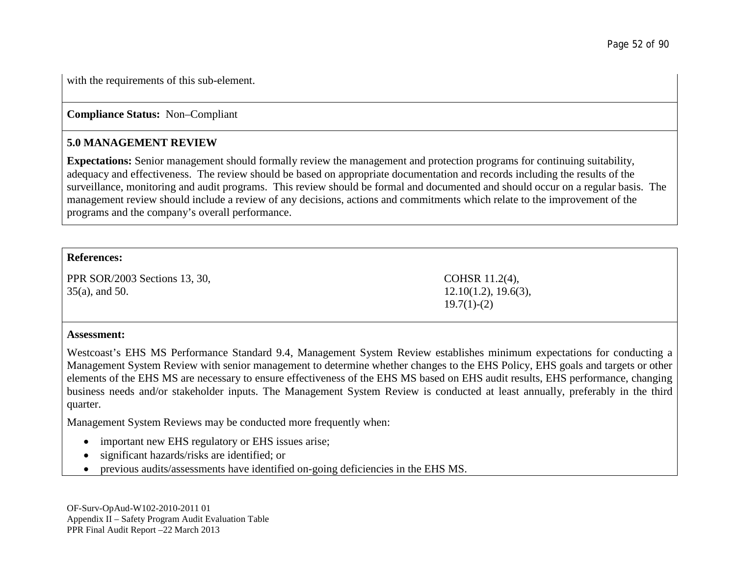with the requirements of this sub-element.

### **Compliance Status:** Non–Compliant

### **5.0 MANAGEMENT REVIEW**

**Expectations:** Senior management should formally review the management and protection programs for continuing suitability, adequacy and effectiveness. The review should be based on appropriate documentation and records including the results of the surveillance, monitoring and audit programs. This review should be formal and documented and should occur on a regular basis. The management review should include a review of any decisions, actions and commitments which relate to the improvement of the programs and the company's overall performance.

#### **References:**

PPR SOR/2003 Sections 13, 30, 35(a), and 50.

COHSR 11.2(4), 12.10(1.2), 19.6(3),  $19.7(1)-(2)$ 

#### **Assessment:**

Westcoast's EHS MS Performance Standard 9.4, Management System Review establishes minimum expectations for conducting a Management System Review with senior management to determine whether changes to the EHS Policy, EHS goals and targets or other elements of the EHS MS are necessary to ensure effectiveness of the EHS MS based on EHS audit results, EHS performance, changing business needs and/or stakeholder inputs. The Management System Review is conducted at least annually, preferably in the third quarter.

Management System Reviews may be conducted more frequently when:

- important new EHS regulatory or EHS issues arise;
- significant hazards/risks are identified; or
- previous audits/assessments have identified on-going deficiencies in the EHS MS.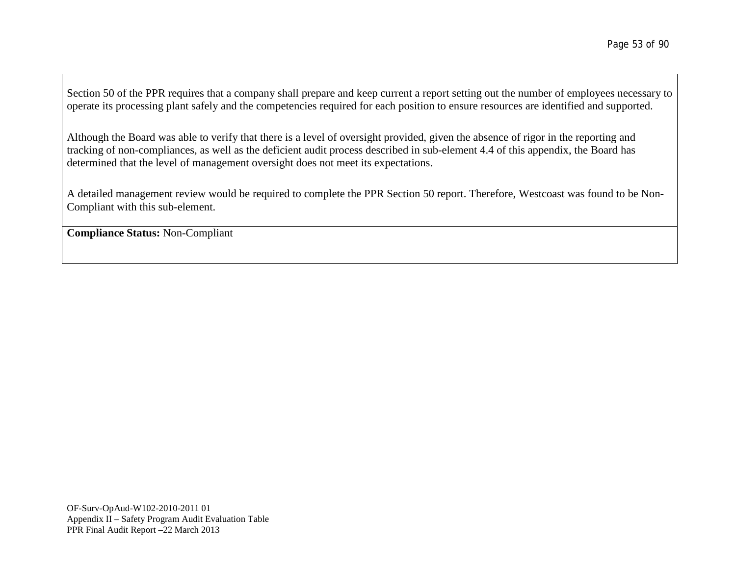Section 50 of the PPR requires that a company shall prepare and keep current a report setting out the number of employees necessary to operate its processing plant safely and the competencies required for each position to ensure resources are identified and supported.

Although the Board was able to verify that there is a level of oversight provided, given the absence of rigor in the reporting and tracking of non-compliances, as well as the deficient audit process described in sub-element 4.4 of this appendix, the Board has determined that the level of management oversight does not meet its expectations.

A detailed management review would be required to complete the PPR Section 50 report. Therefore, Westcoast was found to be Non-Compliant with this sub-element.

**Compliance Status:** Non-Compliant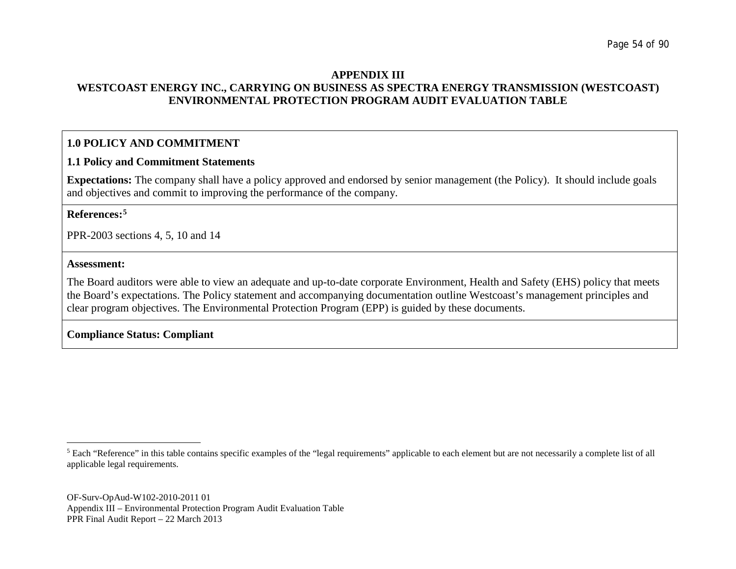#### <span id="page-53-0"></span>**APPENDIX III WESTCOAST ENERGY INC., CARRYING ON BUSINESS AS SPECTRA ENERGY TRANSMISSION (WESTCOAST) ENVIRONMENTAL PROTECTION PROGRAM AUDIT EVALUATION TABLE**

## **1.0 POLICY AND COMMITMENT**

#### **1.1 Policy and Commitment Statements**

**Expectations:** The company shall have a policy approved and endorsed by senior management (the Policy). It should include goals and objectives and commit to improving the performance of the company.

#### **References:[5](#page-53-0)**

PPR-2003 sections 4, 5, 10 and 14

#### **Assessment:**

The Board auditors were able to view an adequate and up-to-date corporate Environment, Health and Safety (EHS) policy that meets the Board's expectations. The Policy statement and accompanying documentation outline Westcoast's management principles and clear program objectives. The Environmental Protection Program (EPP) is guided by these documents.

### **Compliance Status: Compliant**

<sup>&</sup>lt;sup>5</sup> Each "Reference" in this table contains specific examples of the "legal requirements" applicable to each element but are not necessarily a complete list of all applicable legal requirements.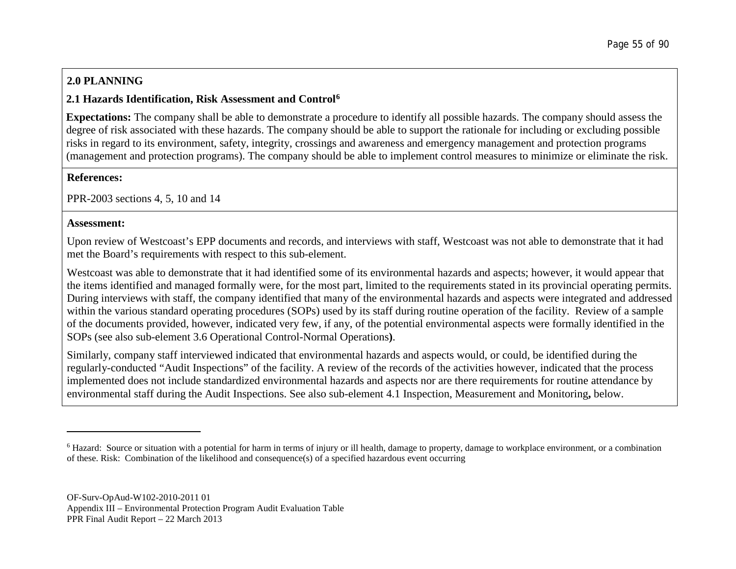# <span id="page-54-0"></span>**2.0 PLANNING**

### **2.1 Hazards Identification, Risk Assessment and Control[6](#page-54-0)**

**Expectations:** The company shall be able to demonstrate a procedure to identify all possible hazards. The company should assess the degree of risk associated with these hazards. The company should be able to support the rationale for including or excluding possible risks in regard to its environment, safety, integrity, crossings and awareness and emergency management and protection programs (management and protection programs). The company should be able to implement control measures to minimize or eliminate the risk.

### **References:**

PPR-2003 sections 4, 5, 10 and 14

### **Assessment:**

Upon review of Westcoast's EPP documents and records, and interviews with staff, Westcoast was not able to demonstrate that it had met the Board's requirements with respect to this sub-element.

Westcoast was able to demonstrate that it had identified some of its environmental hazards and aspects; however, it would appear that the items identified and managed formally were, for the most part, limited to the requirements stated in its provincial operating permits. During interviews with staff, the company identified that many of the environmental hazards and aspects were integrated and addressed within the various standard operating procedures (SOPs) used by its staff during routine operation of the facility. Review of a sample of the documents provided, however, indicated very few, if any, of the potential environmental aspects were formally identified in the SOPs (see also sub-element 3.6 Operational Control-Normal Operations**)**.

Similarly, company staff interviewed indicated that environmental hazards and aspects would, or could, be identified during the regularly-conducted "Audit Inspections" of the facility. A review of the records of the activities however, indicated that the process implemented does not include standardized environmental hazards and aspects nor are there requirements for routine attendance by environmental staff during the Audit Inspections. See also sub-element 4.1 Inspection, Measurement and Monitoring**,** below.

<sup>&</sup>lt;sup>6</sup> Hazard: Source or situation with a potential for harm in terms of injury or ill health, damage to property, damage to workplace environment, or a combination of these. Risk: Combination of the likelihood and consequence(s) of a specified hazardous event occurring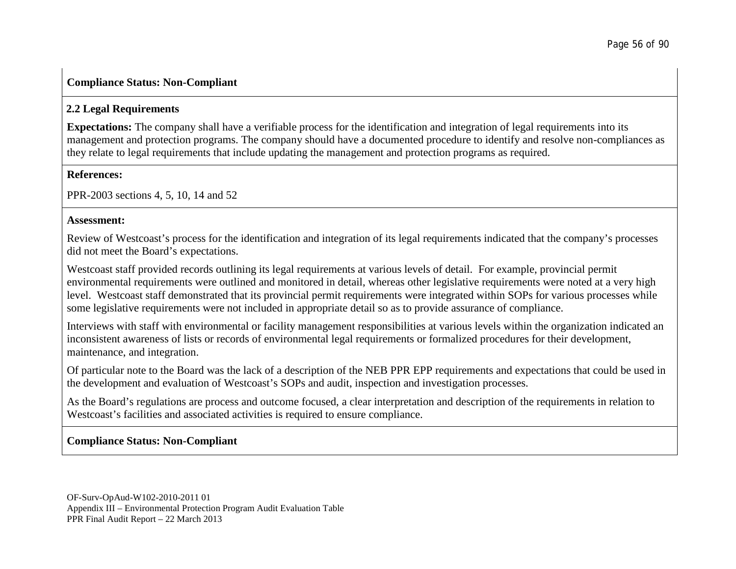## **Compliance Status: Non-Compliant**

## **2.2 Legal Requirements**

**Expectations:** The company shall have a verifiable process for the identification and integration of legal requirements into its management and protection programs. The company should have a documented procedure to identify and resolve non-compliances as they relate to legal requirements that include updating the management and protection programs as required.

### **References:**

PPR-2003 sections 4, 5, 10, 14 and 52

### **Assessment:**

Review of Westcoast's process for the identification and integration of its legal requirements indicated that the company's processes did not meet the Board's expectations.

Westcoast staff provided records outlining its legal requirements at various levels of detail. For example, provincial permit environmental requirements were outlined and monitored in detail, whereas other legislative requirements were noted at a very high level. Westcoast staff demonstrated that its provincial permit requirements were integrated within SOPs for various processes while some legislative requirements were not included in appropriate detail so as to provide assurance of compliance.

Interviews with staff with environmental or facility management responsibilities at various levels within the organization indicated an inconsistent awareness of lists or records of environmental legal requirements or formalized procedures for their development, maintenance, and integration.

Of particular note to the Board was the lack of a description of the NEB PPR EPP requirements and expectations that could be used in the development and evaluation of Westcoast's SOPs and audit, inspection and investigation processes.

As the Board's regulations are process and outcome focused, a clear interpretation and description of the requirements in relation to Westcoast's facilities and associated activities is required to ensure compliance.

## **Compliance Status: Non-Compliant**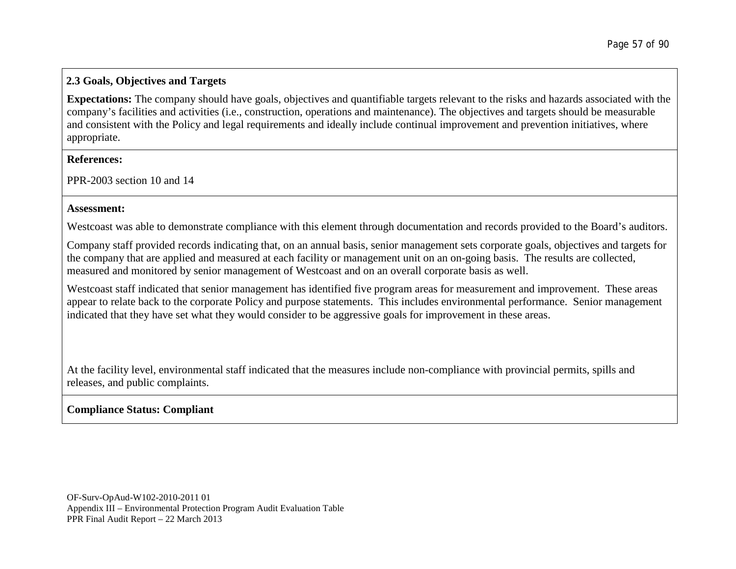### **2.3 Goals, Objectives and Targets**

**Expectations:** The company should have goals, objectives and quantifiable targets relevant to the risks and hazards associated with the company's facilities and activities (i.e., construction, operations and maintenance). The objectives and targets should be measurable and consistent with the Policy and legal requirements and ideally include continual improvement and prevention initiatives, where appropriate.

#### **References:**

PPR-2003 section 10 and 14

#### **Assessment:**

Westcoast was able to demonstrate compliance with this element through documentation and records provided to the Board's auditors.

Company staff provided records indicating that, on an annual basis, senior management sets corporate goals, objectives and targets for the company that are applied and measured at each facility or management unit on an on-going basis. The results are collected, measured and monitored by senior management of Westcoast and on an overall corporate basis as well.

Westcoast staff indicated that senior management has identified five program areas for measurement and improvement. These areas appear to relate back to the corporate Policy and purpose statements. This includes environmental performance. Senior management indicated that they have set what they would consider to be aggressive goals for improvement in these areas.

At the facility level, environmental staff indicated that the measures include non-compliance with provincial permits, spills and releases, and public complaints.

## **Compliance Status: Compliant**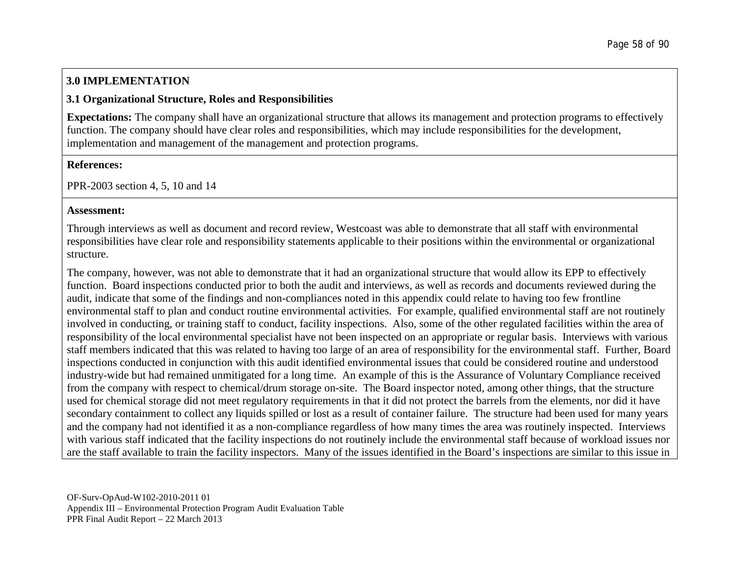# **3.0 IMPLEMENTATION**

### **3.1 Organizational Structure, Roles and Responsibilities**

**Expectations:** The company shall have an organizational structure that allows its management and protection programs to effectively function. The company should have clear roles and responsibilities, which may include responsibilities for the development, implementation and management of the management and protection programs.

### **References:**

PPR-2003 section 4, 5, 10 and 14

### **Assessment:**

Through interviews as well as document and record review, Westcoast was able to demonstrate that all staff with environmental responsibilities have clear role and responsibility statements applicable to their positions within the environmental or organizational structure.

The company, however, was not able to demonstrate that it had an organizational structure that would allow its EPP to effectively function. Board inspections conducted prior to both the audit and interviews, as well as records and documents reviewed during the audit, indicate that some of the findings and non-compliances noted in this appendix could relate to having too few frontline environmental staff to plan and conduct routine environmental activities. For example, qualified environmental staff are not routinely involved in conducting, or training staff to conduct, facility inspections. Also, some of the other regulated facilities within the area of responsibility of the local environmental specialist have not been inspected on an appropriate or regular basis. Interviews with various staff members indicated that this was related to having too large of an area of responsibility for the environmental staff. Further, Board inspections conducted in conjunction with this audit identified environmental issues that could be considered routine and understood industry-wide but had remained unmitigated for a long time. An example of this is the Assurance of Voluntary Compliance received from the company with respect to chemical/drum storage on-site. The Board inspector noted, among other things, that the structure used for chemical storage did not meet regulatory requirements in that it did not protect the barrels from the elements, nor did it have secondary containment to collect any liquids spilled or lost as a result of container failure. The structure had been used for many years and the company had not identified it as a non-compliance regardless of how many times the area was routinely inspected. Interviews with various staff indicated that the facility inspections do not routinely include the environmental staff because of workload issues nor are the staff available to train the facility inspectors. Many of the issues identified in the Board's inspections are similar to this issue in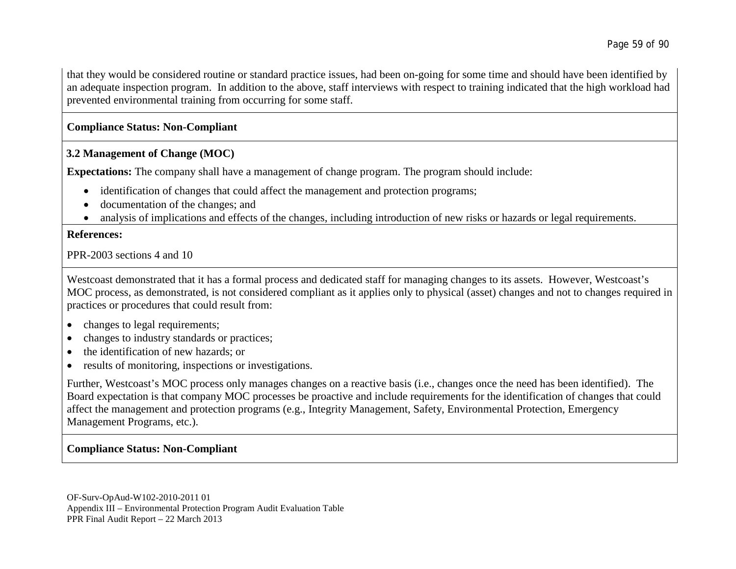that they would be considered routine or standard practice issues, had been on-going for some time and should have been identified by an adequate inspection program. In addition to the above, staff interviews with respect to training indicated that the high workload had prevented environmental training from occurring for some staff.

### **Compliance Status: Non-Compliant**

### **3.2 Management of Change (MOC)**

**Expectations:** The company shall have a management of change program. The program should include:

- identification of changes that could affect the management and protection programs;
- documentation of the changes; and
- analysis of implications and effects of the changes, including introduction of new risks or hazards or legal requirements.

### **References:**

PPR-2003 sections 4 and 10

Westcoast demonstrated that it has a formal process and dedicated staff for managing changes to its assets. However, Westcoast's MOC process, as demonstrated, is not considered compliant as it applies only to physical (asset) changes and not to changes required in practices or procedures that could result from:

- changes to legal requirements;
- changes to industry standards or practices;
- the identification of new hazards; or
- results of monitoring, inspections or investigations.

Further, Westcoast's MOC process only manages changes on a reactive basis (i.e., changes once the need has been identified). The Board expectation is that company MOC processes be proactive and include requirements for the identification of changes that could affect the management and protection programs (e.g., Integrity Management, Safety, Environmental Protection, Emergency Management Programs, etc.).

## **Compliance Status: Non-Compliant**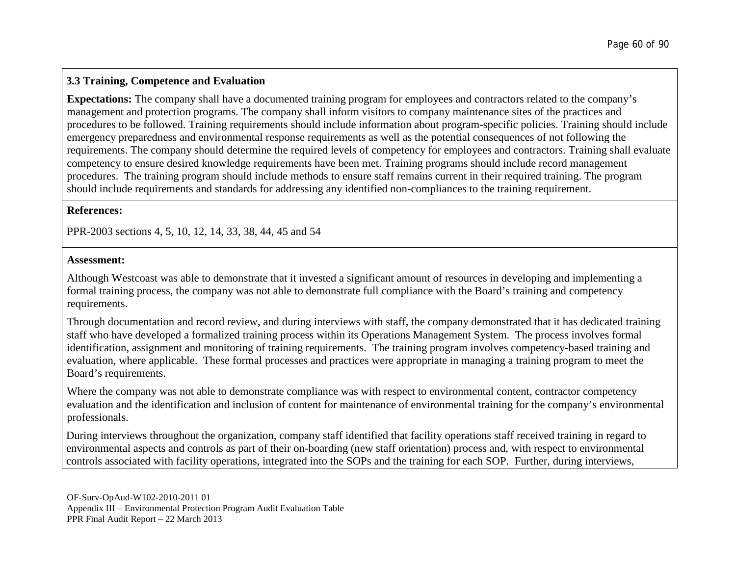### **3.3 Training, Competence and Evaluation**

**Expectations:** The company shall have a documented training program for employees and contractors related to the company's management and protection programs. The company shall inform visitors to company maintenance sites of the practices and procedures to be followed. Training requirements should include information about program-specific policies. Training should include emergency preparedness and environmental response requirements as well as the potential consequences of not following the requirements. The company should determine the required levels of competency for employees and contractors. Training shall evaluate competency to ensure desired knowledge requirements have been met. Training programs should include record management procedures. The training program should include methods to ensure staff remains current in their required training. The program should include requirements and standards for addressing any identified non-compliances to the training requirement.

#### **References:**

PPR-2003 sections 4, 5, 10, 12, 14, 33, 38, 44, 45 and 54

### **Assessment:**

Although Westcoast was able to demonstrate that it invested a significant amount of resources in developing and implementing a formal training process, the company was not able to demonstrate full compliance with the Board's training and competency requirements.

Through documentation and record review, and during interviews with staff, the company demonstrated that it has dedicated training staff who have developed a formalized training process within its Operations Management System. The process involves formal identification, assignment and monitoring of training requirements. The training program involves competency-based training and evaluation, where applicable. These formal processes and practices were appropriate in managing a training program to meet the Board's requirements.

Where the company was not able to demonstrate compliance was with respect to environmental content, contractor competency evaluation and the identification and inclusion of content for maintenance of environmental training for the company's environmental professionals.

During interviews throughout the organization, company staff identified that facility operations staff received training in regard to environmental aspects and controls as part of their on-boarding (new staff orientation) process and, with respect to environmental controls associated with facility operations, integrated into the SOPs and the training for each SOP. Further, during interviews,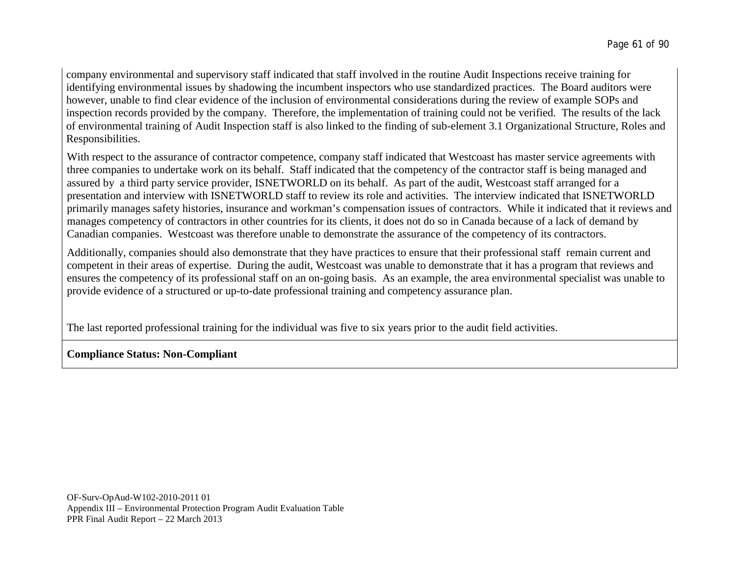company environmental and supervisory staff indicated that staff involved in the routine Audit Inspections receive training for identifying environmental issues by shadowing the incumbent inspectors who use standardized practices. The Board auditors were however, unable to find clear evidence of the inclusion of environmental considerations during the review of example SOPs and inspection records provided by the company. Therefore, the implementation of training could not be verified. The results of the lack of environmental training of Audit Inspection staff is also linked to the finding of sub-element 3.1 Organizational Structure, Roles and Responsibilities.

With respect to the assurance of contractor competence, company staff indicated that Westcoast has master service agreements with three companies to undertake work on its behalf. Staff indicated that the competency of the contractor staff is being managed and assured by a third party service provider, ISNETWORLD on its behalf. As part of the audit, Westcoast staff arranged for a presentation and interview with ISNETWORLD staff to review its role and activities. The interview indicated that ISNETWORLD primarily manages safety histories, insurance and workman's compensation issues of contractors. While it indicated that it reviews and manages competency of contractors in other countries for its clients, it does not do so in Canada because of a lack of demand by Canadian companies. Westcoast was therefore unable to demonstrate the assurance of the competency of its contractors.

Additionally, companies should also demonstrate that they have practices to ensure that their professional staff remain current and competent in their areas of expertise. During the audit, Westcoast was unable to demonstrate that it has a program that reviews and ensures the competency of its professional staff on an on-going basis. As an example, the area environmental specialist was unable to provide evidence of a structured or up-to-date professional training and competency assurance plan.

The last reported professional training for the individual was five to six years prior to the audit field activities.

## **Compliance Status: Non-Compliant**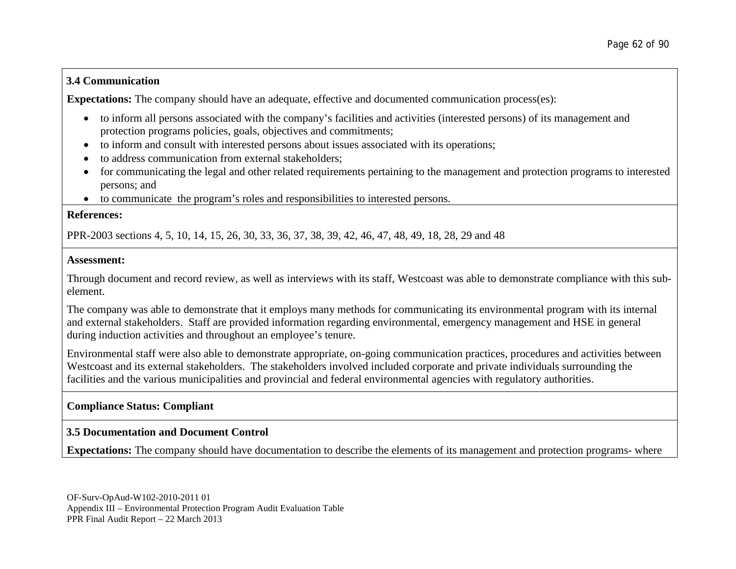### **3.4 Communication**

**Expectations:** The company should have an adequate, effective and documented communication process(es):

- to inform all persons associated with the company's facilities and activities (interested persons) of its management and protection programs policies, goals, objectives and commitments;
- to inform and consult with interested persons about issues associated with its operations;
- to address communication from external stakeholders;
- for communicating the legal and other related requirements pertaining to the management and protection programs to interested persons; and
- to communicate the program's roles and responsibilities to interested persons.

#### **References:**

PPR-2003 sections 4, 5, 10, 14, 15, 26, 30, 33, 36, 37, 38, 39, 42, 46, 47, 48, 49, 18, 28, 29 and 48

### **Assessment:**

Through document and record review, as well as interviews with its staff, Westcoast was able to demonstrate compliance with this subelement.

The company was able to demonstrate that it employs many methods for communicating its environmental program with its internal and external stakeholders. Staff are provided information regarding environmental, emergency management and HSE in general during induction activities and throughout an employee's tenure.

Environmental staff were also able to demonstrate appropriate, on-going communication practices, procedures and activities between Westcoast and its external stakeholders. The stakeholders involved included corporate and private individuals surrounding the facilities and the various municipalities and provincial and federal environmental agencies with regulatory authorities.

## **Compliance Status: Compliant**

## **3.5 Documentation and Document Control**

**Expectations:** The company should have documentation to describe the elements of its management and protection programs- where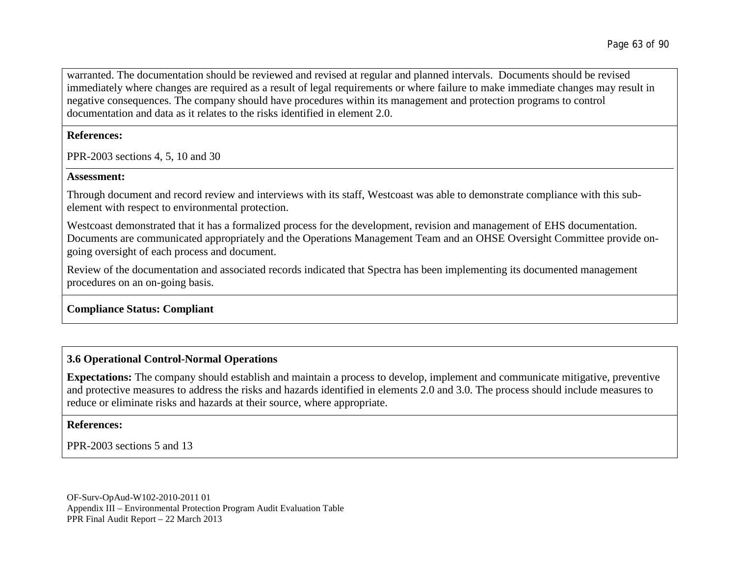warranted. The documentation should be reviewed and revised at regular and planned intervals. Documents should be revised immediately where changes are required as a result of legal requirements or where failure to make immediate changes may result in negative consequences. The company should have procedures within its management and protection programs to control documentation and data as it relates to the risks identified in element 2.0.

#### **References:**

PPR-2003 sections 4, 5, 10 and 30

#### **Assessment:**

Through document and record review and interviews with its staff, Westcoast was able to demonstrate compliance with this subelement with respect to environmental protection.

Westcoast demonstrated that it has a formalized process for the development, revision and management of EHS documentation. Documents are communicated appropriately and the Operations Management Team and an OHSE Oversight Committee provide ongoing oversight of each process and document.

Review of the documentation and associated records indicated that Spectra has been implementing its documented management procedures on an on-going basis.

## **Compliance Status: Compliant**

# **3.6 Operational Control-Normal Operations**

**Expectations:** The company should establish and maintain a process to develop, implement and communicate mitigative, preventive and protective measures to address the risks and hazards identified in elements 2.0 and 3.0. The process should include measures to reduce or eliminate risks and hazards at their source, where appropriate.

#### **References:**

PPR-2003 sections 5 and 13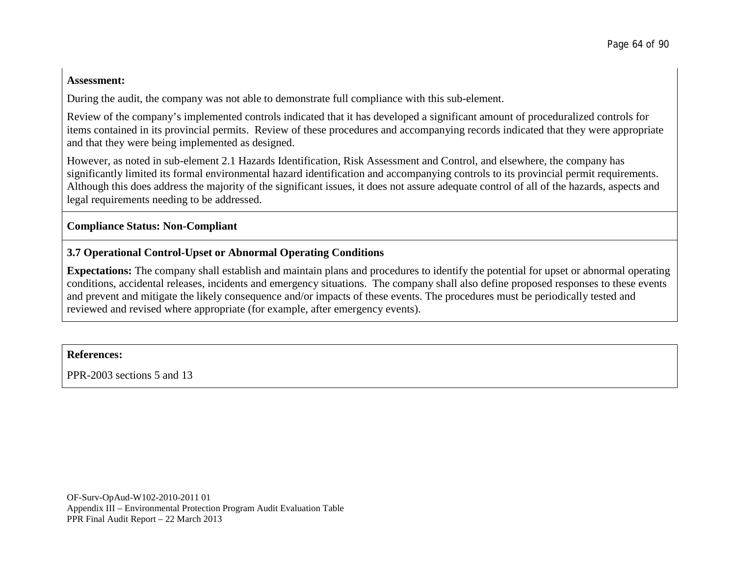#### **Assessment:**

During the audit, the company was not able to demonstrate full compliance with this sub-element.

Review of the company's implemented controls indicated that it has developed a significant amount of proceduralized controls for items contained in its provincial permits. Review of these procedures and accompanying records indicated that they were appropriate and that they were being implemented as designed.

However, as noted in sub-element 2.1 Hazards Identification, Risk Assessment and Control, and elsewhere, the company has significantly limited its formal environmental hazard identification and accompanying controls to its provincial permit requirements. Although this does address the majority of the significant issues, it does not assure adequate control of all of the hazards, aspects and legal requirements needing to be addressed.

### **Compliance Status: Non-Compliant**

## **3.7 Operational Control-Upset or Abnormal Operating Conditions**

**Expectations:** The company shall establish and maintain plans and procedures to identify the potential for upset or abnormal operating conditions, accidental releases, incidents and emergency situations. The company shall also define proposed responses to these events and prevent and mitigate the likely consequence and/or impacts of these events. The procedures must be periodically tested and reviewed and revised where appropriate (for example, after emergency events).

#### **References:**

PPR-2003 sections 5 and 13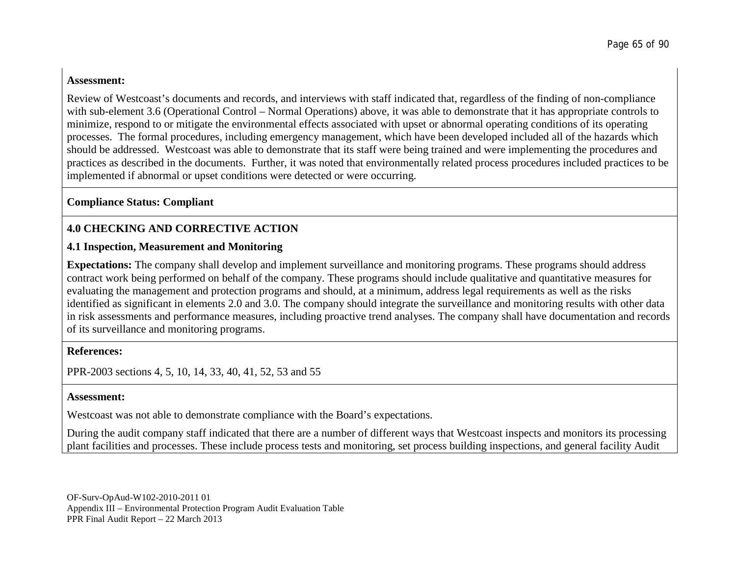#### **Assessment:**

Review of Westcoast's documents and records, and interviews with staff indicated that, regardless of the finding of non-compliance with sub-element 3.6 (Operational Control – Normal Operations) above, it was able to demonstrate that it has appropriate controls to minimize, respond to or mitigate the environmental effects associated with upset or abnormal operating conditions of its operating processes. The formal procedures, including emergency management, which have been developed included all of the hazards which should be addressed. Westcoast was able to demonstrate that its staff were being trained and were implementing the procedures and practices as described in the documents. Further, it was noted that environmentally related process procedures included practices to be implemented if abnormal or upset conditions were detected or were occurring.

### **Compliance Status: Compliant**

### **4.0 CHECKING AND CORRECTIVE ACTION**

### **4.1 Inspection, Measurement and Monitoring**

**Expectations:** The company shall develop and implement surveillance and monitoring programs. These programs should address contract work being performed on behalf of the company. These programs should include qualitative and quantitative measures for evaluating the management and protection programs and should, at a minimum, address legal requirements as well as the risks identified as significant in elements 2.0 and 3.0. The company should integrate the surveillance and monitoring results with other data in risk assessments and performance measures, including proactive trend analyses. The company shall have documentation and records of its surveillance and monitoring programs.

#### **References:**

PPR-2003 sections 4, 5, 10, 14, 33, 40, 41, 52, 53 and 55

#### **Assessment:**

Westcoast was not able to demonstrate compliance with the Board's expectations.

During the audit company staff indicated that there are a number of different ways that Westcoast inspects and monitors its processing plant facilities and processes. These include process tests and monitoring, set process building inspections, and general facility Audit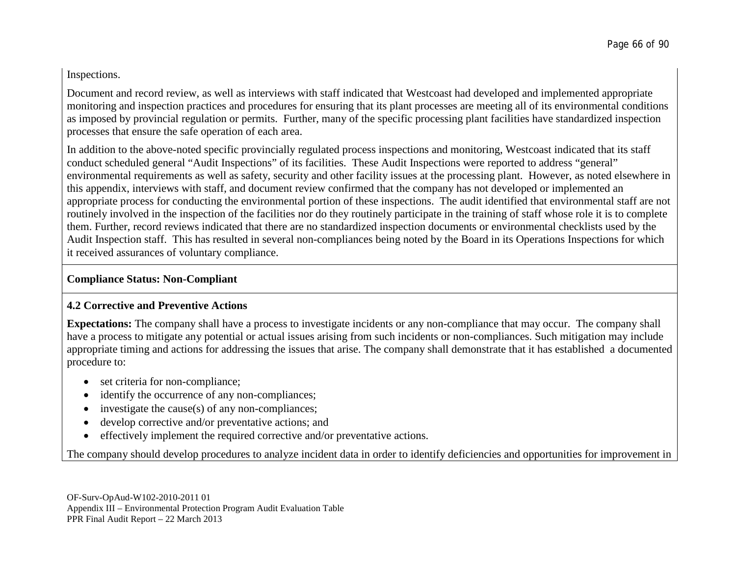Inspections.

Document and record review, as well as interviews with staff indicated that Westcoast had developed and implemented appropriate monitoring and inspection practices and procedures for ensuring that its plant processes are meeting all of its environmental conditions as imposed by provincial regulation or permits. Further, many of the specific processing plant facilities have standardized inspection processes that ensure the safe operation of each area.

In addition to the above-noted specific provincially regulated process inspections and monitoring, Westcoast indicated that its staff conduct scheduled general "Audit Inspections" of its facilities. These Audit Inspections were reported to address "general" environmental requirements as well as safety, security and other facility issues at the processing plant. However, as noted elsewhere in this appendix, interviews with staff, and document review confirmed that the company has not developed or implemented an appropriate process for conducting the environmental portion of these inspections. The audit identified that environmental staff are not routinely involved in the inspection of the facilities nor do they routinely participate in the training of staff whose role it is to complete them. Further, record reviews indicated that there are no standardized inspection documents or environmental checklists used by the Audit Inspection staff. This has resulted in several non-compliances being noted by the Board in its Operations Inspections for which it received assurances of voluntary compliance.

### **Compliance Status: Non-Compliant**

## **4.2 Corrective and Preventive Actions**

**Expectations:** The company shall have a process to investigate incidents or any non-compliance that may occur. The company shall have a process to mitigate any potential or actual issues arising from such incidents or non-compliances. Such mitigation may include appropriate timing and actions for addressing the issues that arise. The company shall demonstrate that it has established a documented procedure to:

- set criteria for non-compliance;
- identify the occurrence of any non-compliances;
- investigate the cause(s) of any non-compliances;
- develop corrective and/or preventative actions; and
- effectively implement the required corrective and/or preventative actions.

The company should develop procedures to analyze incident data in order to identify deficiencies and opportunities for improvement in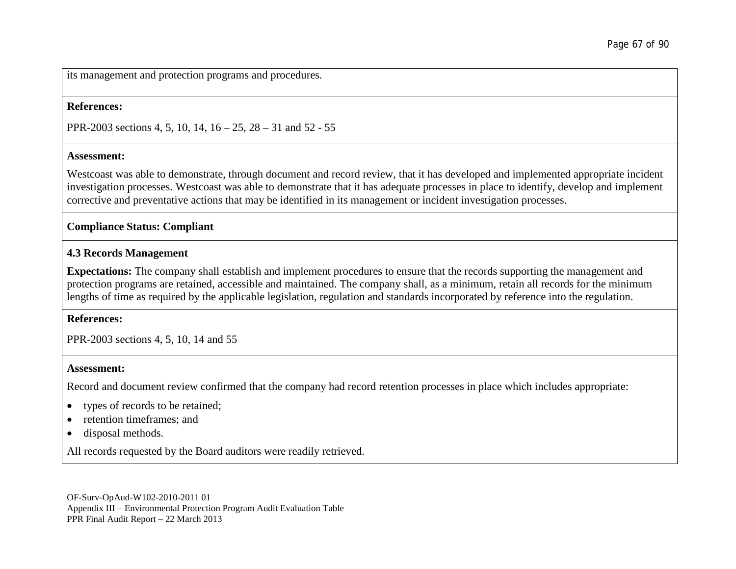its management and protection programs and procedures.

#### **References:**

PPR-2003 sections 4, 5, 10, 14, 16 – 25, 28 – 31 and 52 - 55

#### **Assessment:**

Westcoast was able to demonstrate, through document and record review, that it has developed and implemented appropriate incident investigation processes. Westcoast was able to demonstrate that it has adequate processes in place to identify, develop and implement corrective and preventative actions that may be identified in its management or incident investigation processes.

#### **Compliance Status: Compliant**

### **4.3 Records Management**

**Expectations:** The company shall establish and implement procedures to ensure that the records supporting the management and protection programs are retained, accessible and maintained. The company shall, as a minimum, retain all records for the minimum lengths of time as required by the applicable legislation, regulation and standards incorporated by reference into the regulation.

#### **References:**

PPR-2003 sections 4, 5, 10, 14 and 55

#### **Assessment:**

Record and document review confirmed that the company had record retention processes in place which includes appropriate:

- types of records to be retained;
- retention timeframes; and
- disposal methods.

All records requested by the Board auditors were readily retrieved.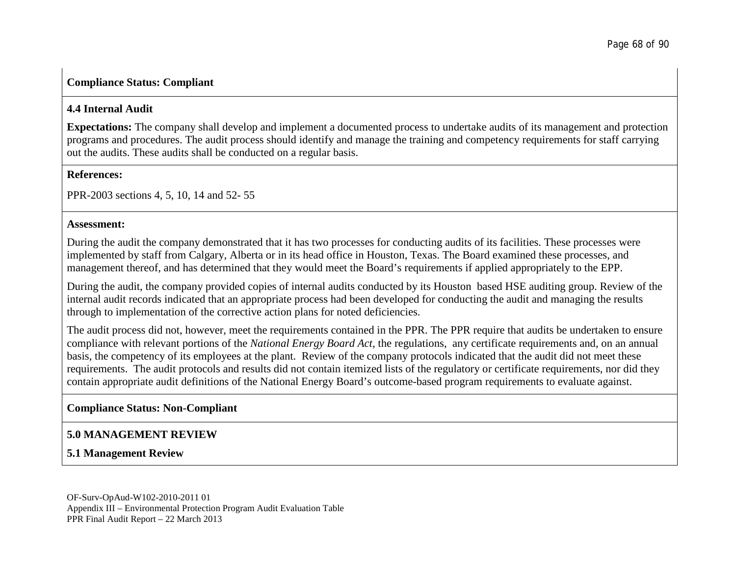### **Compliance Status: Compliant**

### **4.4 Internal Audit**

**Expectations:** The company shall develop and implement a documented process to undertake audits of its management and protection programs and procedures. The audit process should identify and manage the training and competency requirements for staff carrying out the audits. These audits shall be conducted on a regular basis.

#### **References:**

PPR-2003 sections 4, 5, 10, 14 and 52- 55

#### **Assessment:**

During the audit the company demonstrated that it has two processes for conducting audits of its facilities. These processes were implemented by staff from Calgary, Alberta or in its head office in Houston, Texas. The Board examined these processes, and management thereof, and has determined that they would meet the Board's requirements if applied appropriately to the EPP.

During the audit, the company provided copies of internal audits conducted by its Houston based HSE auditing group. Review of the internal audit records indicated that an appropriate process had been developed for conducting the audit and managing the results through to implementation of the corrective action plans for noted deficiencies.

The audit process did not, however, meet the requirements contained in the PPR. The PPR require that audits be undertaken to ensure compliance with relevant portions of the *National Energy Board Act*, the regulations, any certificate requirements and, on an annual basis, the competency of its employees at the plant. Review of the company protocols indicated that the audit did not meet these requirements. The audit protocols and results did not contain itemized lists of the regulatory or certificate requirements, nor did they contain appropriate audit definitions of the National Energy Board's outcome-based program requirements to evaluate against.

## **Compliance Status: Non-Compliant**

# **5.0 MANAGEMENT REVIEW**

## **5.1 Management Review**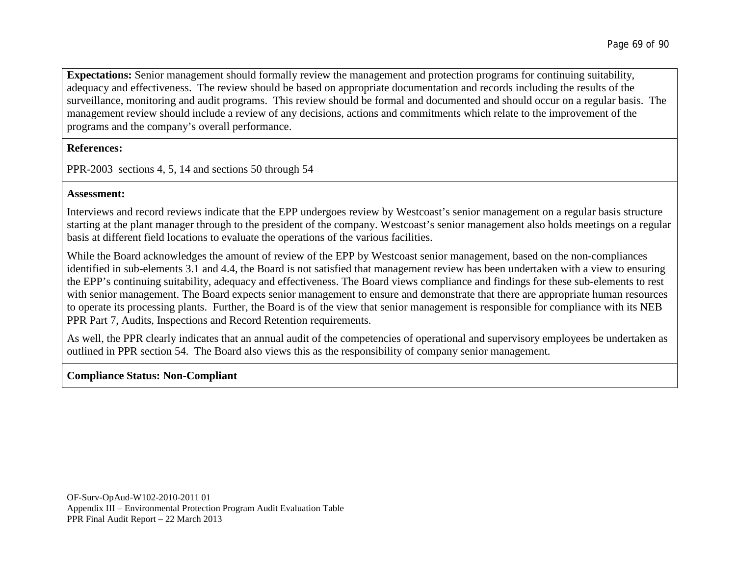**Expectations:** Senior management should formally review the management and protection programs for continuing suitability, adequacy and effectiveness. The review should be based on appropriate documentation and records including the results of the surveillance, monitoring and audit programs. This review should be formal and documented and should occur on a regular basis. The management review should include a review of any decisions, actions and commitments which relate to the improvement of the programs and the company's overall performance.

**References:**

PPR-2003 sections 4, 5, 14 and sections 50 through 54

### **Assessment:**

Interviews and record reviews indicate that the EPP undergoes review by Westcoast's senior management on a regular basis structure starting at the plant manager through to the president of the company. Westcoast's senior management also holds meetings on a regular basis at different field locations to evaluate the operations of the various facilities.

While the Board acknowledges the amount of review of the EPP by Westcoast senior management, based on the non-compliances identified in sub-elements 3.1 and 4.4, the Board is not satisfied that management review has been undertaken with a view to ensuring the EPP's continuing suitability, adequacy and effectiveness. The Board views compliance and findings for these sub-elements to rest with senior management. The Board expects senior management to ensure and demonstrate that there are appropriate human resources to operate its processing plants. Further, the Board is of the view that senior management is responsible for compliance with its NEB PPR Part 7, Audits, Inspections and Record Retention requirements.

As well, the PPR clearly indicates that an annual audit of the competencies of operational and supervisory employees be undertaken as outlined in PPR section 54. The Board also views this as the responsibility of company senior management.

### **Compliance Status: Non-Compliant**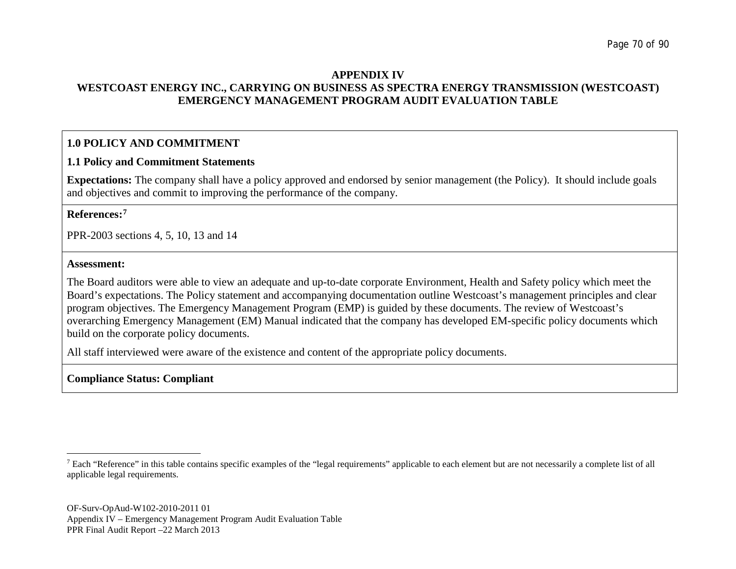#### <span id="page-69-0"></span>**APPENDIX IV WESTCOAST ENERGY INC., CARRYING ON BUSINESS AS SPECTRA ENERGY TRANSMISSION (WESTCOAST) EMERGENCY MANAGEMENT PROGRAM AUDIT EVALUATION TABLE**

### **1.0 POLICY AND COMMITMENT**

### **1.1 Policy and Commitment Statements**

**Expectations:** The company shall have a policy approved and endorsed by senior management (the Policy). It should include goals and objectives and commit to improving the performance of the company.

#### **References:[7](#page-69-0)**

PPR-2003 sections 4, 5, 10, 13 and 14

#### **Assessment:**

The Board auditors were able to view an adequate and up-to-date corporate Environment, Health and Safety policy which meet the Board's expectations. The Policy statement and accompanying documentation outline Westcoast's management principles and clear program objectives. The Emergency Management Program (EMP) is guided by these documents. The review of Westcoast's overarching Emergency Management (EM) Manual indicated that the company has developed EM-specific policy documents which build on the corporate policy documents.

All staff interviewed were aware of the existence and content of the appropriate policy documents.

## **Compliance Status: Compliant**

<sup>&</sup>lt;sup>7</sup> Each "Reference" in this table contains specific examples of the "legal requirements" applicable to each element but are not necessarily a complete list of all applicable legal requirements.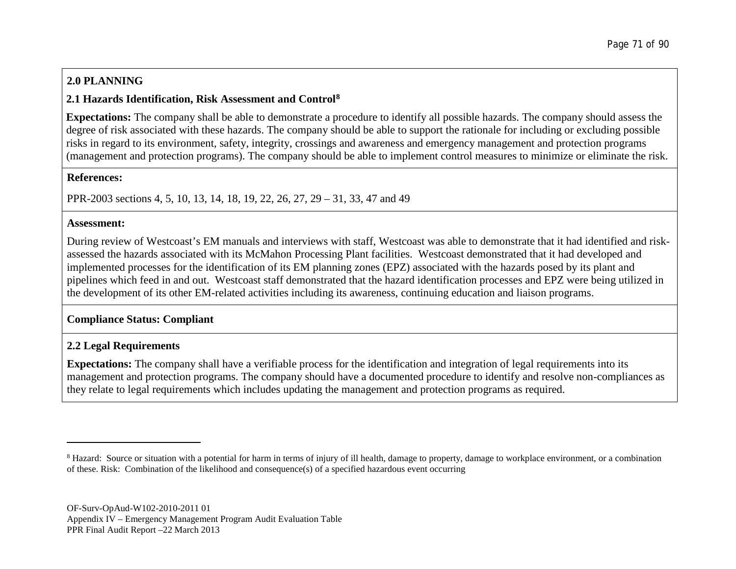# <span id="page-70-0"></span>**2.0 PLANNING**

## **2.1 Hazards Identification, Risk Assessment and Control[8](#page-70-0)**

**Expectations:** The company shall be able to demonstrate a procedure to identify all possible hazards. The company should assess the degree of risk associated with these hazards. The company should be able to support the rationale for including or excluding possible risks in regard to its environment, safety, integrity, crossings and awareness and emergency management and protection programs (management and protection programs). The company should be able to implement control measures to minimize or eliminate the risk.

### **References:**

PPR-2003 sections 4, 5, 10, 13, 14, 18, 19, 22, 26, 27, 29 – 31, 33, 47 and 49

### **Assessment:**

During review of Westcoast's EM manuals and interviews with staff, Westcoast was able to demonstrate that it had identified and riskassessed the hazards associated with its McMahon Processing Plant facilities. Westcoast demonstrated that it had developed and implemented processes for the identification of its EM planning zones (EPZ) associated with the hazards posed by its plant and pipelines which feed in and out. Westcoast staff demonstrated that the hazard identification processes and EPZ were being utilized in the development of its other EM-related activities including its awareness, continuing education and liaison programs.

## **Compliance Status: Compliant**

## **2.2 Legal Requirements**

**Expectations:** The company shall have a verifiable process for the identification and integration of legal requirements into its management and protection programs. The company should have a documented procedure to identify and resolve non-compliances as they relate to legal requirements which includes updating the management and protection programs as required.

<sup>&</sup>lt;sup>8</sup> Hazard: Source or situation with a potential for harm in terms of injury of ill health, damage to property, damage to workplace environment, or a combination of these. Risk: Combination of the likelihood and consequence(s) of a specified hazardous event occurring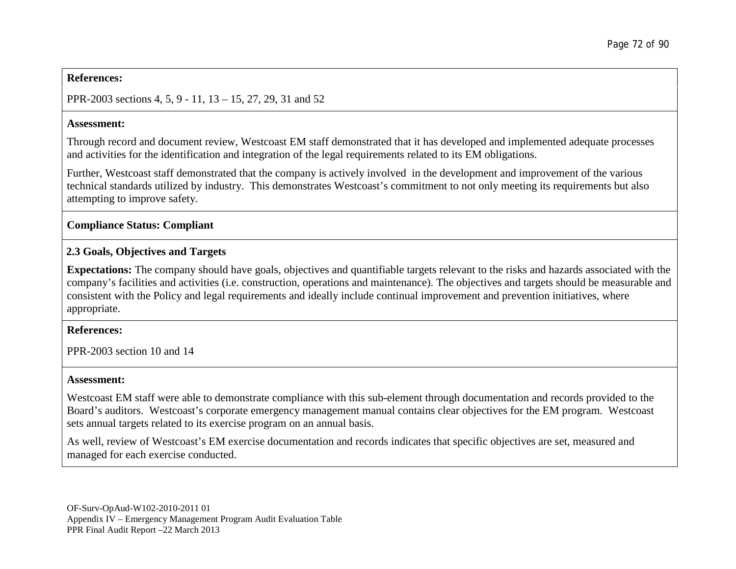#### **References:**

PPR-2003 sections 4, 5, 9 - 11, 13 – 15, 27, 29, 31 and 52

### **Assessment:**

Through record and document review, Westcoast EM staff demonstrated that it has developed and implemented adequate processes and activities for the identification and integration of the legal requirements related to its EM obligations.

Further, Westcoast staff demonstrated that the company is actively involved in the development and improvement of the various technical standards utilized by industry. This demonstrates Westcoast's commitment to not only meeting its requirements but also attempting to improve safety.

**Compliance Status: Compliant**

## **2.3 Goals, Objectives and Targets**

**Expectations:** The company should have goals, objectives and quantifiable targets relevant to the risks and hazards associated with the company's facilities and activities (i.e. construction, operations and maintenance). The objectives and targets should be measurable and consistent with the Policy and legal requirements and ideally include continual improvement and prevention initiatives, where appropriate.

### **References:**

PPR-2003 section 10 and 14

### **Assessment:**

Westcoast EM staff were able to demonstrate compliance with this sub-element through documentation and records provided to the Board's auditors. Westcoast's corporate emergency management manual contains clear objectives for the EM program. Westcoast sets annual targets related to its exercise program on an annual basis.

As well, review of Westcoast's EM exercise documentation and records indicates that specific objectives are set, measured and managed for each exercise conducted.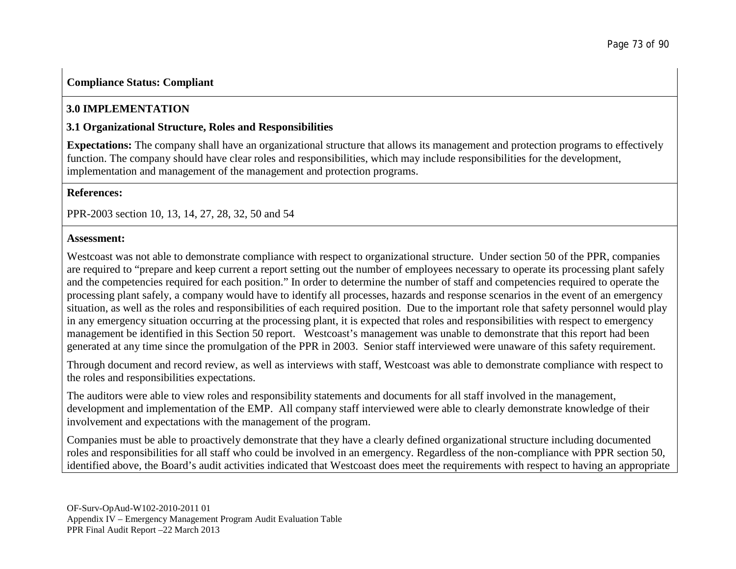# **Compliance Status: Compliant**

# **3.0 IMPLEMENTATION**

## **3.1 Organizational Structure, Roles and Responsibilities**

**Expectations:** The company shall have an organizational structure that allows its management and protection programs to effectively function. The company should have clear roles and responsibilities, which may include responsibilities for the development, implementation and management of the management and protection programs.

### **References:**

PPR-2003 section 10, 13, 14, 27, 28, 32, 50 and 54

#### **Assessment:**

Westcoast was not able to demonstrate compliance with respect to organizational structure. Under section 50 of the PPR, companies are required to "prepare and keep current a report setting out the number of employees necessary to operate its processing plant safely and the competencies required for each position." In order to determine the number of staff and competencies required to operate the processing plant safely, a company would have to identify all processes, hazards and response scenarios in the event of an emergency situation, as well as the roles and responsibilities of each required position. Due to the important role that safety personnel would play in any emergency situation occurring at the processing plant, it is expected that roles and responsibilities with respect to emergency management be identified in this Section 50 report. Westcoast's management was unable to demonstrate that this report had been generated at any time since the promulgation of the PPR in 2003. Senior staff interviewed were unaware of this safety requirement.

Through document and record review, as well as interviews with staff, Westcoast was able to demonstrate compliance with respect to the roles and responsibilities expectations.

The auditors were able to view roles and responsibility statements and documents for all staff involved in the management, development and implementation of the EMP. All company staff interviewed were able to clearly demonstrate knowledge of their involvement and expectations with the management of the program.

Companies must be able to proactively demonstrate that they have a clearly defined organizational structure including documented roles and responsibilities for all staff who could be involved in an emergency. Regardless of the non-compliance with PPR section 50, identified above, the Board's audit activities indicated that Westcoast does meet the requirements with respect to having an appropriate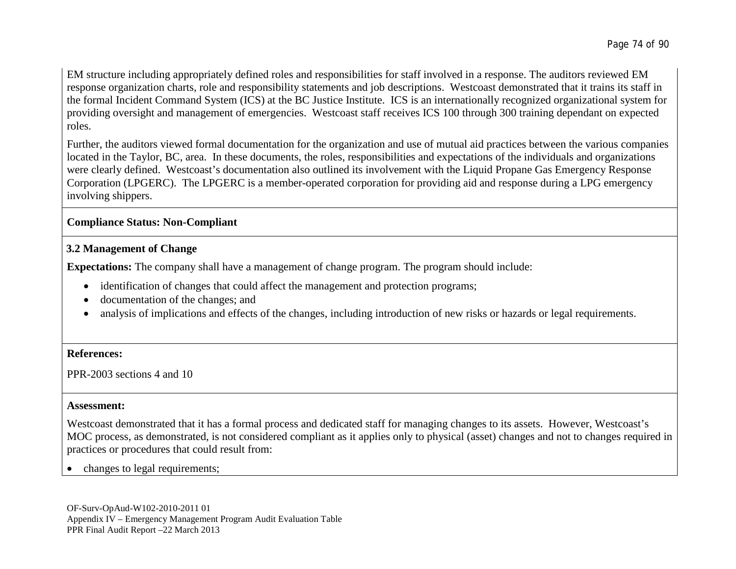EM structure including appropriately defined roles and responsibilities for staff involved in a response. The auditors reviewed EM response organization charts, role and responsibility statements and job descriptions. Westcoast demonstrated that it trains its staff in the formal Incident Command System (ICS) at the BC Justice Institute. ICS is an internationally recognized organizational system for providing oversight and management of emergencies. Westcoast staff receives ICS 100 through 300 training dependant on expected roles.

Further, the auditors viewed formal documentation for the organization and use of mutual aid practices between the various companies located in the Taylor, BC, area. In these documents, the roles, responsibilities and expectations of the individuals and organizations were clearly defined. Westcoast's documentation also outlined its involvement with the Liquid Propane Gas Emergency Response Corporation (LPGERC). The LPGERC is a member-operated corporation for providing aid and response during a LPG emergency involving shippers.

## **Compliance Status: Non-Compliant**

## **3.2 Management of Change**

**Expectations:** The company shall have a management of change program. The program should include:

- identification of changes that could affect the management and protection programs;
- documentation of the changes; and
- analysis of implications and effects of the changes, including introduction of new risks or hazards or legal requirements.

## **References:**

PPR-2003 sections 4 and 10

## **Assessment:**

Westcoast demonstrated that it has a formal process and dedicated staff for managing changes to its assets. However, Westcoast's MOC process, as demonstrated, is not considered compliant as it applies only to physical (asset) changes and not to changes required in practices or procedures that could result from:

• changes to legal requirements;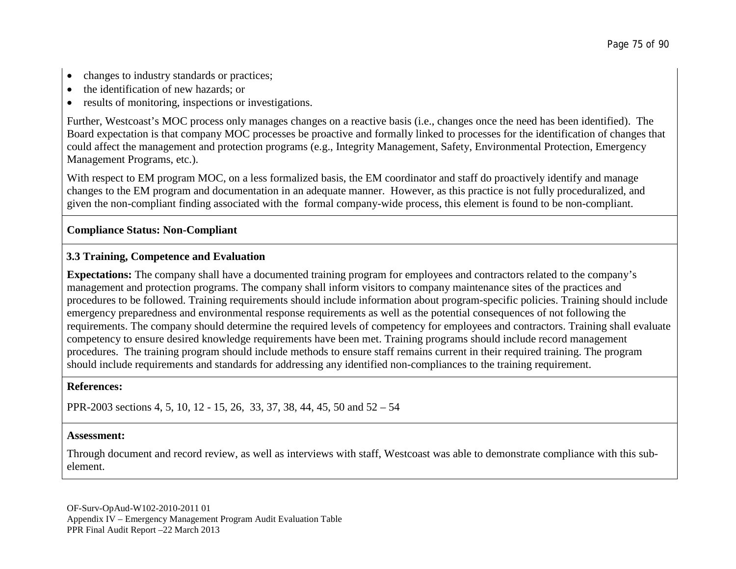- changes to industry standards or practices;
- the identification of new hazards; or
- results of monitoring, inspections or investigations.

Further, Westcoast's MOC process only manages changes on a reactive basis (i.e., changes once the need has been identified). The Board expectation is that company MOC processes be proactive and formally linked to processes for the identification of changes that could affect the management and protection programs (e.g., Integrity Management, Safety, Environmental Protection, Emergency Management Programs, etc.).

With respect to EM program MOC, on a less formalized basis, the EM coordinator and staff do proactively identify and manage changes to the EM program and documentation in an adequate manner. However, as this practice is not fully proceduralized, and given the non-compliant finding associated with the formal company-wide process, this element is found to be non-compliant.

## **Compliance Status: Non-Compliant**

## **3.3 Training, Competence and Evaluation**

**Expectations:** The company shall have a documented training program for employees and contractors related to the company's management and protection programs. The company shall inform visitors to company maintenance sites of the practices and procedures to be followed. Training requirements should include information about program-specific policies. Training should include emergency preparedness and environmental response requirements as well as the potential consequences of not following the requirements. The company should determine the required levels of competency for employees and contractors. Training shall evaluate competency to ensure desired knowledge requirements have been met. Training programs should include record management procedures. The training program should include methods to ensure staff remains current in their required training. The program should include requirements and standards for addressing any identified non-compliances to the training requirement.

#### **References:**

PPR-2003 sections 4, 5, 10, 12 - 15, 26, 33, 37, 38, 44, 45, 50 and 52 – 54

#### **Assessment:**

Through document and record review, as well as interviews with staff, Westcoast was able to demonstrate compliance with this subelement.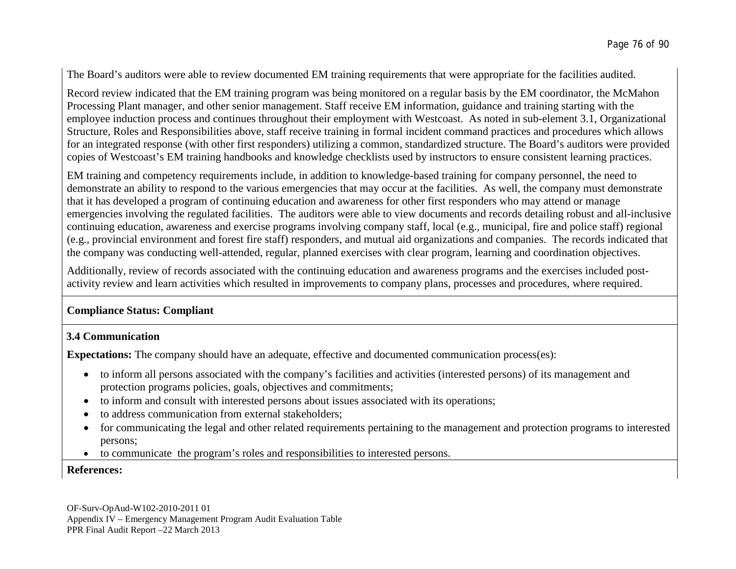The Board's auditors were able to review documented EM training requirements that were appropriate for the facilities audited.

Record review indicated that the EM training program was being monitored on a regular basis by the EM coordinator, the McMahon Processing Plant manager, and other senior management. Staff receive EM information, guidance and training starting with the employee induction process and continues throughout their employment with Westcoast. As noted in sub-element 3.1, Organizational Structure, Roles and Responsibilities above, staff receive training in formal incident command practices and procedures which allows for an integrated response (with other first responders) utilizing a common, standardized structure. The Board's auditors were provided copies of Westcoast's EM training handbooks and knowledge checklists used by instructors to ensure consistent learning practices.

EM training and competency requirements include, in addition to knowledge-based training for company personnel, the need to demonstrate an ability to respond to the various emergencies that may occur at the facilities. As well, the company must demonstrate that it has developed a program of continuing education and awareness for other first responders who may attend or manage emergencies involving the regulated facilities. The auditors were able to view documents and records detailing robust and all-inclusive continuing education, awareness and exercise programs involving company staff, local (e.g., municipal, fire and police staff) regional (e.g., provincial environment and forest fire staff) responders, and mutual aid organizations and companies. The records indicated that the company was conducting well-attended, regular, planned exercises with clear program, learning and coordination objectives.

Additionally, review of records associated with the continuing education and awareness programs and the exercises included postactivity review and learn activities which resulted in improvements to company plans, processes and procedures, where required.

## **Compliance Status: Compliant**

## **3.4 Communication**

**Expectations:** The company should have an adequate, effective and documented communication process(es):

- to inform all persons associated with the company's facilities and activities (interested persons) of its management and protection programs policies, goals, objectives and commitments;
- to inform and consult with interested persons about issues associated with its operations;
- to address communication from external stakeholders;
- for communicating the legal and other related requirements pertaining to the management and protection programs to interested persons;
- to communicate the program's roles and responsibilities to interested persons.

## **References:**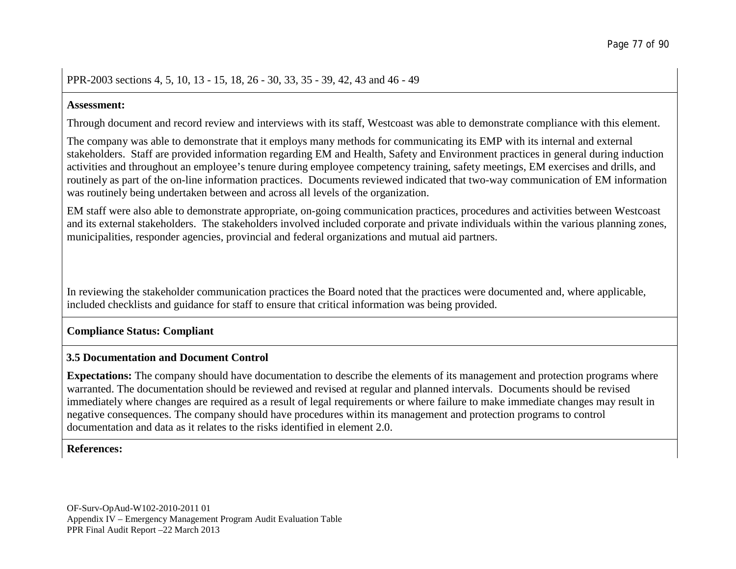PPR-2003 sections 4, 5, 10, 13 - 15, 18, 26 - 30, 33, 35 - 39, 42, 43 and 46 - 49

#### **Assessment:**

Through document and record review and interviews with its staff, Westcoast was able to demonstrate compliance with this element.

The company was able to demonstrate that it employs many methods for communicating its EMP with its internal and external stakeholders. Staff are provided information regarding EM and Health, Safety and Environment practices in general during induction activities and throughout an employee's tenure during employee competency training, safety meetings, EM exercises and drills, and routinely as part of the on-line information practices. Documents reviewed indicated that two-way communication of EM information was routinely being undertaken between and across all levels of the organization.

EM staff were also able to demonstrate appropriate, on-going communication practices, procedures and activities between Westcoast and its external stakeholders. The stakeholders involved included corporate and private individuals within the various planning zones, municipalities, responder agencies, provincial and federal organizations and mutual aid partners.

In reviewing the stakeholder communication practices the Board noted that the practices were documented and, where applicable, included checklists and guidance for staff to ensure that critical information was being provided.

## **Compliance Status: Compliant**

#### **3.5 Documentation and Document Control**

**Expectations:** The company should have documentation to describe the elements of its management and protection programs where warranted. The documentation should be reviewed and revised at regular and planned intervals. Documents should be revised immediately where changes are required as a result of legal requirements or where failure to make immediate changes may result in negative consequences. The company should have procedures within its management and protection programs to control documentation and data as it relates to the risks identified in element 2.0.

## **References:**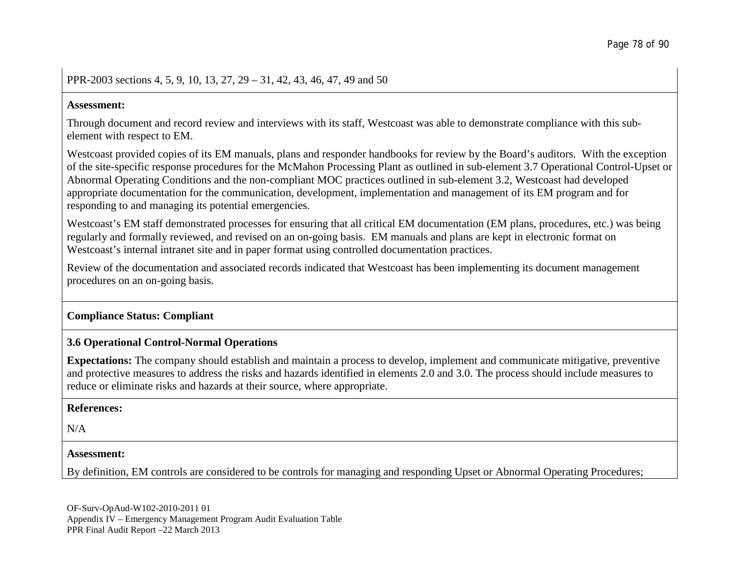### PPR-2003 sections 4, 5, 9, 10, 13, 27, 29 – 31, 42, 43, 46, 47, 49 and 50

#### **Assessment:**

Through document and record review and interviews with its staff, Westcoast was able to demonstrate compliance with this subelement with respect to EM.

Westcoast provided copies of its EM manuals, plans and responder handbooks for review by the Board's auditors. With the exception of the site-specific response procedures for the McMahon Processing Plant as outlined in sub-element 3.7 Operational Control-Upset or Abnormal Operating Conditions and the non-compliant MOC practices outlined in sub-element 3.2, Westcoast had developed appropriate documentation for the communication, development, implementation and management of its EM program and for responding to and managing its potential emergencies.

Westcoast's EM staff demonstrated processes for ensuring that all critical EM documentation (EM plans, procedures, etc.) was being regularly and formally reviewed, and revised on an on-going basis. EM manuals and plans are kept in electronic format on Westcoast's internal intranet site and in paper format using controlled documentation practices.

Review of the documentation and associated records indicated that Westcoast has been implementing its document management procedures on an on-going basis.

## **Compliance Status: Compliant**

## **3.6 Operational Control-Normal Operations**

**Expectations:** The company should establish and maintain a process to develop, implement and communicate mitigative, preventive and protective measures to address the risks and hazards identified in elements 2.0 and 3.0. The process should include measures to reduce or eliminate risks and hazards at their source, where appropriate.

#### **References:**

 $N/A$ 

#### **Assessment:**

By definition, EM controls are considered to be controls for managing and responding Upset or Abnormal Operating Procedures;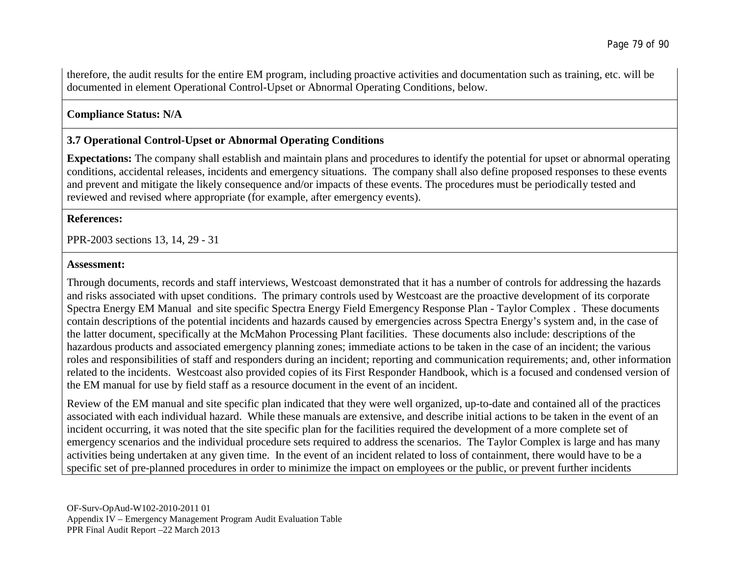therefore, the audit results for the entire EM program, including proactive activities and documentation such as training, etc. will be documented in element Operational Control-Upset or Abnormal Operating Conditions, below.

## **Compliance Status: N/A**

## **3.7 Operational Control-Upset or Abnormal Operating Conditions**

**Expectations:** The company shall establish and maintain plans and procedures to identify the potential for upset or abnormal operating conditions, accidental releases, incidents and emergency situations. The company shall also define proposed responses to these events and prevent and mitigate the likely consequence and/or impacts of these events. The procedures must be periodically tested and reviewed and revised where appropriate (for example, after emergency events).

#### **References:**

PPR-2003 sections 13, 14, 29 - 31

#### **Assessment:**

Through documents, records and staff interviews, Westcoast demonstrated that it has a number of controls for addressing the hazards and risks associated with upset conditions. The primary controls used by Westcoast are the proactive development of its corporate Spectra Energy EM Manual and site specific Spectra Energy Field Emergency Response Plan - Taylor Complex . These documents contain descriptions of the potential incidents and hazards caused by emergencies across Spectra Energy's system and, in the case of the latter document, specifically at the McMahon Processing Plant facilities. These documents also include: descriptions of the hazardous products and associated emergency planning zones; immediate actions to be taken in the case of an incident; the various roles and responsibilities of staff and responders during an incident; reporting and communication requirements; and, other information related to the incidents. Westcoast also provided copies of its First Responder Handbook, which is a focused and condensed version of the EM manual for use by field staff as a resource document in the event of an incident.

Review of the EM manual and site specific plan indicated that they were well organized, up-to-date and contained all of the practices associated with each individual hazard. While these manuals are extensive, and describe initial actions to be taken in the event of an incident occurring, it was noted that the site specific plan for the facilities required the development of a more complete set of emergency scenarios and the individual procedure sets required to address the scenarios. The Taylor Complex is large and has many activities being undertaken at any given time. In the event of an incident related to loss of containment, there would have to be a specific set of pre-planned procedures in order to minimize the impact on employees or the public, or prevent further incidents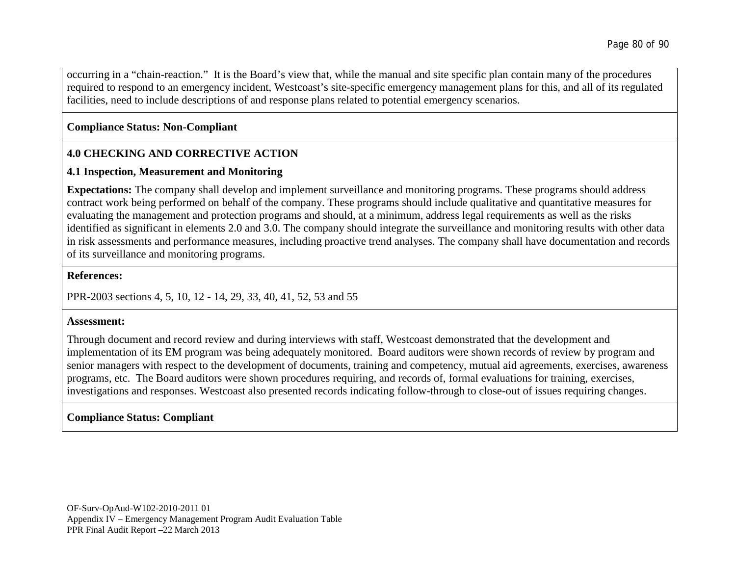occurring in a "chain-reaction." It is the Board's view that, while the manual and site specific plan contain many of the procedures required to respond to an emergency incident, Westcoast's site-specific emergency management plans for this, and all of its regulated facilities, need to include descriptions of and response plans related to potential emergency scenarios.

# **Compliance Status: Non-Compliant**

# **4.0 CHECKING AND CORRECTIVE ACTION**

## **4.1 Inspection, Measurement and Monitoring**

**Expectations:** The company shall develop and implement surveillance and monitoring programs. These programs should address contract work being performed on behalf of the company. These programs should include qualitative and quantitative measures for evaluating the management and protection programs and should, at a minimum, address legal requirements as well as the risks identified as significant in elements 2.0 and 3.0. The company should integrate the surveillance and monitoring results with other data in risk assessments and performance measures, including proactive trend analyses. The company shall have documentation and records of its surveillance and monitoring programs.

### **References:**

PPR-2003 sections 4, 5, 10, 12 - 14, 29, 33, 40, 41, 52, 53 and 55

## **Assessment:**

Through document and record review and during interviews with staff, Westcoast demonstrated that the development and implementation of its EM program was being adequately monitored. Board auditors were shown records of review by program and senior managers with respect to the development of documents, training and competency, mutual aid agreements, exercises, awareness programs, etc. The Board auditors were shown procedures requiring, and records of, formal evaluations for training, exercises, investigations and responses. Westcoast also presented records indicating follow-through to close-out of issues requiring changes.

# **Compliance Status: Compliant**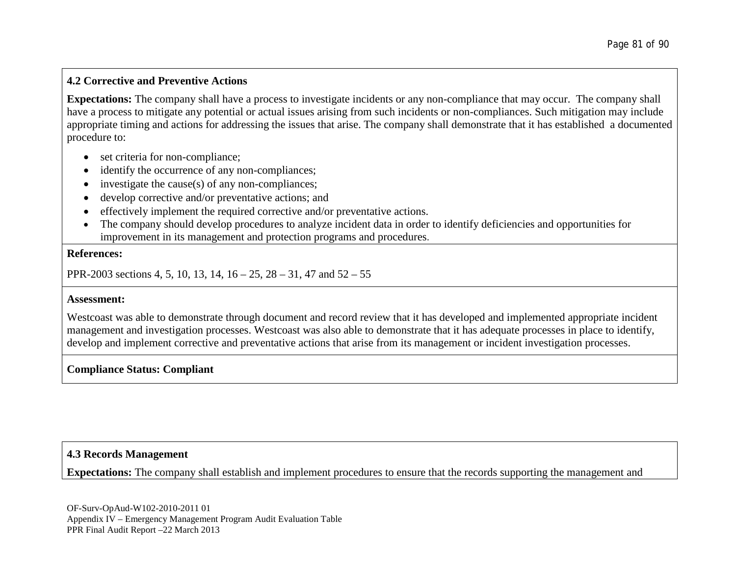## **4.2 Corrective and Preventive Actions**

**Expectations:** The company shall have a process to investigate incidents or any non-compliance that may occur. The company shall have a process to mitigate any potential or actual issues arising from such incidents or non-compliances. Such mitigation may include appropriate timing and actions for addressing the issues that arise. The company shall demonstrate that it has established a documented procedure to:

- set criteria for non-compliance;
- identify the occurrence of any non-compliances;
- investigate the cause(s) of any non-compliances;
- develop corrective and/or preventative actions; and
- effectively implement the required corrective and/or preventative actions.
- The company should develop procedures to analyze incident data in order to identify deficiencies and opportunities for improvement in its management and protection programs and procedures.

#### **References:**

PPR-2003 sections 4, 5, 10, 13, 14, 16 – 25, 28 – 31, 47 and 52 – 55

#### **Assessment:**

Westcoast was able to demonstrate through document and record review that it has developed and implemented appropriate incident management and investigation processes. Westcoast was also able to demonstrate that it has adequate processes in place to identify, develop and implement corrective and preventative actions that arise from its management or incident investigation processes.

## **Compliance Status: Compliant**

## **4.3 Records Management**

**Expectations:** The company shall establish and implement procedures to ensure that the records supporting the management and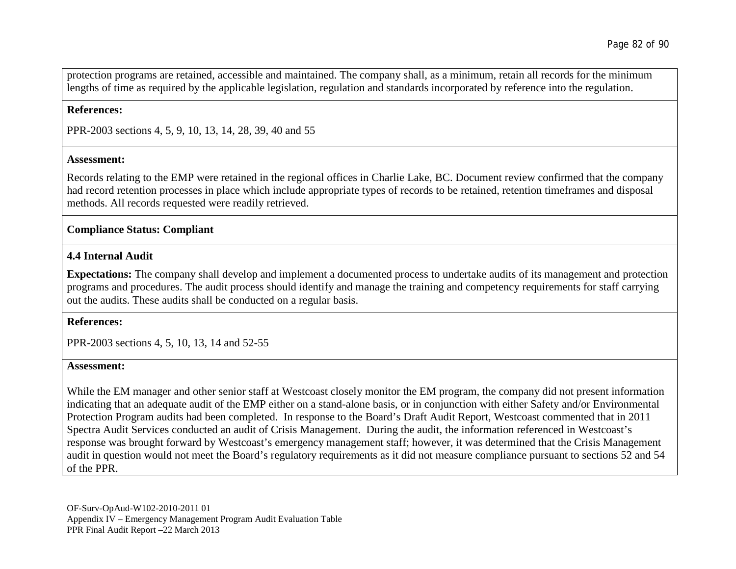protection programs are retained, accessible and maintained. The company shall, as a minimum, retain all records for the minimum lengths of time as required by the applicable legislation, regulation and standards incorporated by reference into the regulation.

#### **References:**

PPR-2003 sections 4, 5, 9, 10, 13, 14, 28, 39, 40 and 55

#### **Assessment:**

Records relating to the EMP were retained in the regional offices in Charlie Lake, BC. Document review confirmed that the company had record retention processes in place which include appropriate types of records to be retained, retention timeframes and disposal methods. All records requested were readily retrieved.

### **Compliance Status: Compliant**

### **4.4 Internal Audit**

**Expectations:** The company shall develop and implement a documented process to undertake audits of its management and protection programs and procedures. The audit process should identify and manage the training and competency requirements for staff carrying out the audits. These audits shall be conducted on a regular basis.

#### **References:**

PPR-2003 sections 4, 5, 10, 13, 14 and 52-55

#### **Assessment:**

While the EM manager and other senior staff at Westcoast closely monitor the EM program, the company did not present information indicating that an adequate audit of the EMP either on a stand-alone basis, or in conjunction with either Safety and/or Environmental Protection Program audits had been completed. In response to the Board's Draft Audit Report, Westcoast commented that in 2011 Spectra Audit Services conducted an audit of Crisis Management. During the audit, the information referenced in Westcoast's response was brought forward by Westcoast's emergency management staff; however, it was determined that the Crisis Management audit in question would not meet the Board's regulatory requirements as it did not measure compliance pursuant to sections 52 and 54 of the PPR.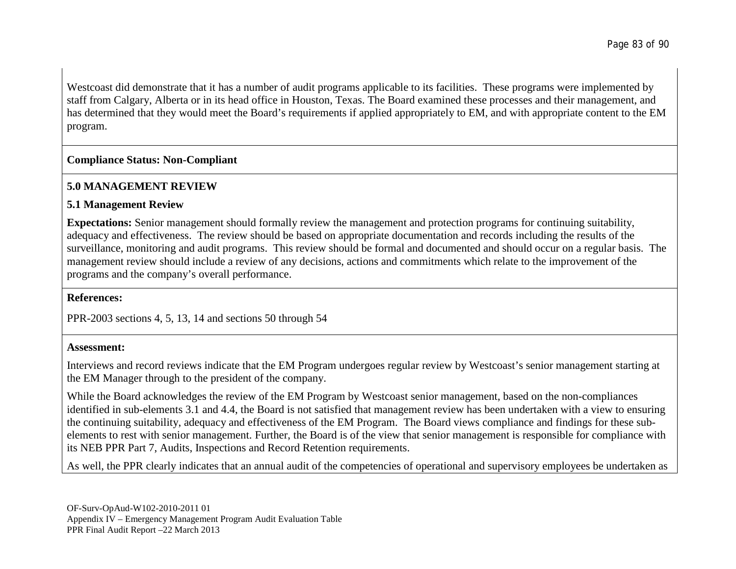Westcoast did demonstrate that it has a number of audit programs applicable to its facilities. These programs were implemented by staff from Calgary, Alberta or in its head office in Houston, Texas. The Board examined these processes and their management, and has determined that they would meet the Board's requirements if applied appropriately to EM, and with appropriate content to the EM program.

## **Compliance Status: Non-Compliant**

# **5.0 MANAGEMENT REVIEW**

## **5.1 Management Review**

**Expectations:** Senior management should formally review the management and protection programs for continuing suitability, adequacy and effectiveness. The review should be based on appropriate documentation and records including the results of the surveillance, monitoring and audit programs. This review should be formal and documented and should occur on a regular basis. The management review should include a review of any decisions, actions and commitments which relate to the improvement of the programs and the company's overall performance.

## **References:**

PPR-2003 sections 4, 5, 13, 14 and sections 50 through 54

## **Assessment:**

Interviews and record reviews indicate that the EM Program undergoes regular review by Westcoast's senior management starting at the EM Manager through to the president of the company.

While the Board acknowledges the review of the EM Program by Westcoast senior management, based on the non-compliances identified in sub-elements 3.1 and 4.4, the Board is not satisfied that management review has been undertaken with a view to ensuring the continuing suitability, adequacy and effectiveness of the EM Program. The Board views compliance and findings for these subelements to rest with senior management. Further, the Board is of the view that senior management is responsible for compliance with its NEB PPR Part 7, Audits, Inspections and Record Retention requirements.

As well, the PPR clearly indicates that an annual audit of the competencies of operational and supervisory employees be undertaken as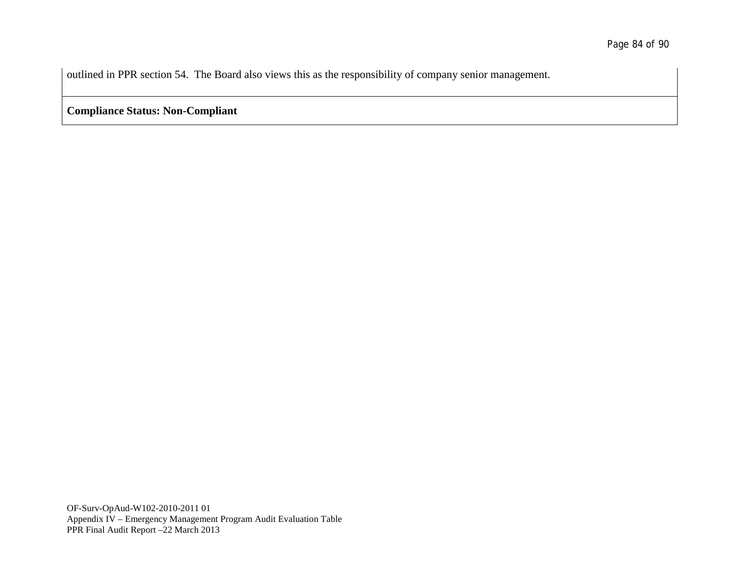outlined in PPR section 54. The Board also views this as the responsibility of company senior management.

**Compliance Status: Non-Compliant**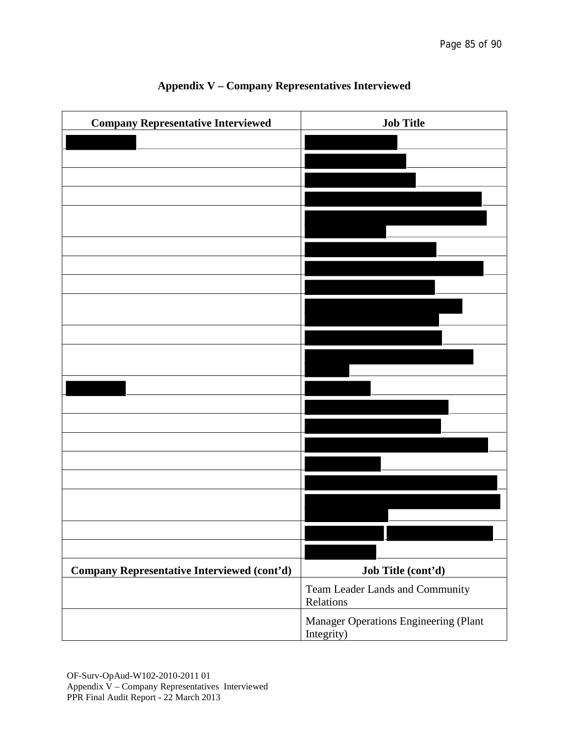| <b>Company Representative Interviewed</b>          | <b>Job Title</b>                                    |
|----------------------------------------------------|-----------------------------------------------------|
|                                                    |                                                     |
|                                                    |                                                     |
|                                                    |                                                     |
|                                                    |                                                     |
|                                                    |                                                     |
|                                                    |                                                     |
|                                                    |                                                     |
|                                                    |                                                     |
|                                                    |                                                     |
|                                                    |                                                     |
|                                                    |                                                     |
|                                                    |                                                     |
|                                                    |                                                     |
|                                                    |                                                     |
|                                                    |                                                     |
|                                                    |                                                     |
|                                                    |                                                     |
|                                                    |                                                     |
|                                                    |                                                     |
| <b>Company Representative Interviewed (cont'd)</b> | Job Title (cont'd)                                  |
|                                                    | Team Leader Lands and Community<br>Relations        |
|                                                    | Manager Operations Engineering (Plant<br>Integrity) |

# **Appendix V – Company Representatives Interviewed**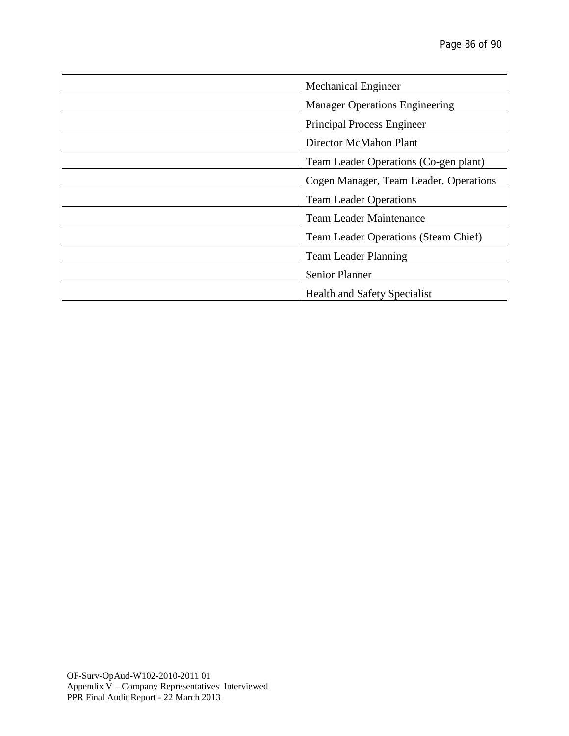| <b>Mechanical Engineer</b>             |
|----------------------------------------|
| <b>Manager Operations Engineering</b>  |
| Principal Process Engineer             |
| Director McMahon Plant                 |
| Team Leader Operations (Co-gen plant)  |
| Cogen Manager, Team Leader, Operations |
| <b>Team Leader Operations</b>          |
| <b>Team Leader Maintenance</b>         |
| Team Leader Operations (Steam Chief)   |
| <b>Team Leader Planning</b>            |
| <b>Senior Planner</b>                  |
| <b>Health and Safety Specialist</b>    |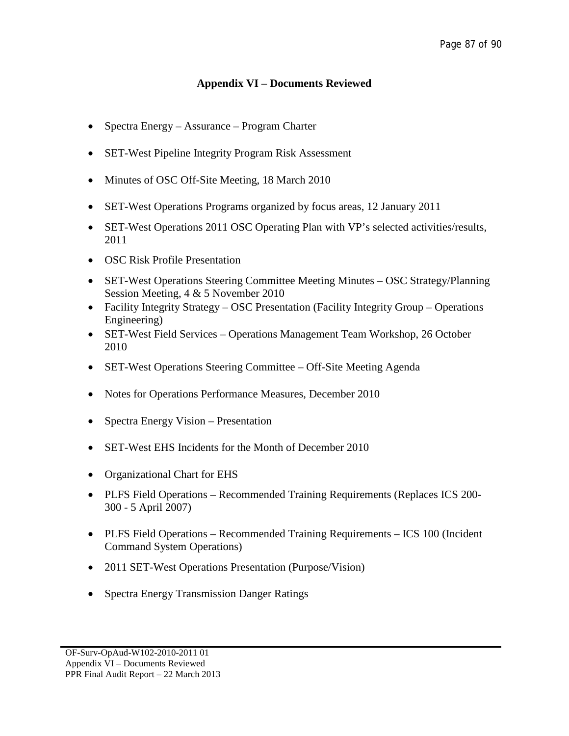# **Appendix VI – Documents Reviewed**

- Spectra Energy Assurance Program Charter
- SET-West Pipeline Integrity Program Risk Assessment
- Minutes of OSC Off-Site Meeting, 18 March 2010
- SET-West Operations Programs organized by focus areas, 12 January 2011
- SET-West Operations 2011 OSC Operating Plan with VP's selected activities/results, 2011
- OSC Risk Profile Presentation
- SET-West Operations Steering Committee Meeting Minutes OSC Strategy/Planning Session Meeting, 4 & 5 November 2010
- Facility Integrity Strategy OSC Presentation (Facility Integrity Group Operations Engineering)
- SET-West Field Services Operations Management Team Workshop, 26 October 2010
- SET-West Operations Steering Committee Off-Site Meeting Agenda
- Notes for Operations Performance Measures, December 2010
- Spectra Energy Vision Presentation
- SET-West EHS Incidents for the Month of December 2010
- Organizational Chart for EHS
- PLFS Field Operations Recommended Training Requirements (Replaces ICS 200-300 - 5 April 2007)
- PLFS Field Operations Recommended Training Requirements ICS 100 (Incident Command System Operations)
- 2011 SET-West Operations Presentation (Purpose/Vision)
- Spectra Energy Transmission Danger Ratings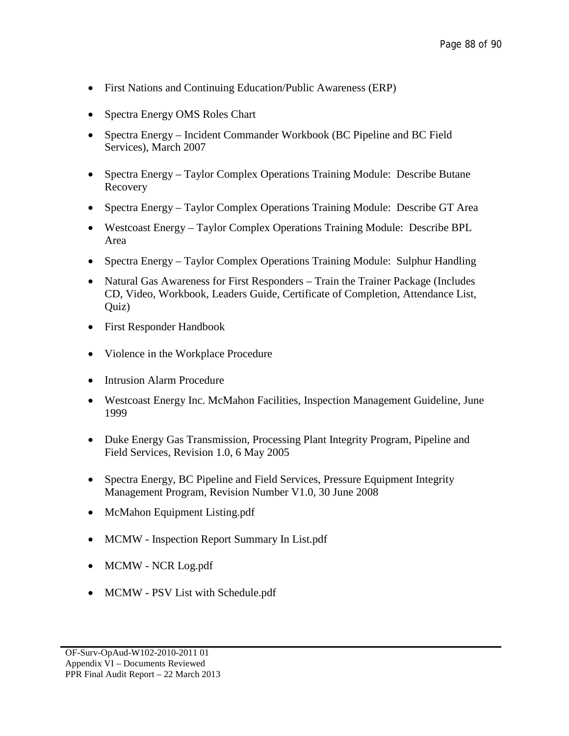- First Nations and Continuing Education/Public Awareness (ERP)
- Spectra Energy OMS Roles Chart
- Spectra Energy Incident Commander Workbook (BC Pipeline and BC Field Services), March 2007
- Spectra Energy Taylor Complex Operations Training Module: Describe Butane Recovery
- Spectra Energy Taylor Complex Operations Training Module: Describe GT Area
- Westcoast Energy Taylor Complex Operations Training Module: Describe BPL Area
- Spectra Energy Taylor Complex Operations Training Module: Sulphur Handling
- Natural Gas Awareness for First Responders Train the Trainer Package (Includes CD, Video, Workbook, Leaders Guide, Certificate of Completion, Attendance List, Quiz)
- First Responder Handbook
- Violence in the Workplace Procedure
- Intrusion Alarm Procedure
- Westcoast Energy Inc. McMahon Facilities, Inspection Management Guideline, June 1999
- Duke Energy Gas Transmission, Processing Plant Integrity Program, Pipeline and Field Services, Revision 1.0, 6 May 2005
- Spectra Energy, BC Pipeline and Field Services, Pressure Equipment Integrity Management Program, Revision Number V1.0, 30 June 2008
- McMahon Equipment Listing.pdf
- MCMW Inspection Report Summary In List.pdf
- MCMW NCR Log.pdf
- MCMW PSV List with Schedule.pdf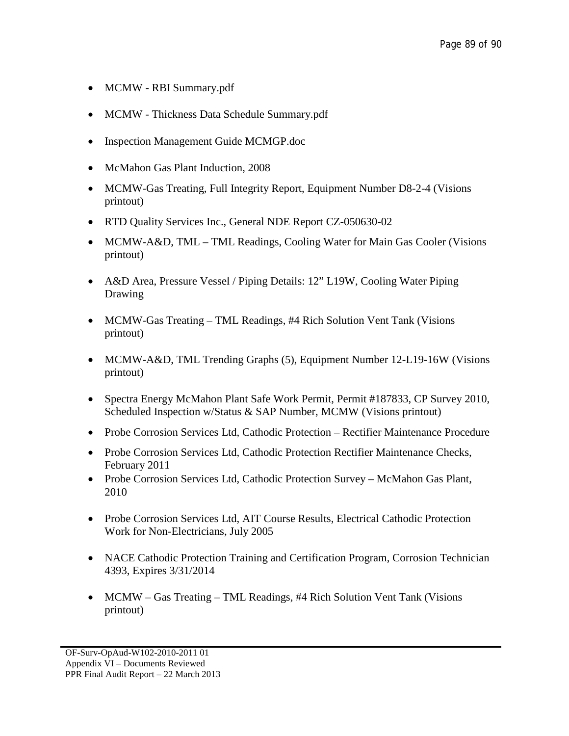- MCMW RBI Summary.pdf
- MCMW Thickness Data Schedule Summary.pdf
- Inspection Management Guide MCMGP.doc
- McMahon Gas Plant Induction, 2008
- MCMW-Gas Treating, Full Integrity Report, Equipment Number D8-2-4 (Visions printout)
- RTD Quality Services Inc., General NDE Report CZ-050630-02
- MCMW-A&D, TML TML Readings, Cooling Water for Main Gas Cooler (Visions printout)
- A&D Area, Pressure Vessel / Piping Details: 12" L19W, Cooling Water Piping Drawing
- MCMW-Gas Treating TML Readings, #4 Rich Solution Vent Tank (Visions printout)
- MCMW-A&D, TML Trending Graphs (5), Equipment Number 12-L19-16W (Visions printout)
- Spectra Energy McMahon Plant Safe Work Permit, Permit #187833, CP Survey 2010, Scheduled Inspection w/Status & SAP Number, MCMW (Visions printout)
- Probe Corrosion Services Ltd, Cathodic Protection Rectifier Maintenance Procedure
- Probe Corrosion Services Ltd, Cathodic Protection Rectifier Maintenance Checks, February 2011
- Probe Corrosion Services Ltd, Cathodic Protection Survey McMahon Gas Plant, 2010
- Probe Corrosion Services Ltd, AIT Course Results, Electrical Cathodic Protection Work for Non-Electricians, July 2005
- NACE Cathodic Protection Training and Certification Program, Corrosion Technician 4393, Expires 3/31/2014
- MCMW Gas Treating TML Readings, #4 Rich Solution Vent Tank (Visions printout)